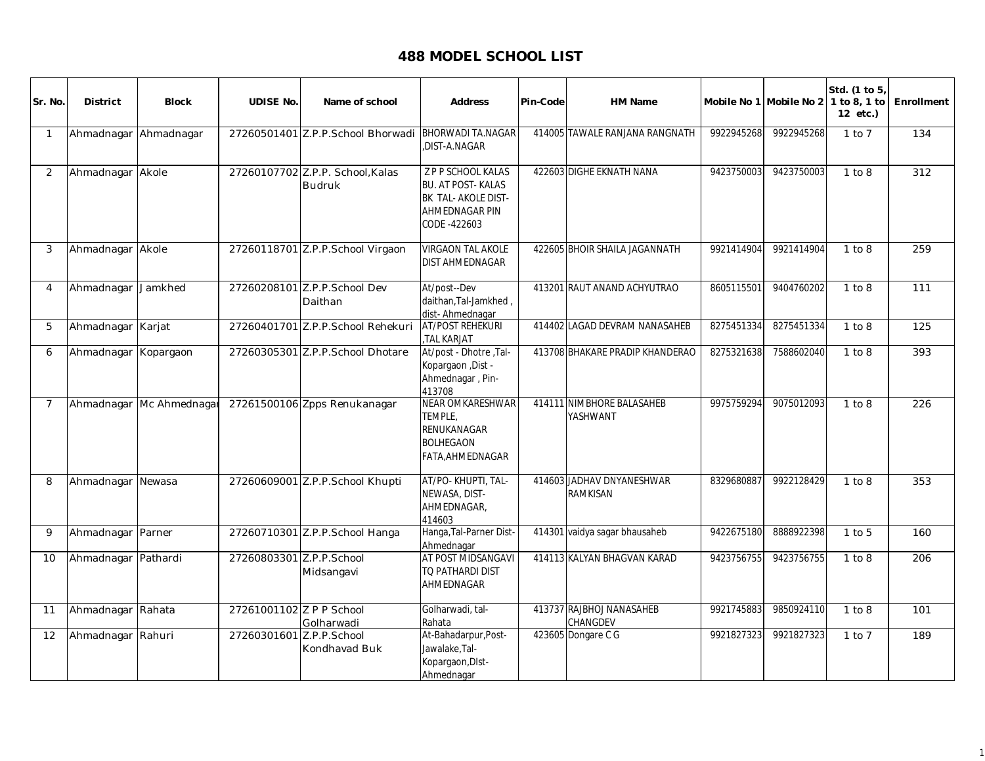## **488 MODEL SCHOOL LIST**

| Sr. No.        | <b>District</b>   | <b>Block</b>  | <b>UDISE No.</b>         | Name of school                                    | <b>Address</b>                                                                                                 | Pin-Code | HM Name                                      | Mobile No 1 Mobile No 2 |            | Std. (1 to 5)<br>1 to 8, 1 to<br>12 etc.) | Enrollment |
|----------------|-------------------|---------------|--------------------------|---------------------------------------------------|----------------------------------------------------------------------------------------------------------------|----------|----------------------------------------------|-------------------------|------------|-------------------------------------------|------------|
| $\overline{1}$ | Ahmadnagar        | Ahmadnagar    |                          | 27260501401 Z.P.P.School Bhorwadi                 | <b>BHORWADI TA.NAGAR</b><br>DIST-A.NAGAR                                                                       |          | 414005 TAWALE RANJANA RANGNATH               | 9922945268              | 9922945268 | $1$ to $7$                                | 134        |
| 2              | Ahmadnagar Akole  |               |                          | 27260107702 Z.P.P. School, Kalas<br><b>Budruk</b> | <b>Z P P SCHOOL KALAS</b><br><b>BU. AT POST-KALAS</b><br>BK TAL- AKOLE DIST-<br>AHMEDNAGAR PIN<br>CODE -422603 |          | 422603 DIGHE EKNATH NANA                     | 9423750003              | 9423750003 | 1 to 8                                    | 312        |
| 3              | Ahmadnagar Akole  |               |                          | 27260118701 Z.P.P.School Virgaon                  | <b>VIRGAON TAL AKOLE</b><br>DIST AHMEDNAGAR                                                                    |          | 422605 BHOIR SHAILA JAGANNATH                | 9921414904              | 9921414904 | 1 to 8                                    | 259        |
| $\overline{4}$ | Ahmadnagar        | Jamkhed       |                          | 27260208101 Z.P.P.School Dev<br>Daithan           | At/post--Dev<br>daithan, Tal-Jamkhed,<br>dist-Ahmednagar                                                       |          | 413201 RAUT ANAND ACHYUTRAO                  | 8605115501              | 9404760202 | 1 to 8                                    | 111        |
| 5              | Ahmadnagar Karjat |               |                          | 27260401701 Z.P.P.School Rehekuri                 | <b>AT/POST REHEKURI</b><br>TAL KARJAT                                                                          |          | 414402 LAGAD DEVRAM NANASAHEB                | 8275451334              | 8275451334 | 1 to 8                                    | 125        |
| 6              | Ahmadnagar        | Kopargaon     |                          | 27260305301 Z.P.P.School Dhotare                  | At/post - Dhotre, Tal-<br>Kopargaon , Dist -<br>Ahmednagar, Pin-<br>413708                                     |          | 413708 BHAKARE PRADIP KHANDERAO              | 8275321638              | 7588602040 | 1 to 8                                    | 393        |
| $\overline{7}$ | Ahmadnagar        | Mc Ahmednagar |                          | 27261500106 Zpps Renukanagar                      | NEAR OMKARESHWAR<br>TEMPLE,<br>RENUKANAGAR<br><b>BOLHEGAON</b><br>FATA.AHMEDNAGAR                              |          | 414111 NIMBHORE BALASAHEB<br>YASHWANT        | 9975759294              | 9075012093 | 1 to 8                                    | 226        |
| 8              | Ahmadnagar        | Newasa        |                          | 27260609001 Z.P.P.School Khupti                   | AT/PO-KHUPTI, TAL-<br>NEWASA, DIST-<br>AHMEDNAGAR,<br>414603                                                   |          | 414603 JADHAV DNYANESHWAR<br><b>RAMKISAN</b> | 8329680887              | 9922128429 | 1 to 8                                    | 353        |
| 9              | Ahmadnagar Parner |               |                          | 27260710301 Z.P.P.School Hanga                    | Hanga, Tal-Parner Dist-<br>Ahmednagar                                                                          |          | 414301 vaidya sagar bhausaheb                | 9422675180              | 8888922398 | $1$ to $5$                                | 160        |
| 10             | Ahmadnagar        | Pathardi      | 27260803301 Z.P.P.School | Midsangavi                                        | AT POST MIDSANGAVI<br>TQ PATHARDI DIST<br>AHMEDNAGAR                                                           |          | 414113 KALYAN BHAGVAN KARAD                  | 9423756755              | 9423756755 | 1 to 8                                    | 206        |
| 11             | Ahmadnagar Rahata |               | 27261001102 Z P P School | Golharwadi                                        | Golharwadi, tal-<br>Rahata                                                                                     |          | 413737 RAJBHOJ NANASAHEB<br>CHANGDEV         | 9921745883              | 9850924110 | 1 to 8                                    | 101        |
| 12             | Ahmadnagar        | Rahuri        | 27260301601 Z.P.P.School | Kondhavad Buk                                     | At-Bahadarpur, Post-<br>Jawalake, Tal-<br>Kopargaon, DIst-<br>Ahmednagar                                       |          | 423605 Dongare C G                           | 9921827323              | 9921827323 | $1$ to $7$                                | 189        |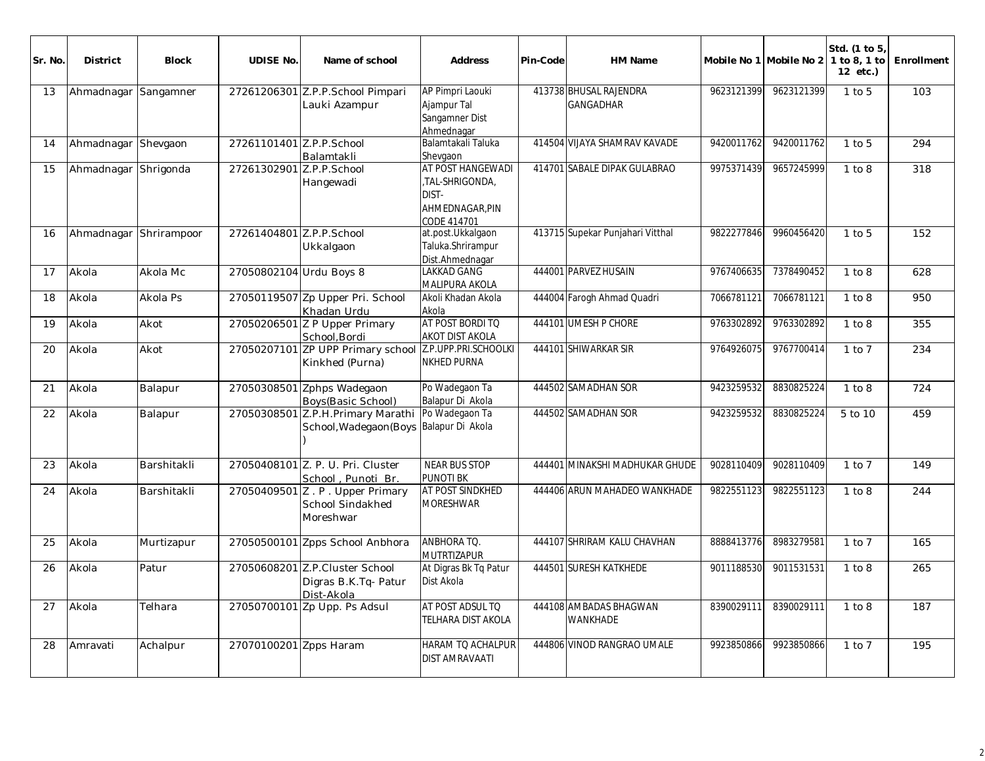| Sr. No. | <b>District</b>        | <b>Block</b> | <b>UDISE No.</b>         | Name of school                                                               | <b>Address</b>                                                                 | Pin-Code | HM Name                                    |            | Mobile No 1 Mobile No 2 | Std. (1 to 5<br>1 to 8, 1 to<br>12 etc.) | Enrollment |
|---------|------------------------|--------------|--------------------------|------------------------------------------------------------------------------|--------------------------------------------------------------------------------|----------|--------------------------------------------|------------|-------------------------|------------------------------------------|------------|
| 13      | Ahmadnagar             | Sangamner    |                          | 27261206301 Z.P.P.School Pimpari<br>Lauki Azampur                            | AP Pimpri Laouki<br>Ajampur Tal<br>Sangamner Dist<br>Ahmednagar                |          | 413738 BHUSAL RAJENDRA<br><b>GANGADHAR</b> | 9623121399 | 9623121399              | $1$ to $5$                               | 103        |
| 14      | Ahmadnagar Shevgaon    |              | 27261101401 Z.P.P.School | Balamtakli                                                                   | Balamtakali Taluka<br>Shevgaon                                                 |          | 414504 VIJAYA SHAMRAV KAVADE               | 9420011762 | 9420011762              | $1$ to $5$                               | 294        |
| 15      | Ahmadnagar             | Shrigonda    | 27261302901 Z.P.P.School | Hangewadi                                                                    | AT POST HANGEWADI<br>.TAL-SHRIGONDA.<br>DIST-<br>AHMEDNAGAR.PIN<br>CODE 414701 |          | 414701 SABALE DIPAK GULABRAO               | 9975371439 | 9657245999              | 1 to 8                                   | 318        |
| 16      | Ahmadnagar Shrirampoor |              | 27261404801 Z.P.P.School | Ukkalgaon                                                                    | at.post.Ukkalgaon<br>Taluka.Shrirampur<br>Dist.Ahmednagar                      |          | 413715 Supekar Punjahari Vitthal           | 9822277846 | 9960456420              | $1$ to $5$                               | 152        |
| 17      | Akola                  | Akola Mc     | 27050802104 Urdu Boys 8  |                                                                              | <b>LAKKAD GANG</b><br>MALIPURA AKOLA                                           |          | 444001 PARVEZ HUSAIN                       | 9767406635 | 7378490452              | 1 to 8                                   | 628        |
| 18      | Akola                  | Akola Ps     |                          | 27050119507 Zp Upper Pri. School<br>Khadan Urdu                              | Akoli Khadan Akola<br>Akola                                                    |          | 444004 Farogh Ahmad Quadri                 | 7066781121 | 7066781121              | 1 to 8                                   | 950        |
| 19      | Akola                  | Akot         |                          | 27050206501 Z P Upper Primary<br>School.Bordi                                | AT POST BORDI TO<br>AKOT DIST AKOLA                                            |          | 444101 UMESH P CHORE                       | 9763302892 | 9763302892              | 1 to 8                                   | 355        |
| 20      | Akola                  | Akot         |                          | 27050207101 ZP UPP Primary school Z.P.UPP.PRI.SCHOOLKI<br>Kinkhed (Purna)    | <b>NKHED PURNA</b>                                                             |          | 444101 SHIWARKAR SIR                       | 9764926075 | 9767700414              | $1$ to $7$                               | 234        |
| 21      | Akola                  | Balapur      |                          | 27050308501 Zphps Wadegaon<br>Boys(Basic School)                             | Po Wadegaon Ta<br>Balapur Di Akola                                             |          | 444502 SAMADHAN SOR                        | 9423259532 | 8830825224              | 1 to 8                                   | 724        |
| 22      | Akola                  | Balapur      |                          | 27050308501 Z.P.H.Primary Marathi<br>School, Wadegaon (Boys Balapur Di Akola | Po Wadegaon Ta                                                                 |          | 444502 SAMADHAN SOR                        | 9423259532 | 8830825224              | 5 to 10                                  | 459        |
| 23      | Akola                  | Barshitakli  |                          | 27050408101 Z. P. U. Pri. Cluster<br>School, Punoti Br.                      | NEAR BUS STOP<br><b>PUNOTI BK</b>                                              |          | 444401 MINAKSHI MADHUKAR GHUDE             | 9028110409 | 9028110409              | $1$ to $7$                               | 149        |
| 24      | Akola                  | Barshitakli  |                          | 27050409501 Z.P. Upper Primary<br>School Sindakhed<br>Moreshwar              | AT POST SINDKHED<br><b>MORESHWAR</b>                                           |          | 444406 ARUN MAHADEO WANKHADE               | 9822551123 | 9822551123              | 1 to 8                                   | 244        |
| 25      | Akola                  | Murtizapur   |                          | 27050500101 Zpps School Anbhora                                              | <b>ANBHORA TO.</b><br>MUTRTIZAPUR                                              |          | 444107 SHRIRAM KALU CHAVHAN                | 8888413776 | 8983279581              | $1$ to $7$                               | 165        |
| 26      | Akola                  | Patur        |                          | 27050608201 Z.P.Cluster School<br>Digras B.K.Tq- Patur<br>Dist-Akola         | At Digras Bk Tq Patur<br>Dist Akola                                            |          | 444501 SURESH KATKHEDE                     | 9011188530 | 9011531531              | 1 to 8                                   | 265        |
| 27      | Akola                  | Telhara      |                          | 27050700101 Zp Upp. Ps Adsul                                                 | AT POST ADSUL TO<br><b>TELHARA DIST AKOLA</b>                                  |          | 444108 AMBADAS BHAGWAN<br><b>WANKHADE</b>  | 8390029111 | 8390029111              | 1 to 8                                   | 187        |
| 28      | Amravati               | Achalpur     | 27070100201 Zpps Haram   |                                                                              | <b>HARAM TO ACHALPUR</b><br><b>DIST AMRAVAATI</b>                              |          | 444806 VINOD RANGRAO UMALE                 | 9923850866 | 9923850866              | 1 to 7                                   | 195        |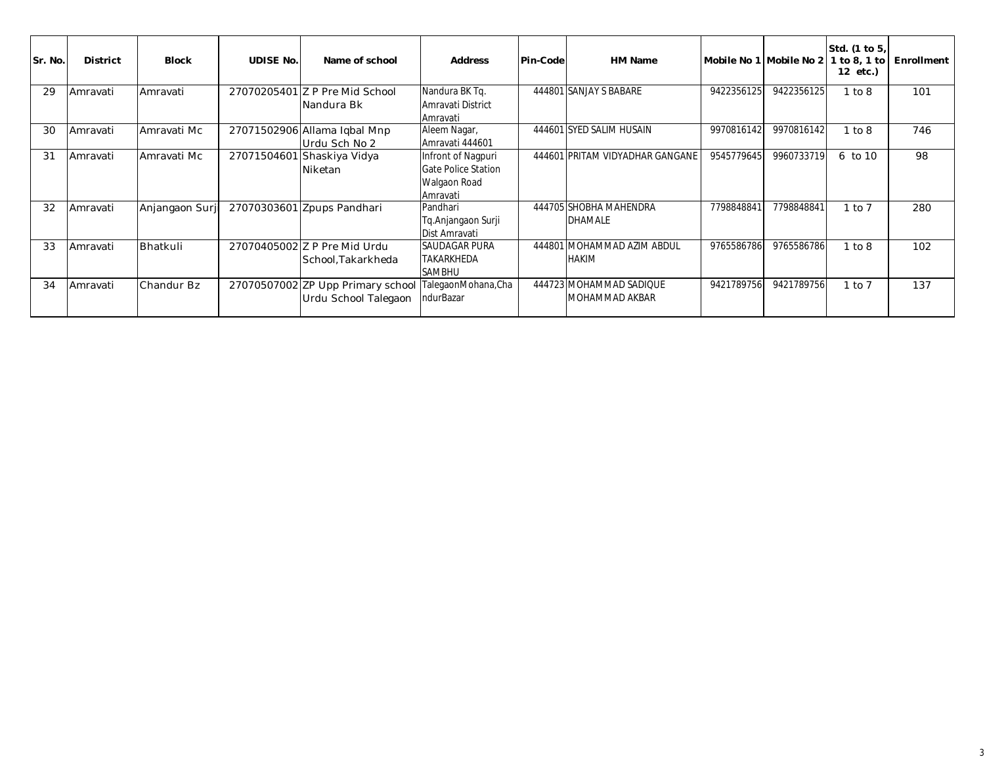| Sr. No. | <b>District</b> | <b>Block</b>   | <b>UDISE No.</b> | Name of school                                            | <b>Address</b>                                                               | <b>Pin-Code</b> | HM Name                                    | Mobile No 1 Mobile No 2 |                        | Std. (1 to 5,<br>1 to 8, 1 to<br>12 etc.) | Enrollment |
|---------|-----------------|----------------|------------------|-----------------------------------------------------------|------------------------------------------------------------------------------|-----------------|--------------------------------------------|-------------------------|------------------------|-------------------------------------------|------------|
| 29      | Amravati        | Amravati       |                  | 27070205401 Z P Pre Mid School<br>Nandura Bk              | Nandura BK Tq.<br>Amravati District<br>Amravati                              |                 | 444801 SANJAY S BABARE                     | 9422356125              | 9422356125             | 1 to 8                                    | 101        |
| 30      | <b>Amravati</b> | Amravati Mc    |                  | 27071502906 Allama Iqbal Mnp<br>lUrdu Sch No 2            | Aleem Nagar,<br>Amravati 444601                                              |                 | 444601 SYED SALIM HUSAIN                   | 9970816142              | 9970816142             | 1 to 8                                    | 746        |
| 31      | Amravati        | Amravati Mc    | 27071504601      | 1 Shaskiya Vidya<br><b>Niketan</b>                        | Infront of Nagpuri<br><b>Gate Police Station</b><br>Walgaon Road<br>Amravati |                 | 444601 PRITAM VIDYADHAR GANGANE            | 9545779645              | 9960733719             | 6 to 10                                   | 98         |
| 32      | Amravati        | Anjangaon Surj |                  | 27070303601 Zpups Pandhari                                | Pandhari<br>Tq.Anjangaon Surji<br>Dist Amravati                              |                 | 444705 SHOBHA MAHENDRA<br><b>DHAMALE</b>   | 7798848841              | 779884884 <sup>-</sup> | $1$ to $7$                                | 280        |
| 33      | Amravati        | Bhatkuli       |                  | 27070405002 Z P Pre Mid Urdu<br>School, Takarkheda        | <b>SAUDAGAR PURA</b><br><b>TAKARKHEDA</b><br><b>SAMBHU</b>                   |                 | 444801 MOHAMMAD AZIM ABDUL<br><b>HAKIM</b> | 9765586786              | 9765586786             | 1 to 8                                    | 102        |
| 34      | Amravati        | Chandur Bz     |                  | 27070507002 ZP Upp Primary school<br>Urdu School Talegaon | TalegaonMohana, Cha<br>ndurBazar                                             |                 | 444723 MOHAMMAD SADIQUE<br>MOHAMMAD AKBAR  | 9421789756              | 9421789756             | $1$ to $7$                                | 137        |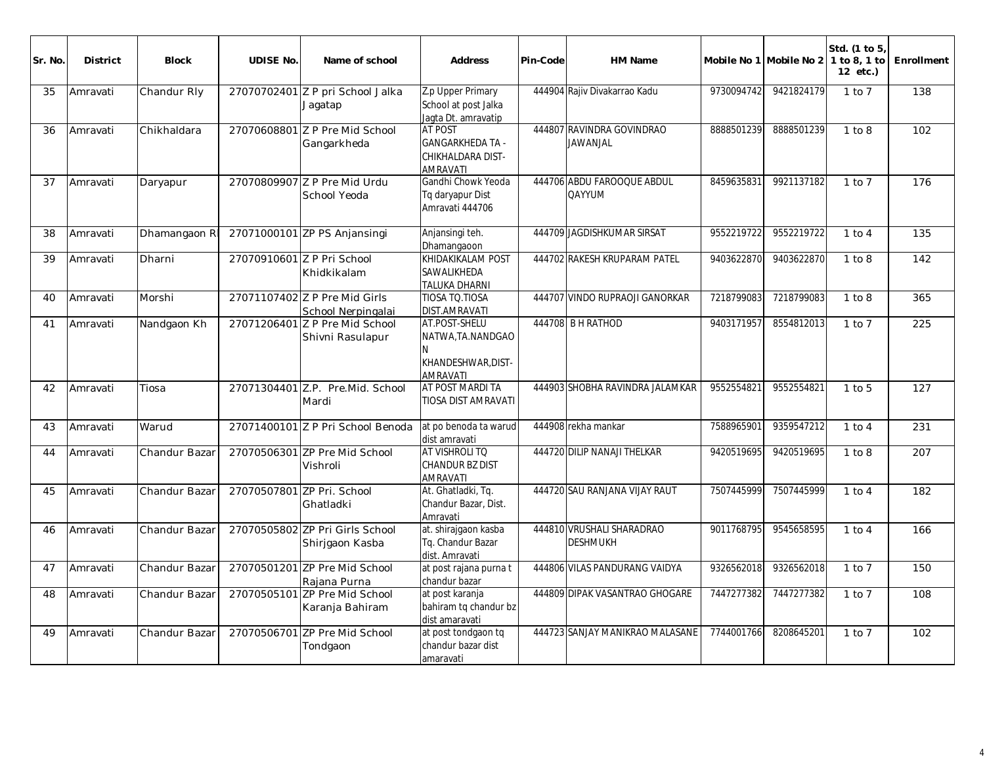| Sr. No | <b>District</b> | <b>Block</b>  | <b>UDISE No.</b>           | Name of school                                      | <b>Address</b>                                                                    | Pin-Code | HM Name                                      |            | Mobile No 1 Mobile No 2 1 to 8, 1 to | Std. (1 to 5)<br>12 etc.) | Enrollment |
|--------|-----------------|---------------|----------------------------|-----------------------------------------------------|-----------------------------------------------------------------------------------|----------|----------------------------------------------|------------|--------------------------------------|---------------------------|------------|
| 35     | Amravati        | Chandur Rly   |                            | 27070702401 Z P pri School Jalka<br>Jaqatap         | Z.p Upper Primary<br>School at post Jalka<br>Jagta Dt. amravatip                  |          | 444904 Rajiv Divakarrao Kadu                 | 9730094742 | 9421824179                           | $1$ to $7$                | 138        |
| 36     | Amravati        | Chikhaldara   |                            | 27070608801 Z P Pre Mid School<br>Gangarkheda       | <b>AT POST</b><br><b>GANGARKHEDA TA -</b><br>CHIKHALDARA DIST-<br><b>AMRAVATI</b> |          | 444807 RAVINDRA GOVINDRAO<br><b>JAWANJAL</b> | 8888501239 | 8888501239                           | 1 to 8                    | 102        |
| 37     | Amravati        | Daryapur      | 27070809907                | Z P Pre Mid Urdu<br>School Yeoda                    | Gandhi Chowk Yeoda<br>Tq daryapur Dist<br>Amravati 444706                         |          | 444706 ABDU FAROOQUE ABDUL<br><b>QAYYUM</b>  | 8459635831 | 9921137182                           | $1$ to $7$                | 176        |
| 38     | Amravati        | Dhamangaon R  |                            | 27071000101 ZP PS Anjansingi                        | Anjansingi teh.<br>Dhamangaoon                                                    |          | 444709 JAGDISHKUMAR SIRSAT                   | 9552219722 | 9552219722                           | 1 to 4                    | 135        |
| 39     | Amravati        | Dharni        | 27070910601 Z P Pri School | Khidkikalam                                         | <b>KHIDAKIKALAM POST</b><br>SAWALIKHEDA<br>TALUKA DHARNI                          |          | 444702 RAKESH KRUPARAM PATEL                 | 9403622870 | 9403622870                           | 1 to 8                    | 142        |
| 40     | Amravati        | Morshi        |                            | 27071107402 Z P Pre Mid Girls<br>School Nerpingalai | TIOSA TO.TIOSA<br><b>DIST.AMRAVATI</b>                                            |          | 444707 VINDO RUPRAOJI GANORKAR               | 7218799083 | 7218799083                           | 1 to 8                    | 365        |
| 41     | Amravati        | Nandgaon Kh   | 27071206401                | Z P Pre Mid School<br>Shivni Rasulapur              | AT.POST-SHELU<br>NATWA, TA.NANDGAO<br>N<br>KHANDESHWAR, DIST-<br><b>AMRAVATI</b>  |          | 444708 B H RATHOD                            | 9403171957 | 8554812013                           | $1$ to $7$                | 225        |
| 42     | Amravati        | Tiosa         |                            | 27071304401 Z.P. Pre. Mid. School<br>Mardi          | AT POST MARDI TA<br>TIOSA DIST AMRAVATI                                           |          | 444903 SHOBHA RAVINDRA JALAMKAR              | 9552554821 | 9552554821                           | $1$ to $5$                | 127        |
| 43     | Amravati        | Warud         |                            | 27071400101 Z P Pri School Benoda                   | at po benoda ta warud<br>dist amravati                                            |          | 444908 rekha mankar                          | 7588965901 | 9359547212                           | $1$ to $4$                | 231        |
| 44     | Amravati        | Chandur Bazar |                            | 27070506301 ZP Pre Mid School<br>Vishroli           | AT VISHROLI TO<br><b>CHANDUR BZ DIST</b><br><b>AMRAVATI</b>                       |          | 444720 DILIP NANAJI THELKAR                  | 9420519695 | 9420519695                           | 1 to 8                    | 207        |
| 45     | Amravati        | Chandur Bazar | 27070507801                | ZP Pri. School<br>Ghatladki                         | At. Ghatladki, Tq.<br>Chandur Bazar, Dist.<br>Amravati                            |          | 444720 SAU RANJANA VIJAY RAUT                | 7507445999 | 7507445999                           | $1$ to $4$                | 182        |
| 46     | Amravati        | Chandur Bazar |                            | 27070505802 ZP Pri Girls School<br>Shirjgaon Kasba  | at. shirajgaon kasba<br>Tg. Chandur Bazar<br>dist. Amravati                       |          | 444810 VRUSHALI SHARADRAO<br><b>DESHMUKH</b> | 9011768795 | 9545658595                           | $1$ to $4$                | 166        |
| 47     | Amravati        | Chandur Bazar |                            | 27070501201 ZP Pre Mid School<br>Rajana Purna       | at post rajana purna t<br>chandur bazar                                           |          | 444806 VILAS PANDURANG VAIDYA                | 9326562018 | 9326562018                           | $1$ to $7$                | 150        |
| 48     | Amravati        | Chandur Bazar | 27070505101                | ZP Pre Mid School<br>Karanja Bahiram                | at post karanja<br>bahiram tq chandur bz<br>dist amaravati                        |          | 444809 DIPAK VASANTRAO GHOGARE               | 7447277382 | 7447277382                           | $1$ to $7$                | 108        |
| 49     | Amravati        | Chandur Bazar |                            | 27070506701 ZP Pre Mid School<br>Tondgaon           | at post tondgaon tq<br>chandur bazar dist<br>amaravati                            |          | 444723 SANJAY MANIKRAO MALASANE              | 7744001766 | 8208645201                           | $1$ to $7$                | 102        |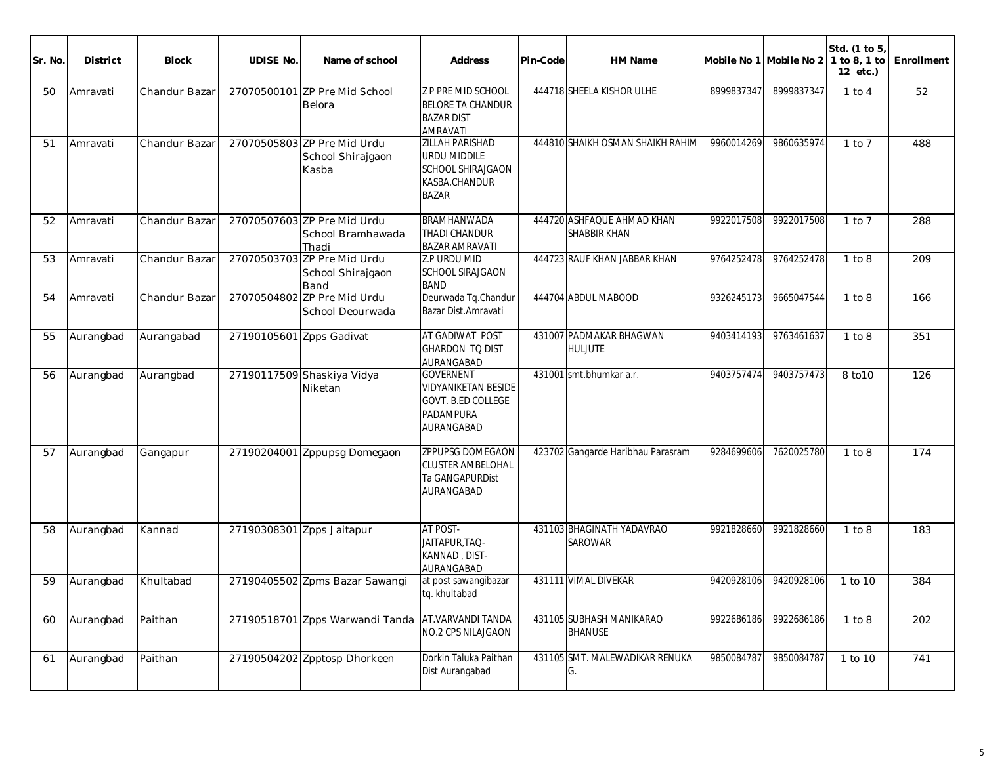| Sr. No. | <b>District</b> | <b>Block</b>  | <b>UDISE No.</b>         | Name of school                                            | <b>Address</b>                                                                                       | Pin-Code | HM Name                                           |            | Mobile No 1 Mobile No 2 | Std. (1 to 5,<br>1 to 8, 1 to<br>12 etc.) | Enrollment |
|---------|-----------------|---------------|--------------------------|-----------------------------------------------------------|------------------------------------------------------------------------------------------------------|----------|---------------------------------------------------|------------|-------------------------|-------------------------------------------|------------|
| 50      | Amravati        | Chandur Bazar |                          | 27070500101 ZP Pre Mid School<br>Belora                   | <b>Z P PRE MID SCHOOL</b><br><b>BELORE TA CHANDUR</b><br><b>BAZAR DIST</b><br>AMRAVATI               |          | 444718 SHEELA KISHOR ULHE                         | 8999837347 | 8999837347              | $1$ to $4$                                | 52         |
| 51      | Amravati        | Chandur Bazar |                          | 27070505803 ZP Pre Mid Urdu<br>School Shirajgaon<br>Kasba | <b>ZILLAH PARISHAD</b><br>URDU MIDDILE<br><b>SCHOOL SHIRAJGAON</b><br>KASBA, CHANDUR<br><b>BAZAR</b> |          | 444810 SHAIKH OSMAN SHAIKH RAHIM                  | 9960014269 | 9860635974              | $1$ to $7$                                | 488        |
| 52      | Amravati        | Chandur Bazar |                          | 27070507603 ZP Pre Mid Urdu<br>School Bramhawada<br>Thadi | BRAMHANWADA<br>THADI CHANDUR<br><b>BAZAR AMRAVATI</b>                                                |          | 444720 ASHFAQUE AHMAD KHAN<br><b>SHABBIR KHAN</b> | 9922017508 | 9922017508              | $1$ to $7$                                | 288        |
| 53      | Amravati        | Chandur Bazar |                          | 27070503703 ZP Pre Mid Urdu<br>School Shirajgaon<br>Band  | Z.P URDU MID<br><b>SCHOOL SIRAJGAON</b><br><b>BAND</b>                                               |          | 444723 RAUF KHAN JABBAR KHAN                      | 9764252478 | 9764252478              | 1 to 8                                    | 209        |
| 54      | Amravati        | Chandur Bazar |                          | 27070504802 ZP Pre Mid Urdu<br>School Deourwada           | Deurwada Tq.Chandur<br>Bazar Dist.Amravati                                                           |          | 444704 ABDUL MABOOD                               | 9326245173 | 9665047544              | 1 to 8                                    | 166        |
| 55      | Aurangbad       | Aurangabad    | 27190105601 Zpps Gadivat |                                                           | AT GADIWAT POST<br>GHARDON TO DIST<br>AURANGABAD                                                     |          | 431007 PADMAKAR BHAGWAN<br>huljute                | 9403414193 | 9763461637              | 1 to 8                                    | 351        |
| 56      | Aurangbad       | Aurangbad     |                          | 27190117509 Shaskiya Vidya<br>Niketan                     | <b>GOVERNENT</b><br><b>VIDYANIKETAN BESIDE</b><br>GOVT. B.ED COLLEGE<br>PADAMPURA<br>AURANGABAD      |          | 431001 smt.bhumkar a.r.                           | 9403757474 | 9403757473              | 8 to 10                                   | 126        |
| 57      | Aurangbad       | Gangapur      |                          | 27190204001 Zppupsg Domegaon                              | ZPPUPSG DOMEGAON<br><b>CLUSTER AMBELOHAL</b><br>Ta GANGAPURDist<br>AURANGABAD                        |          | 423702 Gangarde Haribhau Parasram                 | 9284699606 | 7620025780              | 1 to 8                                    | 174        |
| 58      | Aurangbad       | Kannad        |                          | 27190308301 Zpps Jaitapur                                 | AT POST-<br>JAITAPUR, TAQ-<br>KANNAD, DIST-<br>AURANGABAD                                            |          | 431103 BHAGINATH YADAVRAO<br><b>SAROWAR</b>       | 9921828660 | 9921828660              | 1 to 8                                    | 183        |
| 59      | Aurangbad       | Khultabad     |                          | 27190405502 Zpms Bazar Sawangi                            | at post sawangibazar<br>tq. khultabad                                                                |          | 431111 VIMAL DIVEKAR                              | 9420928106 | 9420928106              | 1 to 10                                   | 384        |
| 60      | Aurangbad       | Paithan       |                          | 27190518701 Zpps Warwandi Tanda                           | AT.VARVANDI TANDA<br>NO.2 CPS NILAJGAON                                                              |          | 431105 SUBHASH MANIKARAO<br><b>BHANUSE</b>        | 9922686186 | 9922686186              | 1 to 8                                    | 202        |
| 61      | Aurangbad       | Paithan       |                          | 27190504202 Zpptosp Dhorkeen                              | Dorkin Taluka Paithan<br>Dist Aurangabad                                                             |          | 431105 SMT. MALEWADIKAR RENUKA<br>G.              | 9850084787 | 9850084787              | 1 to 10                                   | 741        |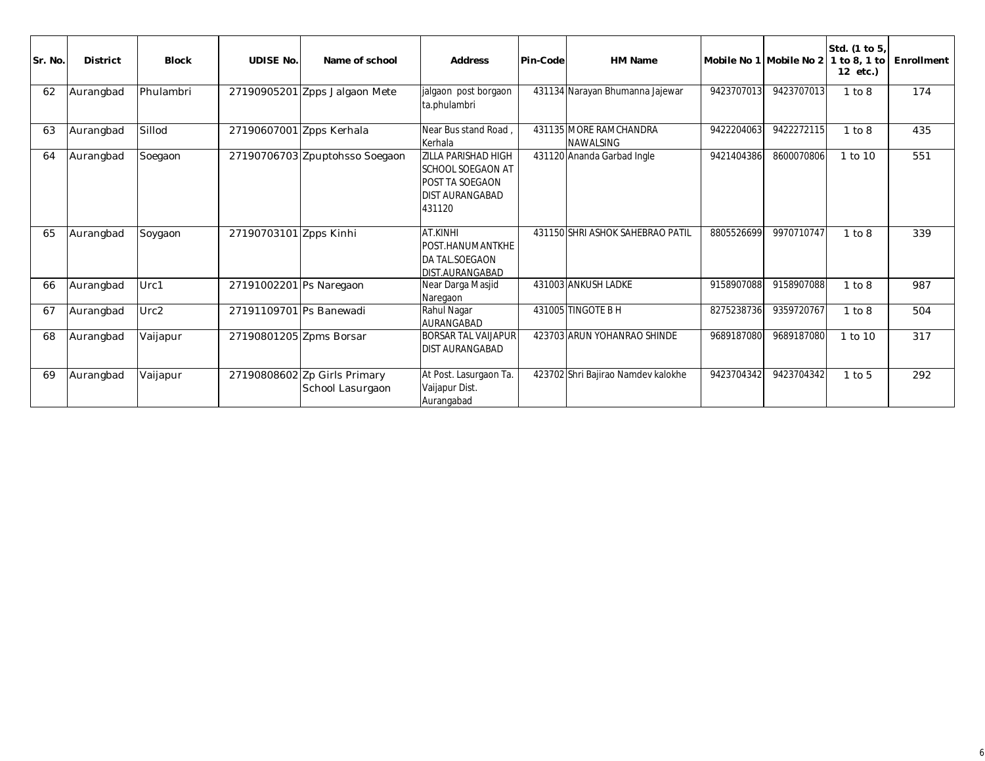| Sr. No. | <b>District</b> | <b>Block</b> | <b>UDISE No.</b>         | Name of school                                   | <b>Address</b>                                                                                                       | Pin-Code | <b>HM Name</b>                             | Mobile No 1 Mobile No 2 |            | Std. (1 to 5,<br>1 to 8, 1 to<br>12 etc.) | Enrollment |
|---------|-----------------|--------------|--------------------------|--------------------------------------------------|----------------------------------------------------------------------------------------------------------------------|----------|--------------------------------------------|-------------------------|------------|-------------------------------------------|------------|
| 62      | Aurangbad       | Phulambri    |                          | 27190905201 Zpps Jalgaon Mete                    | jalgaon post borgaon<br>ta.phulambri                                                                                 |          | 431134 Narayan Bhumanna Jajewar            | 9423707013              | 9423707013 | 1 to 8                                    | 174        |
| 63      | Aurangbad       | Sillod       | 27190607001 Zpps Kerhala |                                                  | Near Bus stand Road<br>Kerhala                                                                                       |          | 431135 MORE RAMCHANDRA<br><b>NAWALSING</b> | 9422204063              | 9422272115 | 1 to 8                                    | 435        |
| 64      | Aurangbad       | Soegaon      |                          | 27190706703 Zpuptohsso Soegaon                   | <b>ZILLA PARISHAD HIGH</b><br><b>SCHOOL SOEGAON AT</b><br><b>POST TA SOEGAON</b><br><b>DIST AURANGABAD</b><br>431120 |          | 431120 Ananda Garbad Ingle                 | 9421404386              | 8600070806 | 1 to 10                                   | 551        |
| 65      | Aurangbad       | Soygaon      | 27190703101 Zpps Kinhi   |                                                  | AT.KINHI<br>POST.HANUMANTKHE<br>DA TAL.SOEGAON<br>DIST.AURANGABAD                                                    |          | 431150 SHRI ASHOK SAHEBRAO PATIL           | 8805526699              | 9970710747 | 1 to 8                                    | 339        |
| 66      | Aurangbad       | Urc1         | 27191002201 Ps Naregaon  |                                                  | Near Darga Masjid<br>Naregaon                                                                                        |          | 431003 ANKUSH LADKE                        | 9158907088              | 9158907088 | 1 to 8                                    | 987        |
| 67      | Aurangbad       | Urc2         | 27191109701 Ps Banewadi  |                                                  | Rahul Nagar<br>AURANGABAD                                                                                            |          | 431005 TINGOTE B H                         | 8275238736              | 9359720767 | 1 to 8                                    | 504        |
| 68      | Aurangbad       | Vaijapur     | 27190801205 Zpms Borsar  |                                                  | <b>BORSAR TAL VAIJAPUR</b><br><b>DIST AURANGABAD</b>                                                                 |          | 423703 ARUN YOHANRAO SHINDE                | 9689187080              | 9689187080 | 1 to 10                                   | 317        |
| 69      | Aurangbad       | Vaijapur     |                          | 27190808602 Zp Girls Primary<br>School Lasurgaon | At Post. Lasurgaon Ta.<br>Vaijapur Dist.<br>Aurangabad                                                               |          | 423702 Shri Bajirao Namdev kalokhe         | 9423704342              | 9423704342 | $1$ to $5$                                | 292        |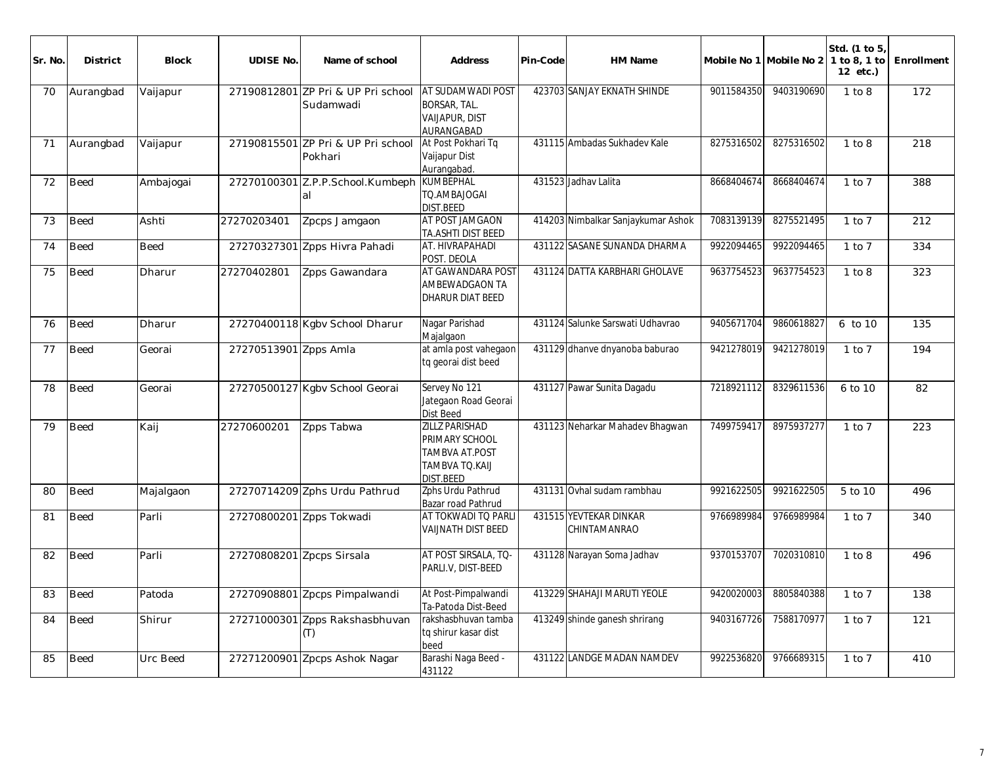| Sr. No | <b>District</b> | <b>Block</b> | <b>UDISE No.</b>          | Name of school                          | <b>Address</b>                                                                                  | Pin-Code | HM Name                                |            | Mobile No 1 Mobile No 2 | Std. (1 to 5<br>1 to 8, 1 to<br>12 etc.) | Enrollment |
|--------|-----------------|--------------|---------------------------|-----------------------------------------|-------------------------------------------------------------------------------------------------|----------|----------------------------------------|------------|-------------------------|------------------------------------------|------------|
| 70     | Aurangbad       | Vaijapur     | 27190812801               | ZP Pri & UP Pri school<br>Sudamwadi     | AT SUDAMWADI POST<br>BORSAR, TAL.<br><b>VAIJAPUR, DIST</b><br><b>AURANGABAD</b>                 |          | 423703 SANJAY EKNATH SHINDE            | 9011584350 | 9403190690              | 1 to 8                                   | 172        |
| 71     | Aurangbad       | Vaijapur     | 27190815501               | ZP Pri & UP Pri school<br>Pokhari       | At Post Pokhari Tq<br>Vaijapur Dist<br>Aurangabad.                                              |          | 431115 Ambadas Sukhadev Kale           | 8275316502 | 8275316502              | 1 to 8                                   | 218        |
| 72     | <b>Beed</b>     | Ambajogai    |                           | 27270100301 Z.P.P.School.Kumbeph<br>lal | <b>KUMBEPHAL</b><br>TO.AMBAJOGAI<br><b>DIST.BEED</b>                                            |          | 431523 Jadhay Lalita                   | 8668404674 | 8668404674              | $1$ to $7$                               | 388        |
| 73     | <b>Beed</b>     | Ashti        | 27270203401               | Zpcps Jamgaon                           | AT POST JAMGAON<br>TA.ASHTI DIST BEED                                                           |          | 414203 Nimbalkar Sanjaykumar Ashok     | 7083139139 | 8275521495              | $1$ to $7$                               | 212        |
| 74     | <b>Beed</b>     | <b>Beed</b>  | 27270327301               | Zpps Hivra Pahadi                       | AT. HIVRAPAHADI<br>POST. DEOLA                                                                  |          | 431122 SASANE SUNANDA DHARMA           | 9922094465 | 9922094465              | $1$ to $7$                               | 334        |
| 75     | <b>Beed</b>     | Dharur       | 27270402801               | Zpps Gawandara                          | AT GAWANDARA POST<br>AMBEWADGAON TA<br><b>DHARUR DIAT BEED</b>                                  |          | 431124 DATTA KARBHARI GHOLAVE          | 9637754523 | 9637754523              | 1 to 8                                   | 323        |
| 76     | <b>Beed</b>     | Dharur       |                           | 27270400118 Kgbv School Dharur          | Nagar Parishad<br>Majalgaon                                                                     |          | 431124 Salunke Sarswati Udhavrao       | 9405671704 | 9860618827              | 6 to 10                                  | 135        |
| 77     | <b>Beed</b>     | Georai       | 27270513901 Zpps Amla     |                                         | at amla post vahegaon<br>tq georai dist beed                                                    |          | 431129 dhanve dnyanoba baburao         | 9421278019 | 9421278019              | $1$ to $7$                               | 194        |
| 78     | <b>Beed</b>     | Georai       |                           | 27270500127 Kgbv School Georai          | Servey No 121<br>Jategaon Road Georai<br>Dist Beed                                              |          | 431127 Pawar Sunita Dagadu             | 7218921112 | 8329611536              | 6 to 10                                  | 82         |
| 79     | <b>Beed</b>     | Kaij         | 27270600201               | Zpps Tabwa                              | ZILLZ PARISHAD<br>PRIMARY SCHOOL<br><b>TAMBVA AT POST</b><br>TAMBVA TQ.KAIJ<br><b>DIST.BEED</b> |          | 431123 Neharkar Mahadev Bhagwan        | 7499759417 | 8975937277              | $1$ to $7$                               | 223        |
| 80     | <b>Beed</b>     | Majalgaon    |                           | 27270714209 Zphs Urdu Pathrud           | Zphs Urdu Pathrud<br>Bazar road Pathrud                                                         |          | 431131 Ovhal sudam rambhau             | 9921622505 | 9921622505              | 5 to 10                                  | 496        |
| 81     | <b>Beed</b>     | Parli        | 27270800201 Zpps Tokwadi  |                                         | AT TOKWADI TO PARLI<br><b>VAIJNATH DIST BEED</b>                                                |          | 431515 YEVTEKAR DINKAR<br>CHINTAMANRAO | 9766989984 | 9766989984              | $1$ to $7$                               | 340        |
| 82     | <b>Beed</b>     | Parli        | 27270808201 Zpcps Sirsala |                                         | AT POST SIRSALA, TO-<br>PARLI.V, DIST-BEED                                                      |          | 431128 Narayan Soma Jadhav             | 9370153707 | 7020310810              | 1 to 8                                   | 496        |
| 83     | <b>Beed</b>     | Patoda       |                           | 27270908801 Zpcps Pimpalwandi           | At Post-Pimpalwandi<br>Ta-Patoda Dist-Beed                                                      |          | 413229 SHAHAJI MARUTI YEOLE            | 9420020003 | 8805840388              | $1$ to $7$                               | 138        |
| 84     | Beed            | Shirur       |                           | 27271000301 Zpps Rakshasbhuvan<br>(T)   | rakshasbhuvan tamba<br>tq shirur kasar dist<br>beed                                             |          | 413249 shinde ganesh shrirang          | 9403167726 | 7588170977              | $1$ to $7$                               | 121        |
| 85     | <b>Beed</b>     | Urc Beed     |                           | 27271200901 Zpcps Ashok Nagar           | Barashi Naga Beed -<br>431122                                                                   |          | 431122 LANDGE MADAN NAMDEV             | 9922536820 | 9766689315              | $1$ to $7$                               | 410        |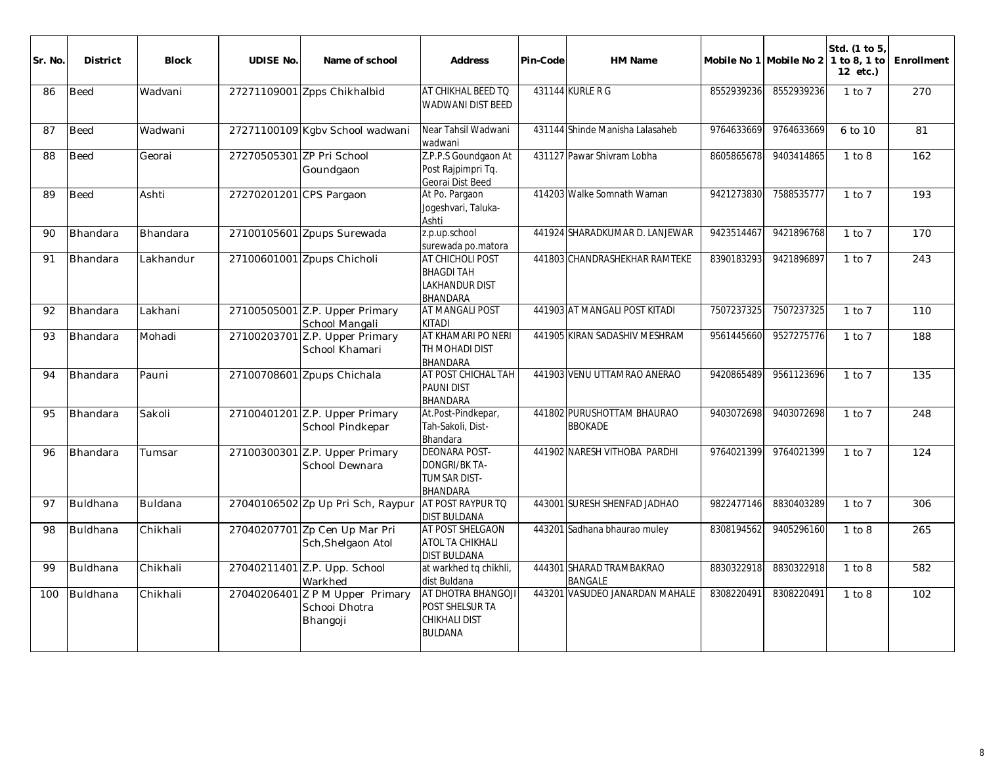| Sr. No. | <b>District</b> | <b>Block</b> | <b>UDISE No.</b>          | Name of school                                               | <b>Address</b>                                                                         | Pin-Code | <b>HM Name</b>                               |            | Mobile No 1 Mobile No 2 1 to 8, 1 to | Std. (1 to 5,<br>12 etc.)        | Enrollment |
|---------|-----------------|--------------|---------------------------|--------------------------------------------------------------|----------------------------------------------------------------------------------------|----------|----------------------------------------------|------------|--------------------------------------|----------------------------------|------------|
| 86      | <b>Beed</b>     | Wadvani      |                           | 27271109001 Zpps Chikhalbid                                  | AT CHIKHAL BEED TO<br><b>WADWANI DIST BEED</b>                                         |          | 431144 KURLE R G                             | 8552939236 | 8552939236                           | $1$ to $7$                       | 270        |
| 87      | <b>Beed</b>     | Wadwani      |                           | 27271100109 Kgbv School wadwani                              | Near Tahsil Wadwani<br>wadwani                                                         |          | 431144 Shinde Manisha Lalasaheb              | 9764633669 | 9764633669                           | 6 to 10                          | 81         |
| 88      | <b>Beed</b>     | Georai       | 27270505301 ZP Pri School | Goundgaon                                                    | Z.P.P.S Goundgaon At<br>Post Rajpimpri Tq.<br>Georai Dist Beed                         |          | 431127 Pawar Shivram Lobha                   | 8605865678 | 9403414865                           | 1 to 8                           | 162        |
| 89      | <b>Beed</b>     | Ashti        | 27270201201 CPS Pargaon   |                                                              | At Po. Pargaon<br>Jogeshvari, Taluka-<br>Ashti                                         |          | 414203 Walke Somnath Waman                   | 9421273830 | 7588535777                           | $1$ to $7$                       | 193        |
| 90      | Bhandara        | Bhandara     |                           | 27100105601 Zpups Surewada                                   | z.p.up.school<br>surewada po.matora                                                    |          | 441924 SHARADKUMAR D. LANJEWAR               | 9423514467 | 9421896768                           | $1$ to $7$                       | 170        |
| 91      | Bhandara        | Lakhandur    |                           | 27100601001 Zpups Chicholi                                   | AT CHICHOLI POST<br><b>BHAGDI TAH</b><br><b>LAKHANDUR DIST</b><br><b>BHANDARA</b>      |          | 441803 CHANDRASHEKHAR RAMTEKE                | 8390183293 | 9421896897                           | $1$ to $7$                       | 243        |
| 92      | Bhandara        | Lakhani      |                           | 27100505001 Z.P. Upper Primary<br>School Mangali             | <b>AT MANGALI POST</b><br><b>KITADI</b>                                                |          | 441903 AT MANGALI POST KITADI                | 7507237325 | 7507237325                           | $\overline{1}$ to $\overline{7}$ | 110        |
| 93      | Bhandara        | Mohadi       |                           | 27100203701 Z.P. Upper Primary<br>School Khamari             | AT KHAMARI PO NERI<br>TH MOHADI DIST<br><b>BHANDARA</b>                                |          | 441905 KIRAN SADASHIV MESHRAM                | 9561445660 | 9527275776                           | $1$ to $7$                       | 188        |
| 94      | Bhandara        | Pauni        |                           | 27100708601 Zpups Chichala                                   | AT POST CHICHAL TAH<br><b>PAUNI DIST</b><br><b>BHANDARA</b>                            |          | 441903 VENU UTTAMRAO ANERAO                  | 9420865489 | 9561123696                           | $1$ to $7$                       | 135        |
| 95      | Bhandara        | Sakoli       |                           | 27100401201 Z.P. Upper Primary<br>School Pindkepar           | At.Post-Pindkepar,<br>Tah-Sakoli, Dist-<br>Bhandara                                    |          | 441802 PURUSHOTTAM BHAURAO<br><b>BBOKADE</b> | 9403072698 | 9403072698                           | $1$ to $7$                       | 248        |
| 96      | Bhandara        | Tumsar       |                           | 27100300301 Z.P. Upper Primary<br>School Dewnara             | <b>DEONARA POST-</b><br><b>DONGRI/BK TA-</b><br><b>TUMSAR DIST-</b><br><b>BHANDARA</b> |          | 441902 NARESH VITHOBA PARDHI                 | 9764021399 | 9764021399                           | $1$ to $7$                       | 124        |
| 97      | Buldhana        | Buldana      |                           | 27040106502 Zp Up Pri Sch, Raypur                            | AT POST RAYPUR TO<br><b>DIST BULDANA</b>                                               |          | 443001 SURESH SHENFAD JADHAO                 | 9822477146 | 8830403289                           | $1$ to $7$                       | 306        |
| 98      | Buldhana        | Chikhali     |                           | 27040207701 Zp Cen Up Mar Pri<br>Sch, Shelgaon Atol          | <b>AT POST SHELGAON</b><br>ATOL TA CHIKHALI<br><b>DIST BULDANA</b>                     |          | 443201 Sadhana bhaurao muley                 | 8308194562 | 9405296160                           | 1 to 8                           | 265        |
| 99      | Buldhana        | Chikhali     |                           | 27040211401 Z.P. Upp. School<br>Warkhed                      | at warkhed tq chikhli,<br>dist Buldana                                                 |          | 444301 SHARAD TRAMBAKRAO<br><b>BANGALE</b>   | 8830322918 | 8830322918                           | 1 to 8                           | 582        |
| 100     | Buldhana        | Chikhali     |                           | 27040206401 Z P M Upper Primary<br>School Dhotra<br>Bhangoji | AT DHOTRA BHANGOJI<br>POST SHELSUR TA<br>CHIKHALI DIST<br><b>BULDANA</b>               |          | 443201 VASUDEO JANARDAN MAHALE               | 8308220491 | 8308220491                           | 1 to 8                           | 102        |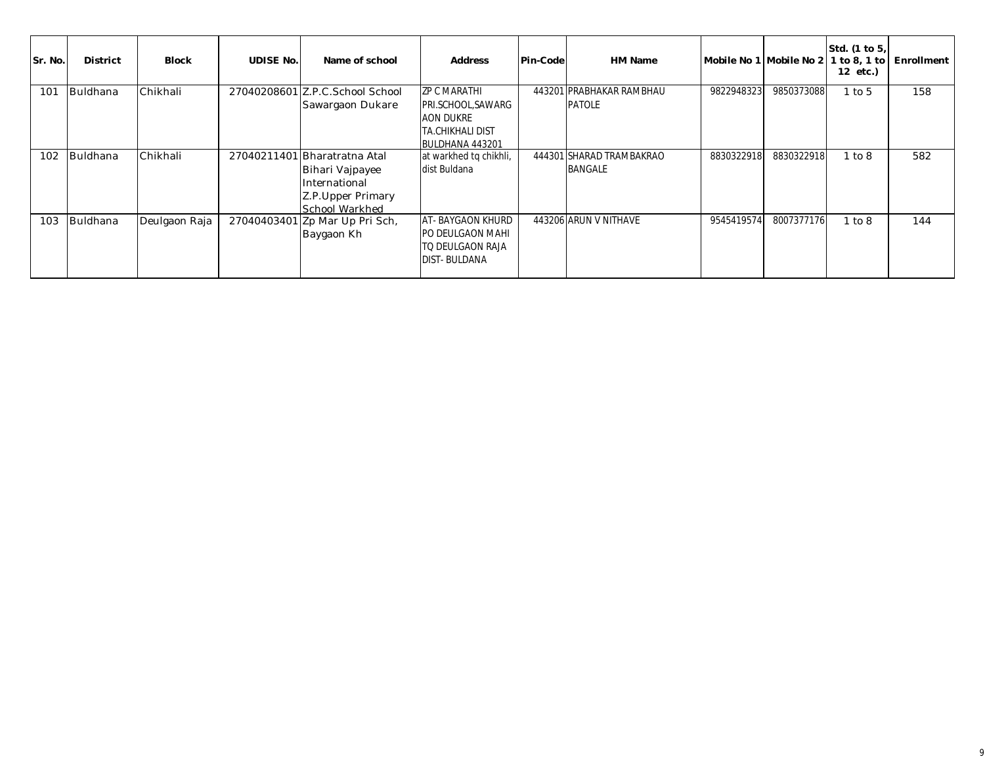| Sr. No. | <b>District</b> | <b>Block</b>  | <b>UDISE No.</b> | Name of school                                                                                           | <b>Address</b>                                                                                              | Pin-Code | HM Name                                    | Mobile No 1 Mobile No 2 |            | Std. (1 to 5,<br>$1$ to 8, 1 to<br>12 etc.) | Enrollment |
|---------|-----------------|---------------|------------------|----------------------------------------------------------------------------------------------------------|-------------------------------------------------------------------------------------------------------------|----------|--------------------------------------------|-------------------------|------------|---------------------------------------------|------------|
| 101     | Buldhana        | Chikhali      |                  | 27040208601 Z.P.C.School School<br>Sawargaon Dukare                                                      | <b>ZP C MARATHI</b><br>PRI.SCHOOL, SAWARG<br><b>AON DUKRE</b><br><b>TA.CHIKHALI DIST</b><br>BULDHANA 443201 |          | 443201 PRABHAKAR RAMBHAU<br><b>PATOLE</b>  | 9822948323              | 9850373088 | $1$ to $5$                                  | 158        |
| 102     | <b>Buldhana</b> | Chikhali      |                  | 27040211401 Bharatratna Atal<br>Bihari Vajpayee<br>International<br>Z.P. Upper Primary<br>School Warkhed | at warkhed to chikhli,<br>dist Buldana                                                                      |          | 444301 SHARAD TRAMBAKRAO<br><b>BANGALE</b> | 8830322918              | 8830322918 | 1 to 8                                      | 582        |
| 103     | Buldhana        | Deulgaon Raja |                  | 27040403401 Zp Mar Up Pri Sch,<br>Baygaon Kh                                                             | <b>AT-BAYGAON KHURD</b><br>PO DEULGAON MAHI<br>TO DEULGAON RAJA<br><b>DIST-BULDANA</b>                      |          | 443206 ARUN V NITHAVE                      | 9545419574              | 8007377176 | 1 to 8                                      | 144        |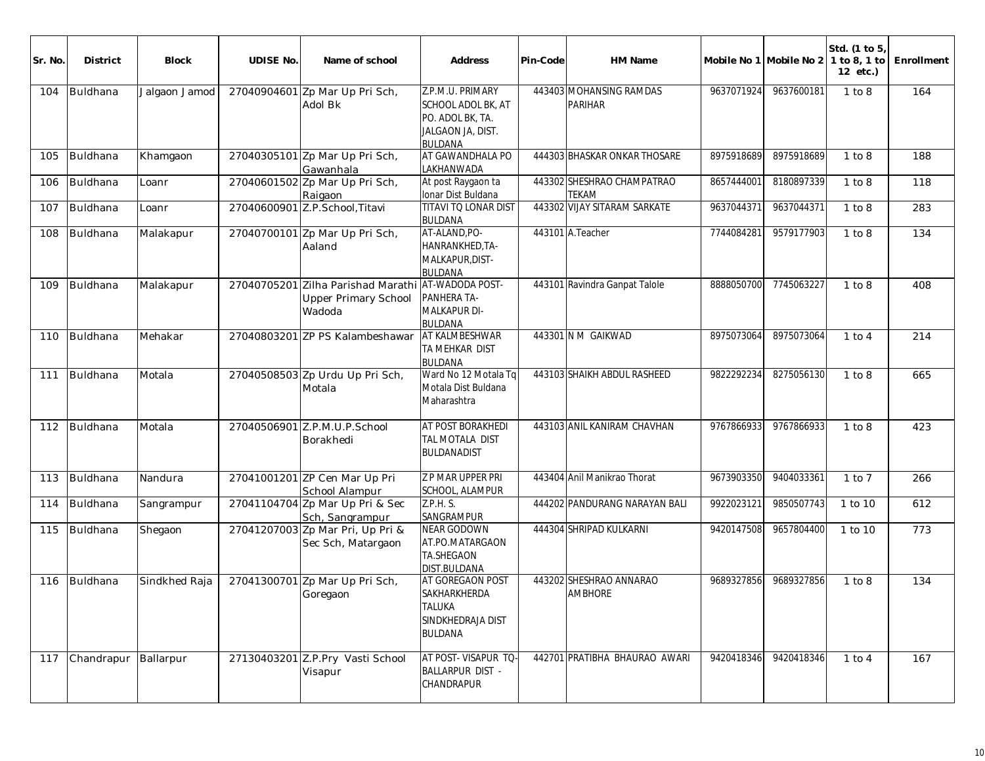| Sr. No. | <b>District</b> | Block         | <b>UDISE No.</b> | Name of school                                                                  | Address                                                                                                  | Pin-Code | HM Name                                    |            | Mobile No 1 Mobile No 2 | Std. (1 to 5)<br>1 to 8, 1 to<br>$12$ etc.) | Enrollment |
|---------|-----------------|---------------|------------------|---------------------------------------------------------------------------------|----------------------------------------------------------------------------------------------------------|----------|--------------------------------------------|------------|-------------------------|---------------------------------------------|------------|
| 104     | Buldhana        | Jalgaon Jamod |                  | 27040904601 Zp Mar Up Pri Sch,<br>Adol Bk                                       | Z.P.M.U. PRIMARY<br><b>SCHOOL ADOL BK, AT</b><br>PO. ADOL BK, TA.<br>JALGAON JA, DIST.<br><b>BULDANA</b> |          | 443403 MOHANSING RAMDAS<br><b>PARIHAR</b>  | 9637071924 | 9637600181              | 1 to 8                                      | 164        |
| 105     | Buldhana        | Khamgaon      |                  | 27040305101 Zp Mar Up Pri Sch,<br>Gawanhala                                     | AT GAWANDHALA PO<br>LAKHANWADA                                                                           |          | 444303 BHASKAR ONKAR THOSARE               | 8975918689 | 8975918689              | 1 to 8                                      | 188        |
| 106     | Buldhana        | Loanr         |                  | 27040601502 Zp Mar Up Pri Sch,<br>Raigaon                                       | At post Raygaon ta<br>Ionar Dist Buldana                                                                 |          | 443302 SHESHRAO CHAMPATRAO<br><b>TEKAM</b> | 8657444001 | 8180897339              | 1 to 8                                      | 118        |
| 107     | Buldhana        | Loanr         |                  | 27040600901 Z.P.School, Titavi                                                  | <b>TITAVI TO LONAR DIST</b><br><b>BULDANA</b>                                                            |          | 443302 VIJAY SITARAM SARKATE               | 9637044371 | 9637044371              | 1 to 8                                      | 283        |
| 108     | Buldhana        | Malakapur     |                  | 27040700101 Zp Mar Up Pri Sch,<br>Aaland                                        | AT-ALAND, PO-<br>HANRANKHED, TA-<br>MALKAPUR, DIST-<br><b>BULDANA</b>                                    |          | 443101 A.Teacher                           | 7744084281 | 9579177903              | 1 to 8                                      | 134        |
| 109     | Buldhana        | Malakapur     | 27040705201      | Zilha Parishad Marathi AT-WADODA POST-<br><b>Upper Primary School</b><br>Wadoda | PANHERA TA-<br>MALKAPUR DI-<br><b>BULDANA</b>                                                            |          | 443101 Ravindra Ganpat Talole              | 8888050700 | 7745063227              | 1 to 8                                      | 408        |
| 110     | Buldhana        | Mehakar       |                  | 27040803201 ZP PS Kalambeshawar                                                 | AT KALMBESHWAR<br>TA MEHKAR DIST<br><b>BULDANA</b>                                                       |          | 443301 N M GAIKWAD                         | 8975073064 | 8975073064              | $1$ to $4$                                  | 214        |
| 111     | Buldhana        | Motala        |                  | 27040508503 Zp Urdu Up Pri Sch,<br>Motala                                       | Ward No 12 Motala Tq<br>Motala Dist Buldana<br>Maharashtra                                               |          | 443103 SHAIKH ABDUL RASHEED                | 9822292234 | 8275056130              | 1 to 8                                      | 665        |
| 112     | Buldhana        | Motala        |                  | 27040506901 Z.P.M.U.P.School<br>Borakhedi                                       | AT POST BORAKHEDI<br>TAL MOTALA DIST<br><b>BULDANADIST</b>                                               |          | 443103 ANIL KANIRAM CHAVHAN                | 9767866933 | 9767866933              | 1 to 8                                      | 423        |
| 113     | Buldhana        | Nandura       |                  | 27041001201 ZP Cen Mar Up Pri<br>School Alampur                                 | Z P MAR UPPER PRI<br>SCHOOL, ALAMPUR                                                                     |          | 443404 Anil Manikrao Thorat                | 9673903350 | 9404033361              | $1$ to $7$                                  | 266        |
| 114     | Buldhana        | Sangrampur    |                  | 27041104704 Zp Mar Up Pri & Sec<br>Sch, Sangrampur                              | Z.P.H. S.<br>SANGRAMPUR                                                                                  |          | 444202 PANDURANG NARAYAN BALI              | 9922023121 | 9850507743              | 1 to 10                                     | 612        |
| 115     | Buldhana        | Shegaon       |                  | 27041207003 Zp Mar Pri, Up Pri &<br>Sec Sch, Matargaon                          | <b>NEAR GODOWN</b><br>AT.PO.MATARGAON<br><b>TA.SHEGAON</b><br><b>DIST.BULDANA</b>                        |          | 444304 SHRIPAD KULKARNI                    | 9420147508 | 9657804400              | 1 to 10                                     | 773        |
| 116     | Buldhana        | Sindkhed Raja |                  | 27041300701 Zp Mar Up Pri Sch,<br>Goregaon                                      | AT GOREGAON POST<br>SAKHARKHERDA<br><b>TALUKA</b><br>SINDKHEDRAJA DIST<br><b>BULDANA</b>                 |          | 443202 SHESHRAO ANNARAO<br><b>AMBHORE</b>  | 9689327856 | 9689327856              | 1 to 8                                      | 134        |
| 117     | Chandrapur      | Ballarpur     |                  | 27130403201 Z.P.Pry Vasti School<br>Visapur                                     | AT POST-VISAPUR TQ-<br><b>BALLARPUR DIST -</b><br>CHANDRAPUR                                             |          | 442701 PRATIBHA BHAURAO AWARI              | 9420418346 | 9420418346              | $1$ to $4$                                  | 167        |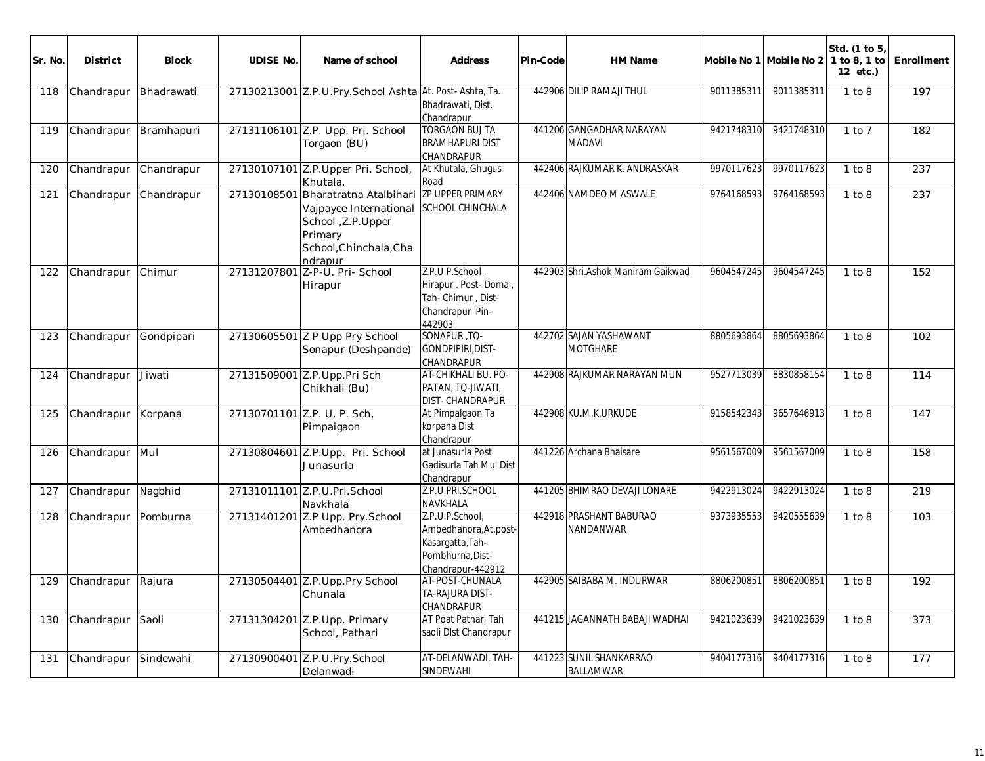| Sr. No. | <b>District</b> | <b>Block</b> | <b>UDISE No.</b> | Name of school                                                                                                                           | <b>Address</b>                                                                                        | Pin-Code | HM Name                                     |            | Mobile No 1 Mobile No 2 | Std. (1 to 5,<br>1 to 8, 1 to<br>12 etc.) | Enrollment |
|---------|-----------------|--------------|------------------|------------------------------------------------------------------------------------------------------------------------------------------|-------------------------------------------------------------------------------------------------------|----------|---------------------------------------------|------------|-------------------------|-------------------------------------------|------------|
| 118     | Chandrapur      | Bhadrawati   |                  | 27130213001 Z.P.U.Pry.School Ashta At. Post-Ashta, Ta.                                                                                   | Bhadrawati, Dist.<br>Chandrapur                                                                       |          | 442906 DILIP RAMAJI THUL                    | 9011385311 | 9011385311              | 1 to 8                                    | 197        |
| 119     | Chandrapur      | Bramhapuri   |                  | 27131106101 Z.P. Upp. Pri. School<br>Torgaon (BU)                                                                                        | <b>TORGAON BUJ TA</b><br><b>BRAMHAPURI DIST</b><br>CHANDRAPUR                                         |          | 441206 GANGADHAR NARAYAN<br><b>MADAVI</b>   | 9421748310 | 9421748310              | $1$ to $7$                                | 182        |
| 120     | Chandrapur      | Chandrapur   |                  | 27130107101 Z.P. Upper Pri. School,<br>Khutala.                                                                                          | At Khutala, Ghugus<br>Road                                                                            |          | 442406 RAJKUMAR K. ANDRASKAR                | 9970117623 | 9970117623              | 1 to 8                                    | 237        |
| 121     | Chandrapur      | Chandrapur   | 27130108501      | Bharatratna Atalbihari ZP UPPER PRIMARY<br>Vajpayee International<br>School , Z.P. Upper<br>Primary<br>School, Chinchala, Cha<br>ndrapur | <b>SCHOOL CHINCHALA</b>                                                                               |          | 442406 NAMDEO M ASWALE                      | 9764168593 | 9764168593              | 1 to 8                                    | 237        |
| 122     | Chandrapur      | Chimur       | 27131207801      | Z-P-U. Pri- School<br>Hirapur                                                                                                            | Z.P.U.P.School,<br>Hirapur . Post-Doma,<br>Tah-Chimur, Dist-<br>Chandrapur Pin-<br>442903             |          | 442903 Shri Ashok Maniram Gaikwad           | 9604547245 | 9604547245              | 1 to 8                                    | 152        |
| 123     | Chandrapur      | Gondpipari   |                  | 27130605501 Z P Upp Pry School<br>Sonapur (Deshpande)                                                                                    | SONAPUR ,TQ-<br>GONDPIPIRI, DIST-<br>CHANDRAPUR                                                       |          | 442702 SAJAN YASHAWANT<br><b>MOTGHARE</b>   | 8805693864 | 8805693864              | 1 to 8                                    | 102        |
| 124     | Chandrapur      | Jiwati       |                  | 27131509001 Z.P. Upp Pri Sch<br>Chikhali (Bu)                                                                                            | AT-CHIKHALI BU. PO-<br>PATAN, TQ-JIWATI,<br><b>DIST- CHANDRAPUR</b>                                   |          | 442908 RAJKUMAR NARAYAN MUN                 | 9527713039 | 8830858154              | 1 to 8                                    | 114        |
| 125     | Chandrapur      | Korpana      |                  | 27130701101 Z.P. U. P. Sch,<br>Pimpaigaon                                                                                                | At Pimpalgaon Ta<br>korpana Dist<br>Chandrapur                                                        |          | 442908 KU.M.K.URKUDE                        | 9158542343 | 9657646913              | 1 to 8                                    | 147        |
| 126     | Chandrapur      | Mul          |                  | 27130804601 Z.P.Upp. Pri. School<br>Junasurla                                                                                            | at Junasurla Post<br>Gadisurla Tah Mul Dist<br>Chandrapur                                             |          | 441226 Archana Bhaisare                     | 9561567009 | 9561567009              | 1 to 8                                    | 158        |
| 127     | Chandrapur      | Nagbhid      |                  | 27131011101 Z.P.U.Pri.School<br>Navkhala                                                                                                 | Z.P.U.PRI.SCHOOL<br><b>NAVKHALA</b>                                                                   |          | 441205 BHIMRAO DEVAJI LONARE                | 9422913024 | 9422913024              | 1 to 8                                    | 219        |
| 128     | Chandrapur      | Pomburna     |                  | 27131401201 Z.P Upp. Pry.School<br>Ambedhanora                                                                                           | Z.P.U.P.School,<br>Ambedhanora, At.post-<br>Kasargatta, Tah-<br>Pombhurna, Dist-<br>Chandrapur-442912 |          | 442918 PRASHANT BABURAO<br><b>NANDANWAR</b> | 9373935553 | 9420555639              | 1 to 8                                    | 103        |
| 129     | Chandrapur      | Rajura       |                  | 27130504401 Z.P. Upp. Pry School<br>Chunala                                                                                              | AT-POST-CHUNALA<br>TA-RAJURA DIST-<br>CHANDRAPUR                                                      |          | 442905 SAIBABA M. INDURWAR                  | 8806200851 | 8806200851              | 1 to 8                                    | 192        |
| 130     | Chandrapur      | Saoli        |                  | 27131304201 Z.P.Upp. Primary<br>School, Pathari                                                                                          | AT Poat Pathari Tah<br>saoli DIst Chandrapur                                                          |          | 441215 JAGANNATH BABAJI WADHAI              | 9421023639 | 9421023639              | 1 to 8                                    | 373        |
| 131     | Chandrapur      | Sindewahi    | 27130900401      | Z.P.U.Pry.School<br>Delanwadi                                                                                                            | AT-DELANWADI, TAH-<br>SINDEWAHI                                                                       |          | 441223 SUNIL SHANKARRAO<br><b>BALLAMWAR</b> | 9404177316 | 9404177316              | 1 to 8                                    | 177        |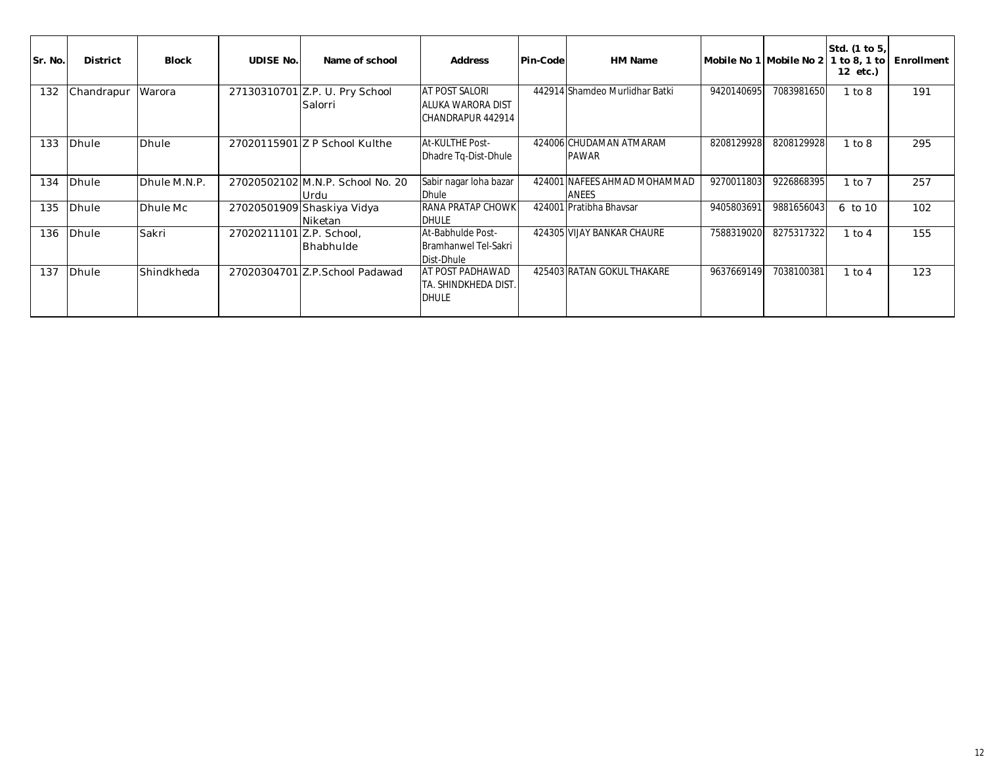| Sr. No. | <b>District</b> | <b>Block</b> | <b>UDISE No.</b>         | Name of school                            | <b>Address</b>                                                  | <b>Pin-Code</b> | <b>HM Name</b>                          | Mobile No 1 Mobile No 2 |            | Std. (1 to 5,<br>1 to 8, 1 to<br>12 etc.) | Enrollment |
|---------|-----------------|--------------|--------------------------|-------------------------------------------|-----------------------------------------------------------------|-----------------|-----------------------------------------|-------------------------|------------|-------------------------------------------|------------|
| 132     | Chandrapur      | Warora       |                          | 27130310701 Z.P. U. Pry School<br>Salorri | AT POST SALORI<br>ALUKA WARORA DIST<br>CHANDRAPUR 442914        |                 | 442914 Shamdeo Murlidhar Batki          | 9420140695              | 7083981650 | 1 to 8                                    | 191        |
| 133     | Dhule           | Dhule        |                          | 27020115901 Z P School Kulthe             | At-KULTHE Post-<br>Dhadre Tq-Dist-Dhule                         |                 | 424006 CHUDAMAN ATMARAM<br><b>PAWAR</b> | 8208129928              | 8208129928 | 1 to 8                                    | 295        |
| 134     | Dhule           | Dhule M.N.P. |                          | 27020502102 M.N.P. School No. 20<br>Urdu  | Sabir nagar loha bazar<br>Dhule                                 |                 | 424001 NAFEES AHMAD MOHAMMAD<br>ANEES   | 9270011803              | 9226868395 | $1$ to $7$                                | 257        |
| 135     | <b>Dhule</b>    | Dhule Mc     |                          | 27020501909 Shaskiya Vidya<br>Niketan     | <b>RANA PRATAP CHOWK</b><br><b>DHULE</b>                        |                 | 424001 Pratibha Bhaysar                 | 9405803691              | 9881656043 | 6 to 10                                   | 102        |
| 136     | <b>Dhule</b>    | Sakri        | 27020211101 Z.P. School, | Bhabhulde                                 | At-Babhulde Post-<br><b>Bramhanwel Tel-Sakri</b><br>Dist-Dhule  |                 | 424305 VIJAY BANKAR CHAURE              | 7588319020              | 8275317322 | $1$ to $4$                                | 155        |
| 137     | Dhule           | Shindkheda   |                          | 27020304701 Z.P.School Padawad            | <b>AT POST PADHAWAD</b><br>TA. SHINDKHEDA DIST.<br><b>DHULE</b> |                 | 425403 RATAN GOKUL THAKARE              | 9637669149              | 7038100381 | 1 to 4                                    | 123        |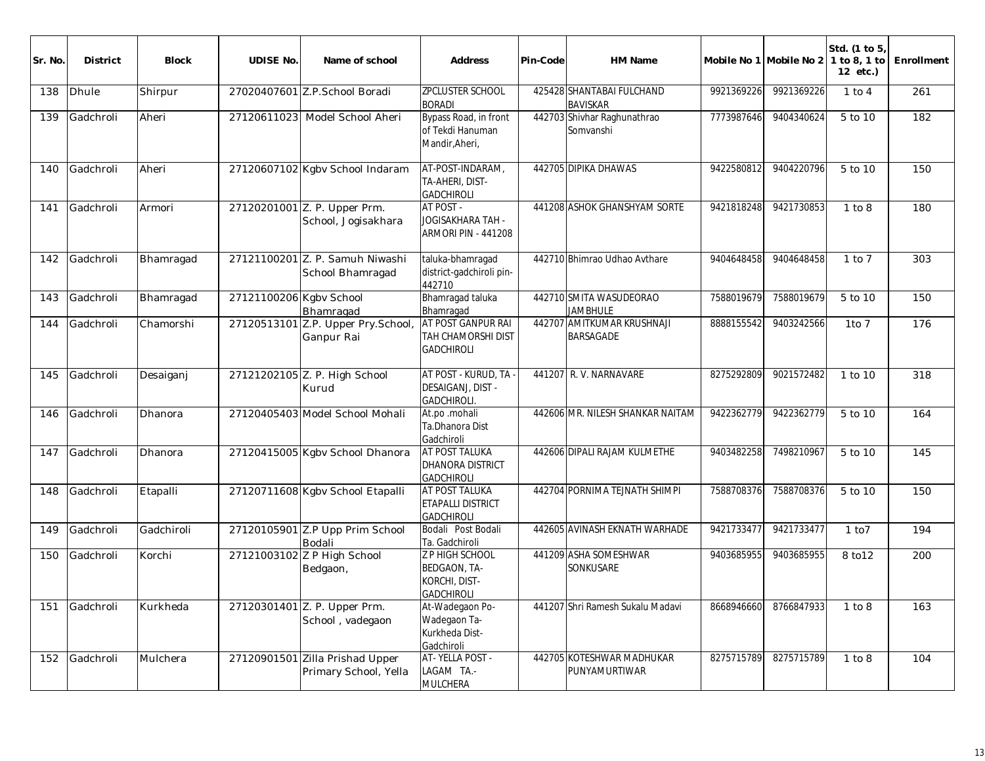| Sr. No. | <b>District</b> | <b>Block</b> | <b>UDISE No.</b>        | Name of school                                      | <b>Address</b>                                                        | Pin-Code | HM Name                                        |            | Mobile No 1 Mobile No 2 | Std. (1 to 5)<br>1 to 8, 1 to<br>12 etc.) | Enrollment |
|---------|-----------------|--------------|-------------------------|-----------------------------------------------------|-----------------------------------------------------------------------|----------|------------------------------------------------|------------|-------------------------|-------------------------------------------|------------|
| 138     | <b>Dhule</b>    | Shirpur      |                         | 27020407601 Z.P.School Boradi                       | <b>ZPCLUSTER SCHOOL</b><br><b>BORADI</b>                              |          | 425428 SHANTABAI FULCHAND<br><b>BAVISKAR</b>   | 9921369226 | 9921369226              | $1$ to $4$                                | 261        |
| 139     | Gadchroli       | Aheri        |                         | 27120611023 Model School Aheri                      | Bypass Road, in front<br>of Tekdi Hanuman<br>Mandir, Aheri,           |          | 442703 Shivhar Raghunathrao<br>Somvanshi       | 7773987646 | 9404340624              | 5 to 10                                   | 182        |
| 140     | Gadchroli       | Aheri        |                         | 27120607102 Kgbv School Indaram                     | AT-POST-INDARAM,<br>TA-AHERI, DIST-<br><b>GADCHIROLI</b>              |          | 442705 DIPIKA DHAWAS                           | 9422580812 | 9404220796              | 5 to 10                                   | 150        |
| 141     | Gadchroli       | Armori       |                         | 27120201001 Z. P. Upper Prm.<br>School, Jogisakhara | AT POST -<br>JOGISAKHARA TAH -<br>ARMORI PIN - 441208                 |          | 441208 ASHOK GHANSHYAM SORTE                   | 9421818248 | 9421730853              | 1 to 8                                    | 180        |
| 142     | Gadchroli       | Bhamragad    |                         | 27121100201 Z. P. Samuh Niwashi<br>School Bhamragad | taluka-bhamragad<br>district-gadchiroli pin-<br>442710                |          | 442710 Bhimrao Udhao Avthare                   | 9404648458 | 9404648458              | $1$ to $7$                                | 303        |
| 143     | Gadchroli       | Bhamragad    | 27121100206 Kgbv School | Bhamragad                                           | Bhamragad taluka<br>Bhamragad                                         |          | 442710 SMITA WASUDEORAO<br><b>JAMBHULE</b>     | 7588019679 | 7588019679              | 5 to 10                                   | 150        |
| 144     | Gadchroli       | Chamorshi    |                         | 27120513101 Z.P. Upper Pry.School,<br>Ganpur Rai    | AT POST GANPUR RAI<br><b>TAH CHAMORSHI DIST</b><br><b>GADCHIROLI</b>  |          | 442707 AMITKUMAR KRUSHNAJI<br><b>BARSAGADE</b> | 8888155542 | 9403242566              | $1$ to $7$                                | 176        |
| 145     | Gadchroli       | Desaiganj    |                         | 27121202105 Z. P. High School<br>Kurud              | AT POST - KURUD, TA<br>DESAIGANJ, DIST -<br>GADCHIROLI.               |          | 441207 R.V. NARNAVARE                          | 8275292809 | 9021572482              | 1 to 10                                   | 318        |
| 146     | Gadchroli       | Dhanora      |                         | 27120405403 Model School Mohali                     | At.po .mohali<br>Ta.Dhanora Dist<br>Gadchiroli                        |          | 442606 MR. NILESH SHANKAR NAITAM               | 9422362779 | 9422362779              | 5 to 10                                   | 164        |
| 147     | Gadchroli       | Dhanora      |                         | 27120415005 Kgbv School Dhanora                     | AT POST TALUKA<br><b>DHANORA DISTRICT</b><br><b>GADCHIROLI</b>        |          | 442606 DIPALI RAJAM KULMETHE                   | 9403482258 | 7498210967              | 5 to 10                                   | 145        |
| 148     | Gadchroli       | Etapalli     |                         | 27120711608 Kgbv School Etapalli                    | AT POST TALUKA<br><b>ETAPALLI DISTRICT</b><br><b>GADCHIROLI</b>       |          | 442704 PORNIMA TEJNATH SHIMPI                  | 7588708376 | 7588708376              | 5 to 10                                   | 150        |
| 149     | Gadchroli       | Gadchiroli   |                         | 27120105901 Z.P Upp Prim School<br>Bodali           | Bodali Post Bodali<br>Ta. Gadchiroli                                  |          | 442605 AVINASH EKNATH WARHADE                  | 9421733477 | 9421733477              | 1 to 7                                    | 194        |
| 150     | Gadchroli       | Korchi       |                         | 27121003102 Z P High School<br>Bedgaon,             | Z P HIGH SCHOOL<br>BEDGAON, TA-<br>KORCHI, DIST-<br><b>GADCHIROLI</b> |          | 441209 ASHA SOMESHWAR<br><b>SONKUSARE</b>      | 9403685955 | 9403685955              | 8 to 12                                   | 200        |
| 151     | Gadchroli       | Kurkheda     |                         | 27120301401 Z. P. Upper Prm.<br>School, vadegaon    | At-Wadegaon Po-<br>Wadegaon Ta-<br>Kurkheda Dist-<br>Gadchiroli       |          | 441207 Shri Ramesh Sukalu Madavi               | 8668946660 | 8766847933              | 1 to 8                                    | 163        |
| 152     | Gadchroli       | Mulchera     | 27120901501             | Zilla Prishad Upper<br>Primary School, Yella        | AT-YELLA POST -<br>LAGAM TA.-<br><b>MULCHERA</b>                      |          | 442705 KOTESHWAR MADHUKAR<br>PUNYAMURTIWAR     | 8275715789 | 8275715789              | 1 to 8                                    | 104        |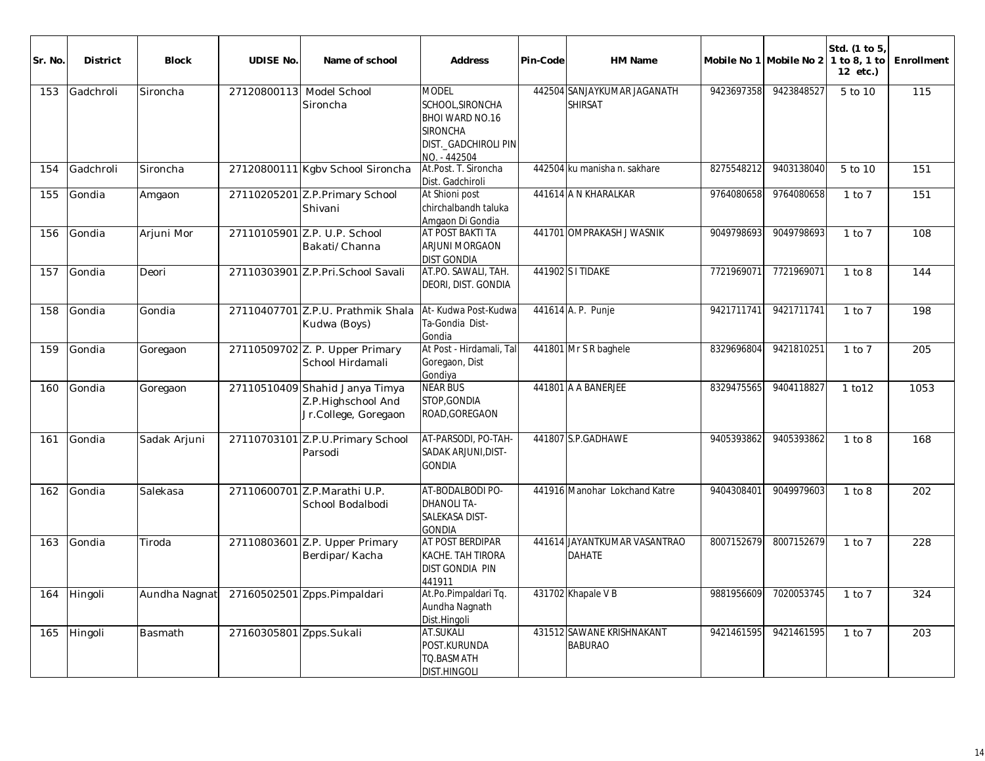| Sr. No. | <b>District</b> | <b>Block</b>  | <b>UDISE No.</b>        | Name of school                                                               | <b>Address</b>                                                                                                        | Pin-Code | <b>HM Name</b>                                |            | Mobile No 1 Mobile No 2 | Std. (1 to 5<br>1 to 8, 1 to<br>12 etc.) | Enrollment |
|---------|-----------------|---------------|-------------------------|------------------------------------------------------------------------------|-----------------------------------------------------------------------------------------------------------------------|----------|-----------------------------------------------|------------|-------------------------|------------------------------------------|------------|
| 153     | Gadchroli       | Sironcha      |                         | 27120800113 Model School<br>Sironcha                                         | <b>MODEL</b><br>SCHOOL, SIRONCHA<br><b>BHOI WARD NO.16</b><br><b>SIRONCHA</b><br>DIST._GADCHIROLI PIN<br>NO. - 442504 |          | 442504 SANJAYKUMAR JAGANATH<br><b>SHIRSAT</b> | 9423697358 | 9423848527              | 5 to 10                                  | 115        |
| 154     | Gadchroli       | Sironcha      |                         | 27120800111 Kgbv School Sironcha                                             | At.Post. T. Sironcha<br>Dist. Gadchiroli                                                                              |          | 442504 ku manisha n. sakhare                  | 8275548212 | 9403138040              | 5 to 10                                  | 151        |
| 155     | Gondia          | Amgaon        |                         | 27110205201 Z.P. Primary School<br>Shivani                                   | At Shioni post<br>chirchalbandh taluka<br>Amgaon Di Gondia                                                            |          | 441614 A N KHARALKAR                          | 9764080658 | 9764080658              | $1$ to $7$                               | 151        |
| 156     | Gondia          | Arjuni Mor    |                         | 27110105901 Z.P. U.P. School<br>Bakati/Channa                                | AT POST BAKTI TA<br><b>ARJUNI MORGAON</b><br><b>DIST GONDIA</b>                                                       |          | 441701 OMPRAKASH J WASNIK                     | 9049798693 | 9049798693              | $1$ to $7$                               | 108        |
| 157     | Gondia          | Deori         |                         | 27110303901 Z.P.Pri.School Savali                                            | AT.PO. SAWALI, TAH.<br>DEORI, DIST. GONDIA                                                                            |          | 441902 S I TIDAKE                             | 7721969071 | 7721969071              | 1 to 8                                   | 144        |
| 158     | Gondia          | Gondia        |                         | 27110407701 Z.P.U. Prathmik Shala<br>Kudwa (Boys)                            | At-Kudwa Post-Kudwa<br>Ta-Gondia Dist-<br>Gondia                                                                      |          | 441614 A. P. Punje                            | 9421711741 | 9421711741              | $1$ to $7$                               | 198        |
| 159     | Gondia          | Goregaon      |                         | 27110509702 Z. P. Upper Primary<br>School Hirdamali                          | At Post - Hirdamali, Tal<br>Goregaon, Dist<br>Gondiya                                                                 |          | 441801 Mr S R baghele                         | 8329696804 | 9421810251              | $1$ to $7$                               | 205        |
| 160     | Gondia          | Goregaon      |                         | 27110510409 Shahid Janya Timya<br>Z.P.Highschool And<br>Jr.College, Goregaon | <b>NEAR BUS</b><br>STOP, GONDIA<br>ROAD, GOREGAON                                                                     |          | 441801 A A BANERJEE                           | 8329475565 | 9404118827              | 1 to 12                                  | 1053       |
| 161     | Gondia          | Sadak Arjuni  |                         | 27110703101 Z.P.U.Primary School<br>Parsodi                                  | AT-PARSODI, PO-TAH-<br>SADAK ARJUNI, DIST-<br><b>GONDIA</b>                                                           |          | 441807 S.P.GADHAWE                            | 9405393862 | 9405393862              | 1 to 8                                   | 168        |
| 162     | Gondia          | Salekasa      |                         | 27110600701 Z.P.Marathi U.P.<br>School Bodalbodi                             | AT-BODALBODI PO-<br><b>DHANOLI TA-</b><br>SALEKASA DIST-<br><b>GONDIA</b>                                             |          | 441916 Manohar Lokchand Katre                 | 9404308401 | 9049979603              | 1 to 8                                   | 202        |
| 163     | Gondia          | Tiroda        |                         | 27110803601 Z.P. Upper Primary<br>Berdipar/Kacha                             | AT POST BERDIPAR<br>KACHE. TAH TIRORA<br>DIST GONDIA PIN<br>441911                                                    |          | 441614 JAYANTKUMAR VASANTRAO<br><b>DAHATE</b> | 8007152679 | 8007152679              | $1$ to $7$                               | 228        |
| 164     | Hingoli         | Aundha Nagnat |                         | 27160502501 Zpps.Pimpaldari                                                  | At.Po.Pimpaldari Tq.<br>Aundha Nagnath<br>Dist.Hingoli                                                                |          | 431702 Khapale V B                            | 9881956609 | 7020053745              | $1$ to $7$                               | 324        |
| 165     | Hingoli         | Basmath       | 27160305801 Zpps.Sukali |                                                                              | AT.SUKALI<br>POST.KURUNDA<br>TO.BASMATH<br>DIST.HINGOLI                                                               |          | 431512 SAWANE KRISHNAKANT<br><b>BABURAO</b>   | 9421461595 | 9421461595              | $1$ to $7$                               | 203        |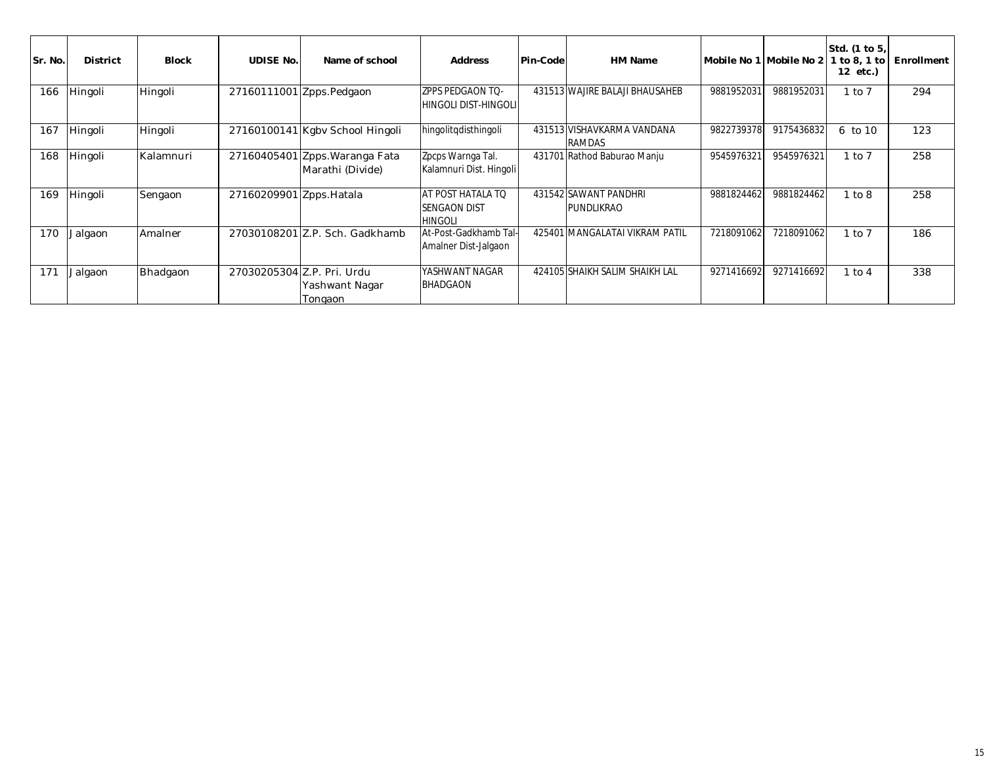| Sr. No. | <b>District</b> | <b>Block</b>   | <b>UDISE No.</b>         | Name of school                                          | <b>Address</b>                                             | Pin-Code | HM Name                              |            | Mobile No 1 Mobile No 2 | Std. (1 to 5,<br>1 to 8, 1 to<br>12 etc.) | Enrollment |
|---------|-----------------|----------------|--------------------------|---------------------------------------------------------|------------------------------------------------------------|----------|--------------------------------------|------------|-------------------------|-------------------------------------------|------------|
| 166     | Hingoli         | <b>Hingoli</b> |                          | 27160111001 Zpps.Pedgaon                                | <b>ZPPS PEDGAON TO-</b><br>HINGOLI DIST-HINGOLII           |          | 431513 WAJIRE BALAJI BHAUSAHEB       | 9881952031 | 9881952031              | $1$ to $7$                                | 294        |
| 167     | Hingoli         | Hingoli        |                          | 27160100141 Kgby School Hingoli                         | hingolitqdisthingoli                                       |          | 431513 VISHAVKARMA VANDANA<br>RAMDAS | 9822739378 | 9175436832              | $6$ to $10$                               | 123        |
| 168     | Hingoli         | Kalamnuri      |                          | 27160405401 Zpps. Waranga Fata<br>Marathi (Divide)      | Zpcps Warnga Tal.<br>Kalamnuri Dist. Hingoli               |          | 431701 Rathod Baburao Manju          | 9545976321 | 9545976321              | $1$ to $7$                                | 258        |
| 169     | Hingoli         | Sengaon        | 27160209901 Zpps. Hatala |                                                         | AT POST HATALA TO<br><b>SENGAON DIST</b><br><b>HINGOLI</b> |          | 431542 SAWANT PANDHRI<br>PUNDLIKRAO  | 9881824462 | 9881824462              | 1 to 8                                    | 258        |
| 170     | Jalgaon         | Amalner        |                          | 27030108201 Z.P. Sch. Gadkhamb                          | At-Post-Gadkhamb Tal-<br>Amalner Dist-Jalgaon              |          | 425401 MANGALATAI VIKRAM PATIL       | 7218091062 | 7218091062              | $1$ to $7$                                | 186        |
| 171     | Jalgaon         | Bhadgaon       |                          | 27030205304 Z.P. Pri. Urdu<br>Yashwant Nagar<br>Tongaon | YASHWANT NAGAR<br><b>BHADGAON</b>                          |          | 424105 SHAIKH SALIM SHAIKH LAL       | 9271416692 | 9271416692              | $1$ to $4$                                | 338        |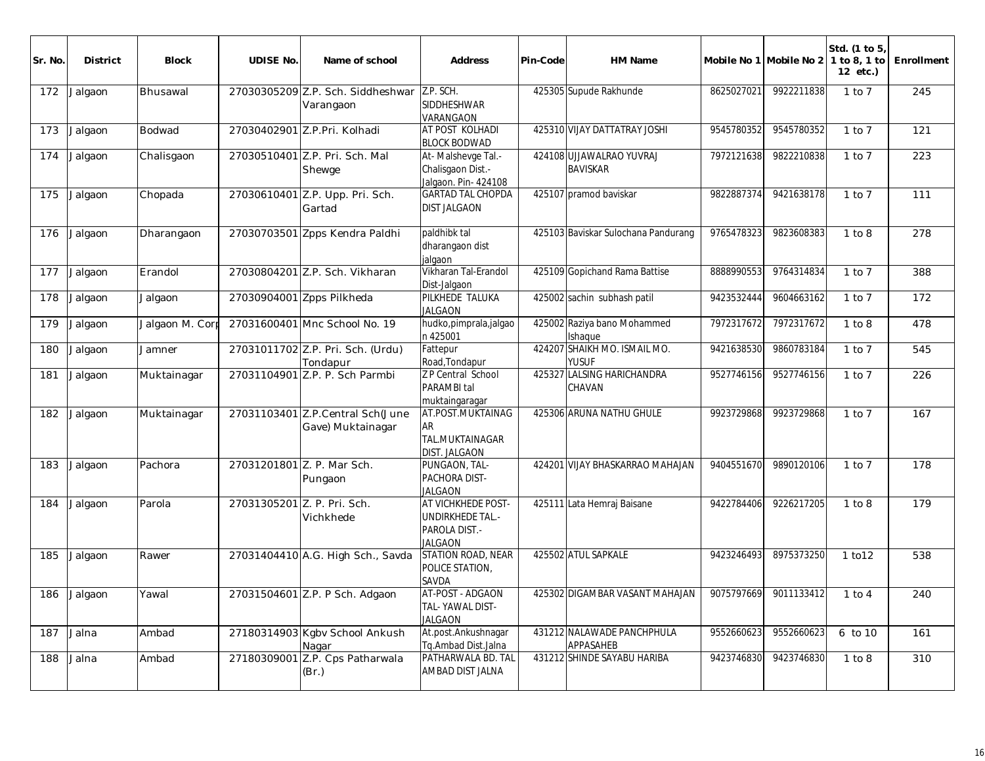| Sr. No | <b>District</b> | <b>Block</b>    | <b>UDISE No.</b>            | Name of school                                        | <b>Address</b>                                                                    | Pin-Code | HM Name                                                |            | Mobile No 1 Mobile No 2 | Std. (1 to 5)<br>1 to 8, 1 to<br>12 etc.) | Enrollment |
|--------|-----------------|-----------------|-----------------------------|-------------------------------------------------------|-----------------------------------------------------------------------------------|----------|--------------------------------------------------------|------------|-------------------------|-------------------------------------------|------------|
| 172    | Jalgaon         | Bhusawal        |                             | 27030305209 Z.P. Sch. Siddheshwar<br>Varangaon        | Z.P. SCH.<br>SIDDHESHWAR<br>VARANGAON                                             |          | 425305 Supude Rakhunde                                 | 8625027021 | 9922211838              | $1$ to $7$                                | 245        |
| 173    | Jalgaon         | Bodwad          |                             | 27030402901 Z.P.Pri. Kolhadi                          | AT POST KOLHADI<br><b>BLOCK BODWAD</b>                                            |          | 425310 VIJAY DATTATRAY JOSHI                           | 9545780352 | 9545780352              | $1$ to $7$                                | 121        |
| 174    | Jalgaon         | Chalisgaon      |                             | 27030510401 Z.P. Pri. Sch. Mal<br>Shewge              | At-Malshevge Tal.-<br>Chalisgaon Dist.-<br>Jalgaon. Pin- 424108                   |          | 424108 UJJAWALRAO YUVRAJ<br><b>BAVISKAR</b>            | 7972121638 | 9822210838              | $1$ to $7$                                | 223        |
| 175    | Jalgaon         | Chopada         |                             | 27030610401 Z.P. Upp. Pri. Sch.<br>Gartad             | <b>GARTAD TAL CHOPDA</b><br><b>DIST JALGAON</b>                                   |          | 425107 pramod baviskar                                 | 9822887374 | 9421638178              | $1$ to $7$                                | 111        |
| 176    | Jalgaon         | Dharangaon      |                             | 27030703501 Zpps Kendra Paldhi                        | paldhibk tal<br>dharangaon dist<br>jalgaon                                        |          | 425103 Baviskar Sulochana Pandurang                    | 9765478323 | 9823608383              | 1 to 8                                    | 278        |
| 177    | Jalgaon         | Erandol         |                             | 27030804201 Z.P. Sch. Vikharan                        | Vikharan Tal-Erandol<br>Dist-Jalgaon                                              |          | 425109 Gopichand Rama Battise                          | 8888990553 | 9764314834              | $1$ to $7$                                | 388        |
| 178    | Jalgaon         | Jalgaon         |                             | 27030904001 Zpps Pilkheda                             | PILKHEDE TALUKA<br><b>JALGAON</b>                                                 |          | 425002 sachin subhash patil                            | 9423532444 | 9604663162              | $1$ to $7$                                | 172        |
| 179    | Jalgaon         | Jalgaon M. Corr |                             | 27031600401 Mnc School No. 19                         | hudko,pimprala,jalgao<br>n 425001                                                 |          | 425002 Raziya bano Mohammed<br>Ishaque                 | 7972317672 | 7972317672              | 1 to 8                                    | 478        |
| 180    | Jalgaon         | Jamner          |                             | 27031011702 Z.P. Pri. Sch. (Urdu)<br>Tondapur         | Fattepur<br>Road, Tondapur                                                        |          | 424207 SHAIKH MO. ISMAIL MO.<br><b>YUSUF</b>           | 9421638530 | 9860783184              | $1$ to $7$                                | 545        |
| 181    | Jalgaon         | Muktainagar     |                             | 27031104901 Z.P. P. Sch Parmbi                        | Z P Central School<br>PARAMBI tal<br>muktaingaragar                               |          | 425327 LALSING HARICHANDRA<br>CHAVAN                   | 9527746156 | 9527746156              | $1$ to $7$                                | 226        |
| 182    | Jalgaon         | Muktainagar     |                             | 27031103401 Z.P.Central Sch(June<br>Gave) Muktainagar | AT.POST.MUKTAINAG<br><b>AR</b><br>TAL.MUKTAINAGAR<br><b>DIST. JALGAON</b>         |          | 425306 ARUNA NATHU GHULE                               | 9923729868 | 9923729868              | 1 to 7                                    | 167        |
| 183    | Jalgaon         | Pachora         |                             | 27031201801 Z. P. Mar Sch.<br>Pungaon                 | PUNGAON, TAL-<br>PACHORA DIST-<br><b>JALGAON</b>                                  |          | 424201 VIJAY BHASKARRAO MAHAJAN                        | 9404551670 | 9890120106              | $1$ to $7$                                | 178        |
| 184    | Jalgaon         | Parola          | 27031305201 Z. P. Pri. Sch. | Vichkhede                                             | AT VICHKHEDE POST-<br><b>UNDIRKHEDE TAL .-</b><br>PAROLA DIST.-<br><b>JALGAON</b> |          | 425111 Lata Hemraj Baisane                             | 9422784406 | 9226217205              | 1 to 8                                    | 179        |
| 185    | Jalgaon         | Rawer           |                             | 27031404410 A.G. High Sch., Savda                     | STATION ROAD, NEAR<br>POLICE STATION,<br>SAVDA                                    |          | 425502 ATUL SAPKALE                                    | 9423246493 | 8975373250              | 1 to 12                                   | 538        |
|        | 186 Jalgaon     | Yawal           |                             | 27031504601 Z.P. P Sch. Adgaon                        | AT-POST - ADGAON<br>TAL-YAWAL DIST-<br><b>JALGAON</b>                             |          | 425302 DIGAMBAR VASANT MAHAJAN   9075797669 9011133412 |            |                         | $-1$ to 4                                 | 240        |
| 187    | Jalna           | Ambad           |                             | 27180314903 Kgbv School Ankush<br>Nagar               | At.post.Ankushnagar<br>Tq.Ambad Dist.Jalna                                        |          | 431212 NALAWADE PANCHPHULA<br>APPASAHEB                | 9552660623 | 9552660623              | 6 to 10                                   | 161        |
| 188    | Jalna           | Ambad           |                             | 27180309001 Z.P. Cps Patharwala<br>(Br.)              | PATHARWALA BD. TAL<br>AMBAD DIST JALNA                                            |          | 431212 SHINDE SAYABU HARIBA                            | 9423746830 | 9423746830              | 1 to 8                                    | 310        |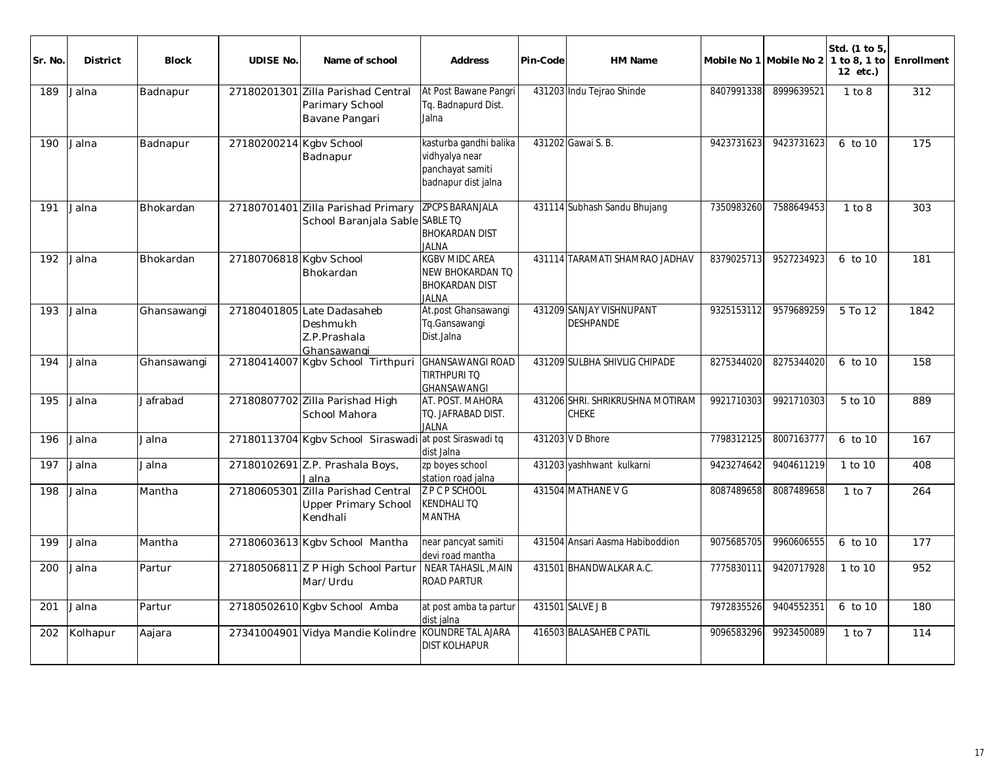| Sr. No | <b>District</b> | <b>Block</b> | <b>UDISE No.</b>        | Name of school                                                          | <b>Address</b>                                                                            | Pin-Code | HM Name                                          |            | Mobile No 1 Mobile No 2 | Std. (1 to 5)<br>1 to 8, 1 to<br>12 etc.) | Enrollment |
|--------|-----------------|--------------|-------------------------|-------------------------------------------------------------------------|-------------------------------------------------------------------------------------------|----------|--------------------------------------------------|------------|-------------------------|-------------------------------------------|------------|
| 189    | Jalna           | Badnapur     |                         | 27180201301 Zilla Parishad Central<br>Parimary School<br>Bavane Pangari | At Post Bawane Pangri<br>Tg. Badnapurd Dist.<br>Jalna                                     |          | 431203 Indu Tejrao Shinde                        | 8407991338 | 8999639521              | 1 to 8                                    | 312        |
| 190    | Jalna           | Badnapur     | 27180200214 Kgbv School | Badnapur                                                                | kasturba gandhi balika<br>vidhyalya near<br>panchayat samiti<br>badnapur dist jalna       |          | 431202 Gawai S. B.                               | 9423731623 | 9423731623              | $6$ to $10$                               | 175        |
| 191    | Jalna           | Bhokardan    |                         | 27180701401 Zilla Parishad Primary<br>School Baranjala Sable SABLE TO   | <b>ZPCPS BARANJALA</b><br><b>BHOKARDAN DIST</b><br>JALNA                                  |          | 431114 Subhash Sandu Bhujang                     | 7350983260 | 7588649453              | 1 to 8                                    | 303        |
| 192    | Jalna           | Bhokardan    | 27180706818 Kgbv School | Bhokardan                                                               | <b>KGBV MIDC AREA</b><br><b>NEW BHOKARDAN TO</b><br><b>BHOKARDAN DIST</b><br><b>JALNA</b> |          | 431114 TARAMATI SHAMRAO JADHAV                   | 8379025713 | 9527234923              | 6 to 10                                   | 181        |
| 193    | Jalna           | Ghansawangi  |                         | 27180401805 Late Dadasaheb<br>Deshmukh<br>Z.P.Prashala<br>Ghansawangi   | At.post Ghansawangi<br>Tq.Gansawangi<br>Dist.Jalna                                        |          | 431209 SANJAY VISHNUPANT<br><b>DESHPANDE</b>     | 9325153112 | 9579689259              | 5 To 12                                   | 1842       |
| 194    | Jalna           | Ghansawangi  |                         | 27180414007 Kgbv School Tirthpuri                                       | <b>GHANSAWANGI ROAD</b><br><b>TIRTHPURI TO</b><br><b>GHANSAWANGI</b>                      |          | 431209 SULBHA SHIVLIG CHIPADE                    | 8275344020 | 8275344020              | 6 to 10                                   | 158        |
| 195    | Jalna           | Jafrabad     |                         | 27180807702 Zilla Parishad High<br>School Mahora                        | AT. POST. MAHORA<br>TO. JAFRABAD DIST.<br><b>JALNA</b>                                    |          | 431206 SHRI. SHRIKRUSHNA MOTIRAM<br><b>CHEKE</b> | 9921710303 | 9921710303              | 5 to 10                                   | 889        |
| 196    | Jalna           | Jalna        |                         | 27180113704 Kgbv School Siraswadi at post Siraswadi tq                  | dist Jalna                                                                                |          | 431203 V D Bhore                                 | 7798312125 | 8007163777              | 6 to 10                                   | 167        |
| 197    | Jalna           | Jalna        |                         | 27180102691 Z.P. Prashala Boys,<br>Jalna                                | zp boyes school<br>station road jalna                                                     |          | 431203 yashhwant kulkarni                        | 9423274642 | 9404611219              | 1 to 10                                   | 408        |
| 198    | Jalna           | Mantha       | 27180605301             | Zilla Parishad Central<br><b>Upper Primary School</b><br>Kendhali       | Z P C P SCHOOL<br><b>KENDHALI TQ</b><br><b>MANTHA</b>                                     |          | 431504 MATHANE V G                               | 8087489658 | 8087489658              | $1$ to $7$                                | 264        |
| 199    | Jalna           | Mantha       |                         | 27180603613 Kgbv School Mantha                                          | near pancyat samiti<br>devi road mantha                                                   |          | 431504 Ansari Aasma Habiboddion                  | 9075685705 | 9960606555              | 6 to 10                                   | 177        |
| 200    | Jalna           | Partur       |                         | 27180506811 Z P High School Partur<br>Mar/Urdu                          | NEAR TAHASIL, MAIN<br><b>ROAD PARTUR</b>                                                  |          | 431501 BHANDWALKAR A.C.                          | 7775830111 | 9420717928              | 1 to 10                                   | 952        |
| 201    | Jalna           | Partur       |                         | 27180502610 Kgbv School Amba                                            | at post amba ta partur<br>dist jalna                                                      |          | 431501 SALVE J B                                 | 7972835526 | 9404552351              | 6 to 10                                   | 180        |
| 202    | Kolhapur        | Aajara       |                         | 27341004901 Vidya Mandie Kolindre                                       | KOLINDRE TAL AJARA<br><b>DIST KOLHAPUR</b>                                                |          | 416503 BALASAHEB C PATIL                         | 9096583296 | 9923450089              | $1$ to $7$                                | 114        |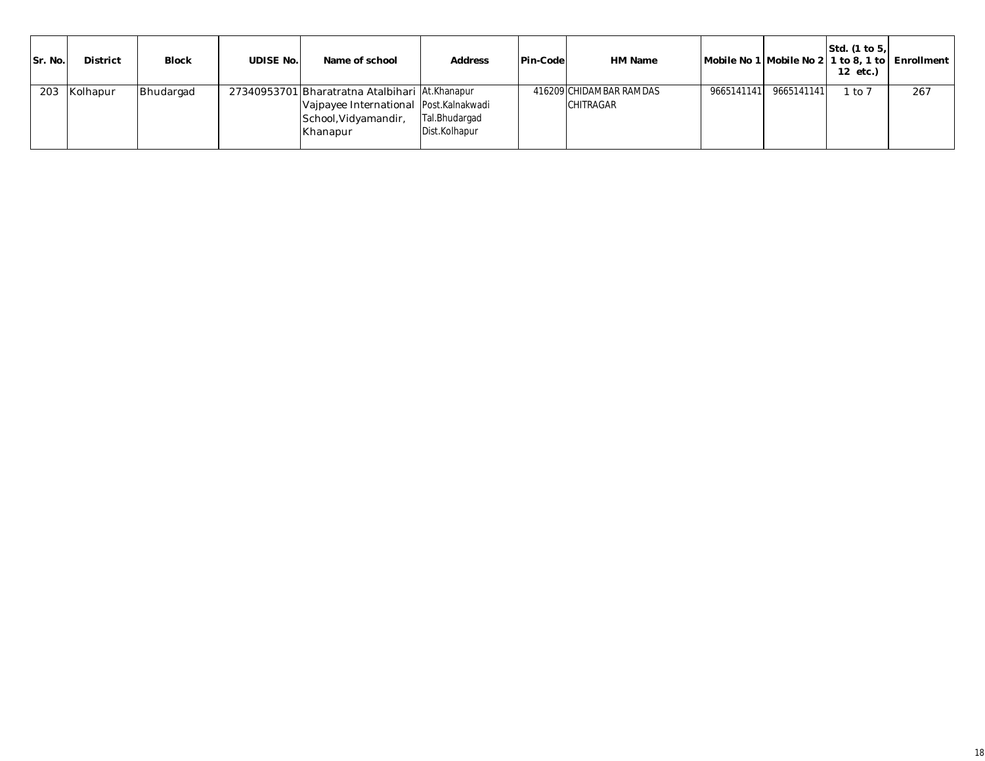| Sr. No. | <b>District</b> | <b>Block</b> | UDISE No. | Name of school                                                                                                               | <b>Address</b>                 | Pin-Code | HM Name                                     |            |            | Std. $(1 to 5)$<br>12 etc.) | Mobile No 1 Mobile No 2 1 to 8, 1 to Enrollment |
|---------|-----------------|--------------|-----------|------------------------------------------------------------------------------------------------------------------------------|--------------------------------|----------|---------------------------------------------|------------|------------|-----------------------------|-------------------------------------------------|
| 203     | Kolhapur        | Bhudargad    |           | 27340953701 Bharatratna Atalbihari At.Khanapur<br>Vajpayee International Post.Kalnakwadi<br>School, Vidyamandir,<br>Khanapur | Tal.Bhudargad<br>Dist.Kolhapur |          | 416209 CHIDAMBAR RAMDAS<br><b>CHITRAGAR</b> | 9665141141 | 9665141141 | to 7                        | 267                                             |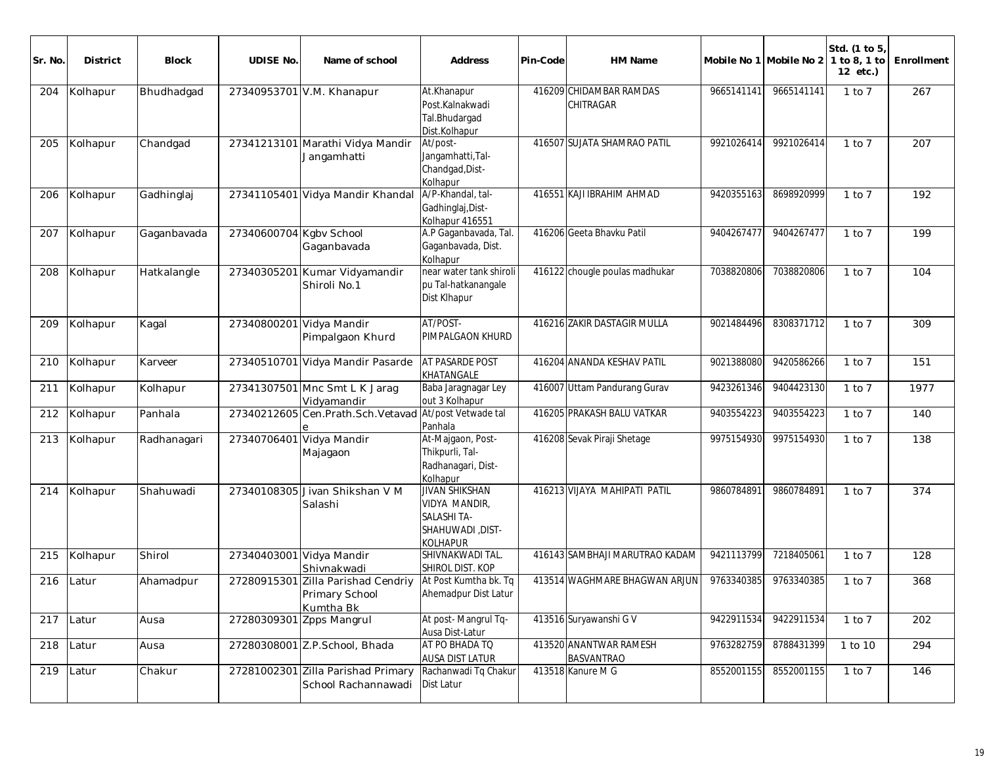| Sr. No. | <b>District</b> | Block       | <b>UDISE No.</b>         | Name of school                                                    | <b>Address</b>                                                                                            | Pin-Code | HM Name                                     |            | Mobile No 1 Mobile No 2 | Std. (1 to 5)<br>1 to 8, 1 to<br>12 etc.) | Enrollment |
|---------|-----------------|-------------|--------------------------|-------------------------------------------------------------------|-----------------------------------------------------------------------------------------------------------|----------|---------------------------------------------|------------|-------------------------|-------------------------------------------|------------|
| 204     | Kolhapur        | Bhudhadgad  |                          | 27340953701 V.M. Khanapur                                         | At.Khanapur<br>Post.Kalnakwadi<br>Tal.Bhudargad<br>Dist.Kolhapur                                          |          | 416209 CHIDAMBAR RAMDAS<br>CHITRAGAR        | 9665141141 | 9665141141              | $1$ to $7$                                | 267        |
| 205     | Kolhapur        | Chandgad    |                          | 27341213101 Marathi Vidya Mandir<br>Jangamhatti                   | At/post-<br>Jangamhatti, Tal-<br>Chandgad, Dist-<br>Kolhapur                                              |          | 416507 SUJATA SHAMRAO PATIL                 | 9921026414 | 9921026414              | $1$ to $7$                                | 207        |
| 206     | Kolhapur        | Gadhinglaj  |                          | 27341105401 Vidya Mandir Khandal                                  | A/P-Khandal, tal-<br>Gadhinglaj, Dist-<br>Kolhapur 416551                                                 |          | 416551 KAJI IBRAHIM AHMAD                   | 9420355163 | 8698920999              | $1$ to $7$                                | 192        |
| 207     | Kolhapur        | Gaganbavada | 27340600704 Kgbv School  | Gaganbavada                                                       | A.P Gaganbavada, Tal.<br>Gaganbavada, Dist.<br>Kolhapur                                                   |          | 416206 Geeta Bhavku Patil                   | 9404267477 | 9404267477              | $1$ to $7$                                | 199        |
| 208     | Kolhapur        | Hatkalangle |                          | 27340305201 Kumar Vidyamandir<br>Shiroli No.1                     | near water tank shiroli<br>pu Tal-hatkanangale<br>Dist Klhapur                                            |          | 416122 chougle poulas madhukar              | 7038820806 | 7038820806              | $1$ to $7$                                | 104        |
| 209     | Kolhapur        | Kagal       | 27340800201 Vidya Mandir | Pimpalgaon Khurd                                                  | AT/POST-<br>PIMPALGAON KHURD                                                                              |          | 416216 ZAKIR DASTAGIR MULLA                 | 9021484496 | 8308371712              | $1$ to $7$                                | 309        |
| 210     | Kolhapur        | Karveer     |                          | 27340510701 Vidya Mandir Pasarde                                  | <b>AT PASARDE POST</b><br>KHATANGALE                                                                      |          | 416204 ANANDA KESHAV PATIL                  | 9021388080 | 9420586266              | $1$ to $7$                                | 151        |
| 211     | Kolhapur        | Kolhapur    |                          | 27341307501 Mnc Smt L K Jarag<br>Vidyamandir                      | Baba Jaragnagar Ley<br>out 3 Kolhapur                                                                     |          | 416007 Uttam Pandurang Gurav                | 9423261346 | 9404423130              | $1$ to $7$                                | 1977       |
| 212     | Kolhapur        | Panhala     |                          | 27340212605 Cen. Prath. Sch. Vetavad At/post Vetwade tal          | Panhala                                                                                                   |          | 416205 PRAKASH BALU VATKAR                  | 9403554223 | 9403554223              | $1$ to $7$                                | 140        |
| 213     | Kolhapur        | Radhanagari | 27340706401              | Vidya Mandir<br>Majagaon                                          | At-Majgaon, Post-<br>Thikpurli, Tal-<br>Radhanagari, Dist-<br>Kolhapur                                    |          | 416208 Sevak Piraji Shetage                 | 9975154930 | 9975154930              | $1$ to $7$                                | 138        |
| 214     | Kolhapur        | Shahuwadi   |                          | 27340108305 Jivan Shikshan V M<br>Salashi                         | <b>JIVAN SHIKSHAN</b><br><b>VIDYA MANDIR,</b><br><b>SALASHITA-</b><br><b>SHAHUWADI, DIST-</b><br>KOLHAPUR |          | 416213 VIJAYA MAHIPATI PATIL                | 9860784891 | 9860784891              | $1$ to $7$                                | 374        |
| 215     | Kolhapur        | Shirol      | 27340403001 Vidya Mandir | Shivnakwadi                                                       | SHIVNAKWADI TAL.<br>SHIROL DIST. KOP                                                                      |          | 416143 SAMBHAJI MARUTRAO KADAM              | 9421113799 | 7218405061              | $1$ to $7$                                | 128        |
| 216     | Latur           | Ahamadpur   |                          | 27280915301 Zilla Parishad Cendriy<br>Primary School<br>Kumtha Bk | At Post Kumtha bk. Tq<br>Ahemadpur Dist Latur                                                             |          | 413514 WAGHMARE BHAGWAN ARJUN               | 9763340385 | 9763340385              | $1$ to $7$                                | 368        |
| 217     | Latur           | Ausa        | 27280309301              | Zpps Mangrul                                                      | At post-Mangrul Tq-<br>Ausa Dist-Latur                                                                    |          | 413516 Suryawanshi G V                      | 9422911534 | 9422911534              | $1$ to $7$                                | 202        |
| 218     | Latur           | Ausa        |                          | 27280308001 Z.P.School, Bhada                                     | AT PO BHADA TO<br><b>AUSA DIST LATUR</b>                                                                  |          | 413520 ANANTWAR RAMESH<br><b>BASVANTRAO</b> | 9763282759 | 8788431399              | 1 to 10                                   | 294        |
| 219     | Latur           | Chakur      |                          | 27281002301 Zilla Parishad Primary<br>School Rachannawadi         | Rachanwadi Tq Chakur<br>Dist Latur                                                                        |          | 413518 Kanure M G                           | 8552001155 | 8552001155              | 1 to 7                                    | 146        |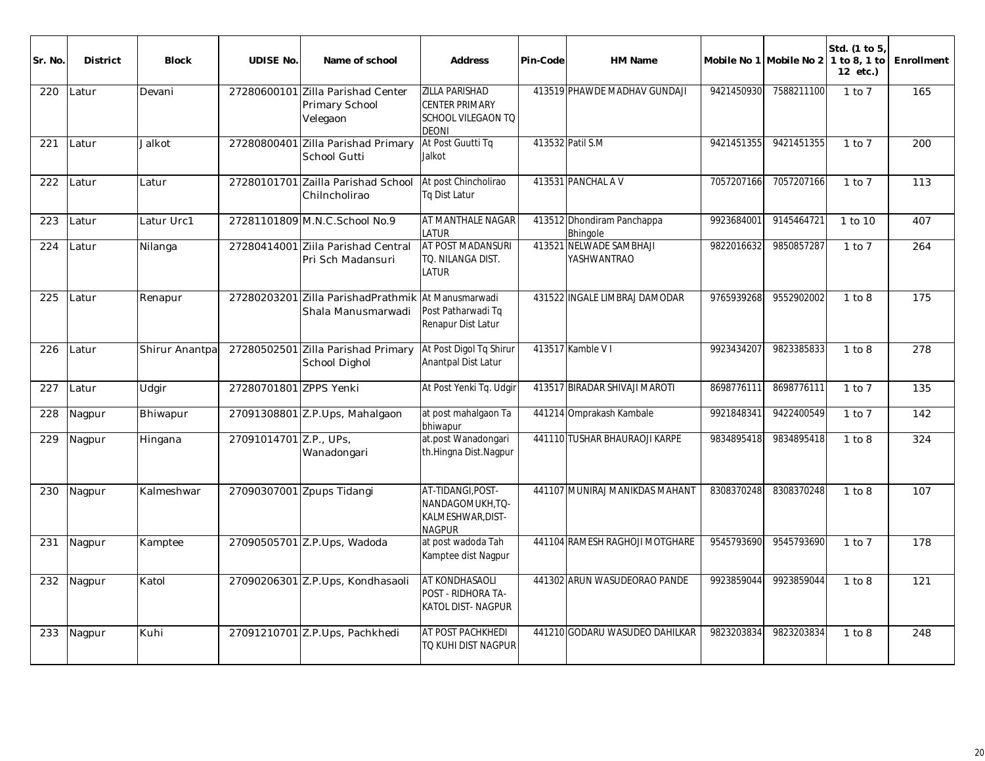| Sr. No | <b>District</b> | <b>Block</b>   | <b>UDISE No.</b>       | Name of school                                      | <b>Address</b>                                                                       | Pin-Code | HM Name                                |            | Mobile No 1 Mobile No 2 1 to 8, 1 to | Std. (1 to 5)<br>12 etc.) | Enrollment |
|--------|-----------------|----------------|------------------------|-----------------------------------------------------|--------------------------------------------------------------------------------------|----------|----------------------------------------|------------|--------------------------------------|---------------------------|------------|
| 220    | Latur           | Devani         | 27280600101            | Zilla Parishad Center<br>Primary School<br>Velegaon | <b>ZILLA PARISHAD</b><br><b>CENTER PRIMARY</b><br>SCHOOL VILEGAON TO<br><b>DEONI</b> |          | 413519 PHAWDE MADHAV GUNDAJI           | 9421450930 | 7588211100                           | $1$ to $7$                | 165        |
| 221    | Latur           | Jalkot         |                        | 27280800401 Zilla Parishad Primary<br>School Gutti  | At Post Guutti Tg<br>Jalkot                                                          |          | 413532 Patil S.M                       | 9421451355 | 9421451355                           | 1 to 7                    | 200        |
| 222    | Latur           | Latur          | 27280101701            | Zailla Parishad School<br>Chilncholirao             | At post Chincholirao<br>Tq Dist Latur                                                |          | 413531 PANCHAL AV                      | 7057207166 | 7057207166                           | $1$ to $7$                | 113        |
| 223    | Latur           | Latur Urc1     |                        | 27281101809 M.N.C.School No.9                       | AT MANTHALE NAGAR<br>LATUR                                                           |          | 413512 Dhondiram Panchappa<br>Bhingole | 9923684001 | 9145464721                           | 1 to 10                   | 407        |
| 224    | Latur           | Nilanga        | 27280414001            | Ziila Parishad Central<br>Pri Sch Madansuri         | AT POST MADANSURI<br>TO. NILANGA DIST.<br>LATUR                                      |          | 413521 NELWADE SAMBHAJI<br>YASHWANTRAO | 9822016632 | 9850857287                           | $1$ to $7$                | 264        |
| 225    | Latur           | Renapur        | 27280203201            | Zilla ParishadPrathmik<br>Shala Manusmarwadi        | At Manusmarwadi<br>Post Patharwadi Tq<br>Renapur Dist Latur                          |          | 431522 INGALE LIMBRAJ DAMODAR          | 9765939268 | 9552902002                           | $1$ to $8$                | 175        |
| 226    | Latur           | Shirur Anantpa |                        | 27280502501 Zilla Parishad Primary<br>School Dighol | At Post Digol Tq Shirur<br>Anantpal Dist Latur                                       |          | 413517 Kamble V I                      | 9923434207 | 9823385833                           | 1 to 8                    | 278        |
| 227    | Latur           | Udgir          | 27280701801 ZPPS Yenki |                                                     | At Post Yenki Tq. Udgir                                                              |          | 413517 BIRADAR SHIVAJI MAROTI          | 8698776111 | 8698776111                           | $1$ to $7$                | 135        |
| 228    | Nagpur          | Bhiwapur       |                        | 27091308801 Z.P.Ups, Mahalgaon                      | at post mahalgaon Ta<br>bhiwapur                                                     |          | 441214 Omprakash Kambale               | 9921848341 | 9422400549                           | $1$ to $7$                | 142        |
| 229    | Nagpur          | Hingana        | 27091014701 Z.P., UPs, | Wanadongari                                         | at.post Wanadongari<br>th.Hingna Dist.Nagpur                                         |          | 441110 TUSHAR BHAURAOJI KARPE          | 9834895418 | 9834895418                           | 1 to 8                    | 324        |
| 230    | Nagpur          | Kalmeshwar     |                        | 27090307001 Zpups Tidangi                           | AT-TIDANGI, POST-<br>NANDAGOMUKH, TQ-<br>KALMESHWAR, DIST-<br><b>NAGPUR</b>          |          | 441107 MUNIRAJ MANIKDAS MAHANT         | 8308370248 | 8308370248                           | 1 to 8                    | 107        |
| 231    | Nagpur          | Kamptee        |                        | 27090505701 Z.P.Ups, Wadoda                         | at post wadoda Tah<br>Kamptee dist Nagpur                                            |          | 441104 RAMESH RAGHOJI MOTGHARE         | 9545793690 | 9545793690                           | $1$ to $7$                | 178        |
| 232    | Nagpur          | Katol          |                        | 27090206301 Z.P.Ups, Kondhasaoli                    | AT KONDHASAOLI<br>POST - RIDHORA TA-<br>KATOL DIST- NAGPUR                           |          | 441302 ARUN WASUDEORAO PANDE           | 9923859044 | 9923859044                           | 1 to 8                    | 121        |
| 233    | Nagpur          | Kuhi           |                        | 27091210701 Z.P.Ups, Pachkhedi                      | AT POST PACHKHEDI<br>TQ KUHI DIST NAGPUR                                             |          | 441210 GODARU WASUDEO DAHILKAR         | 9823203834 | 9823203834                           | 1 to 8                    | 248        |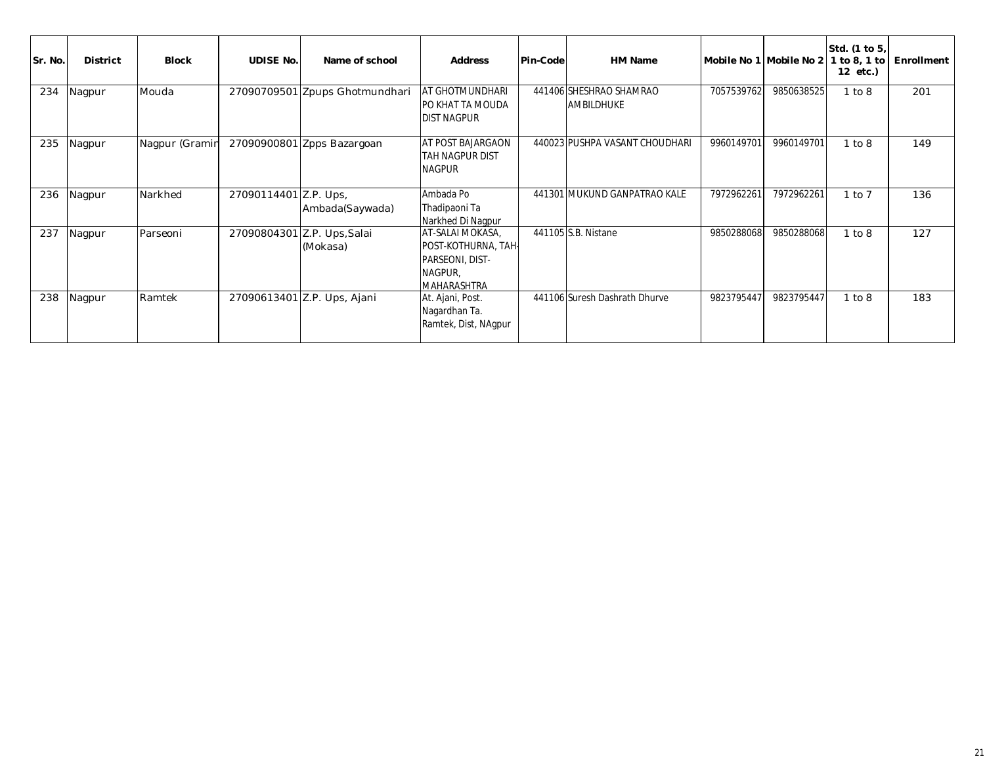| Sr. No. | <b>District</b> | <b>Block</b>   | <b>UDISE No.</b>      | Name of school                          | <b>Address</b>                                                                              | Pin-Code | <b>HM Name</b>                               |            | Mobile No 1 Mobile No 2 | Std. (1 to 5,<br>1 to 8, 1 to<br>12 etc.) | Enrollment |
|---------|-----------------|----------------|-----------------------|-----------------------------------------|---------------------------------------------------------------------------------------------|----------|----------------------------------------------|------------|-------------------------|-------------------------------------------|------------|
| 234     | Nagpur          | Mouda          |                       | 27090709501 Zpups Ghotmundhari          | <b>AT GHOTMUNDHARI</b><br>PO KHAT TA MOUDA<br>DIST NAGPUR                                   |          | 441406 SHESHRAO SHAMRAO<br><b>AMBILDHUKE</b> | 7057539762 | 9850638525              | 1 to 8                                    | 201        |
| 235     | Nagpur          | Nagpur (Gramir |                       | 27090900801 Zpps Bazargoan              | AT POST BAJARGAON<br>TAH NAGPUR DIST<br><b>NAGPUR</b>                                       |          | 440023 PUSHPA VASANT CHOUDHARI               | 9960149701 | 9960149701              | 1 to 8                                    | 149        |
| 236     | Nagpur          | Narkhed        | 27090114401 Z.P. Ups, | Ambada(Saywada)                         | Ambada Po<br>Thadipaoni Ta<br>Narkhed Di Nagpur                                             |          | 441301 MUKUND GANPATRAO KALE                 | 7972962261 | 7972962261              | $1$ to $7$                                | 136        |
| 237     | Nagpur          | Parseoni       |                       | 27090804301 Z.P. Ups, Salai<br>(Mokasa) | AT-SALAI MOKASA,<br>POST-KOTHURNA, TAH-<br>PARSEONI, DIST-<br>NAGPUR,<br><b>MAHARASHTRA</b> |          | 441105 S.B. Nistane                          | 9850288068 | 9850288068              | 1 to 8                                    | 127        |
| 238     | Nagpur          | Ramtek         |                       | 27090613401 Z.P. Ups, Ajani             | At. Ajani, Post.<br>Nagardhan Ta.<br>Ramtek, Dist, NAgpur                                   |          | 441106 Suresh Dashrath Dhurve                | 9823795447 | 9823795447              | 1 to 8                                    | 183        |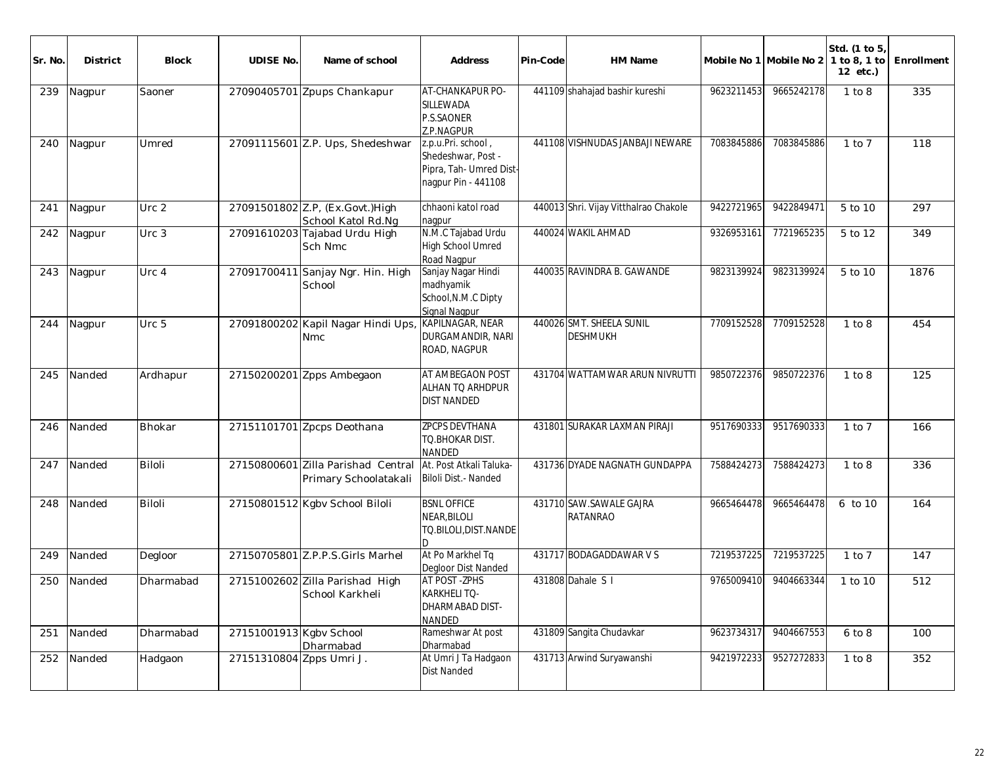| Sr. No. | <b>District</b> | <b>Block</b>  | <b>UDISE No.</b>         | Name of school                                              | Address                                                                                    | Pin-Code | HM Name                                     |            | Mobile No 1 Mobile No 2 | Std. (1 to 5)<br>1 to 8, 1 to<br>12 etc.) | Enrollment |
|---------|-----------------|---------------|--------------------------|-------------------------------------------------------------|--------------------------------------------------------------------------------------------|----------|---------------------------------------------|------------|-------------------------|-------------------------------------------|------------|
| 239     | Nagpur          | Saoner        |                          | 27090405701 Zpups Chankapur                                 | AT-CHANKAPUR PO-<br>SILLEWADA<br>P.S.SAONER<br>Z.P.NAGPUR                                  |          | 441109 shahajad bashir kureshi              | 9623211453 | 9665242178              | 1 to 8                                    | 335        |
| 240     | Nagpur          | Umred         |                          | 27091115601 Z.P. Ups, Shedeshwar                            | z.p.u.Pri. school,<br>Shedeshwar, Post -<br>Pipra, Tah- Umred Dist-<br>nagpur Pin - 441108 |          | 441108 VISHNUDAS JANBAJI NEWARE             | 7083845886 | 7083845886              | $1$ to $7$                                | 118        |
| 241     | Nagpur          | Urc 2         |                          | 27091501802 Z.P. (Ex.Govt.) High<br>School Katol Rd.Ng      | chhaoni katol road<br>nagpur                                                               |          | 440013 Shri. Vijay Vitthalrao Chakole       | 9422721965 | 9422849471              | 5 to 10                                   | 297        |
| 242     | Nagpur          | Urc 3         |                          | 27091610203 Tajabad Urdu High<br>Sch Nmc                    | N.M.C Tajabad Urdu<br>High School Umred<br>Road Nagpur                                     |          | 440024 WAKIL AHMAD                          | 9326953161 | 7721965235              | 5 to 12                                   | 349        |
| 243     | Nagpur          | Urc 4         |                          | 27091700411 Sanjay Ngr. Hin. High<br>School                 | Sanjay Nagar Hindi<br>madhyamik<br>School, N.M.C Dipty<br>Signal Nagpur                    |          | 440035 RAVINDRA B. GAWANDE                  | 9823139924 | 9823139924              | 5 to 10                                   | 1876       |
| 244     | Nagpur          | Urc 5         |                          | 27091800202 Kapil Nagar Hindi Ups,<br><b>Nmc</b>            | KAPILNAGAR, NEAR<br>DURGAMANDIR, NARI<br>ROAD, NAGPUR                                      |          | 440026 SMT. SHEELA SUNIL<br><b>DESHMUKH</b> | 7709152528 | 7709152528              | 1 to 8                                    | 454        |
| 245     | Nanded          | Ardhapur      |                          | 27150200201 Zpps Ambegaon                                   | AT AMBEGAON POST<br>ALHAN TO ARHDPUR<br><b>DIST NANDED</b>                                 |          | 431704 WATTAMWAR ARUN NIVRUTTI              | 9850722376 | 9850722376              | 1 to 8                                    | 125        |
| 246     | Nanded          | <b>Bhokar</b> |                          | 27151101701 Zpcps Deothana                                  | <b>ZPCPS DEVTHANA</b><br>TO.BHOKAR DIST.<br><b>NANDED</b>                                  |          | 431801 SURAKAR LAXMAN PIRAJI                | 9517690333 | 9517690333              | $1$ to $7$                                | 166        |
| 247     | Nanded          | <b>Biloli</b> |                          | 27150800601 Zilla Parishad Central<br>Primary Schoolatakali | At. Post Atkali Taluka-<br>Biloli Dist. - Nanded                                           |          | 431736 DYADE NAGNATH GUNDAPPA               | 7588424273 | 7588424273              | 1 to 8                                    | 336        |
| 248     | Nanded          | <b>Biloli</b> |                          | 27150801512 Kgbv School Biloli                              | <b>BSNL OFFICE</b><br>NEAR, BILOLI<br>TO.BILOLI, DIST. NANDE<br>D.                         |          | 431710 SAW.SAWALE GAJRA<br>RATANRAO         | 9665464478 | 9665464478              | 6 to 10                                   | 164        |
| 249     | Nanded          | Degloor       |                          | 27150705801 Z.P.P.S.Girls Marhel                            | At Po Markhel Tq<br>Degloor Dist Nanded                                                    |          | 431717 BODAGADDAWAR V S                     | 7219537225 | 7219537225              | $1$ to $7$                                | 147        |
| 250     | Nanded          | Dharmabad     |                          | 27151002602 Zilla Parishad High<br>School Karkheli          | AT POST -ZPHS<br><b>KARKHELI TO-</b><br>DHARMABAD DIST-<br>NANDED                          |          | 431808 Dahale S I                           | 9765009410 | 9404663344              | 1 to 10                                   | 512        |
| 251     | Nanded          | Dharmabad     | 27151001913 Kgbv School  | Dharmabad                                                   | Rameshwar At post<br>Dharmabad                                                             |          | 431809 Sangita Chudavkar                    | 9623734317 | 9404667553              | 6 to 8                                    | 100        |
| 252     | Nanded          | Hadgaon       | 27151310804 Zpps Umri J. |                                                             | At Umri J Ta Hadgaon<br>Dist Nanded                                                        |          | 431713 Arwind Suryawanshi                   | 9421972233 | 9527272833              | 1 to 8                                    | 352        |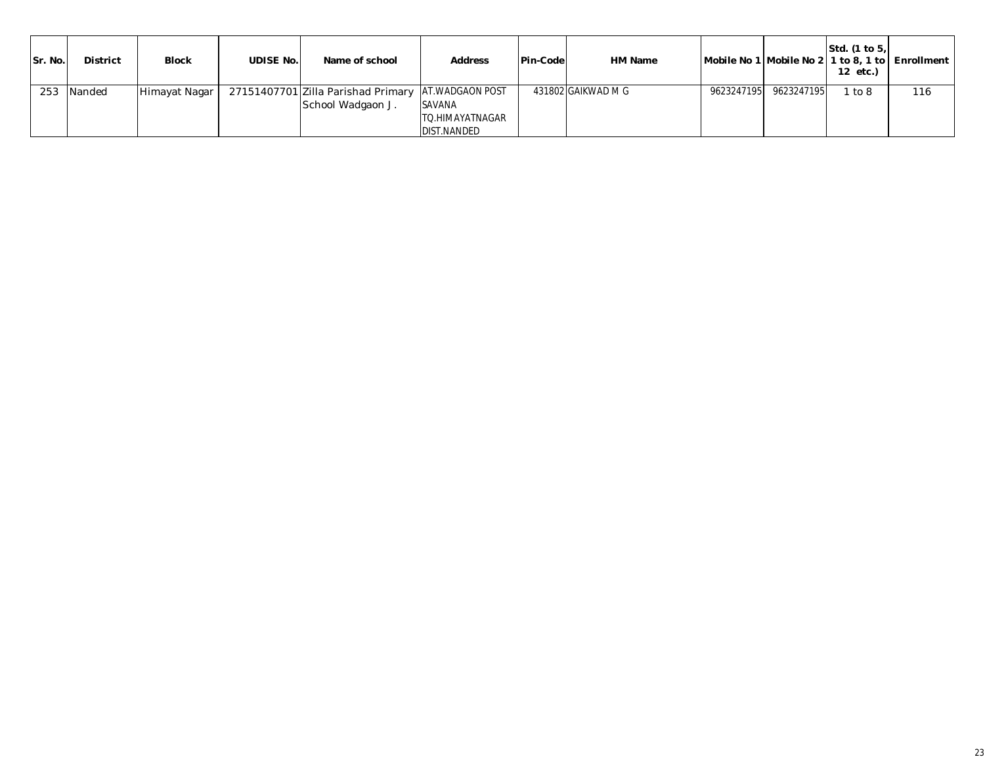| Sr. No. | <b>District</b> | <b>Block</b>  | <b>UDISE No.</b> | Name of school                                          | <b>Address</b>                                                    | Pin-Code | HM Name            |                       | Std. (1 to 5.<br>12 etc.) | Mobile No 1 Mobile No 2 1 to 8, 1 to Enrollment |
|---------|-----------------|---------------|------------------|---------------------------------------------------------|-------------------------------------------------------------------|----------|--------------------|-----------------------|---------------------------|-------------------------------------------------|
| 253     | Nanded          | Himayat Nagar |                  | 27151407701 Zilla Parishad Primary<br>School Wadgaon J. | <b>AT.WADGAON POST</b><br><b>SAVANA</b><br><b>TO.HIMAYATNAGAR</b> |          | 431802 GAIKWAD M G | 9623247195 9623247195 | to 8                      | 116                                             |
|         |                 |               |                  |                                                         | <b>DIST.NANDED</b>                                                |          |                    |                       |                           |                                                 |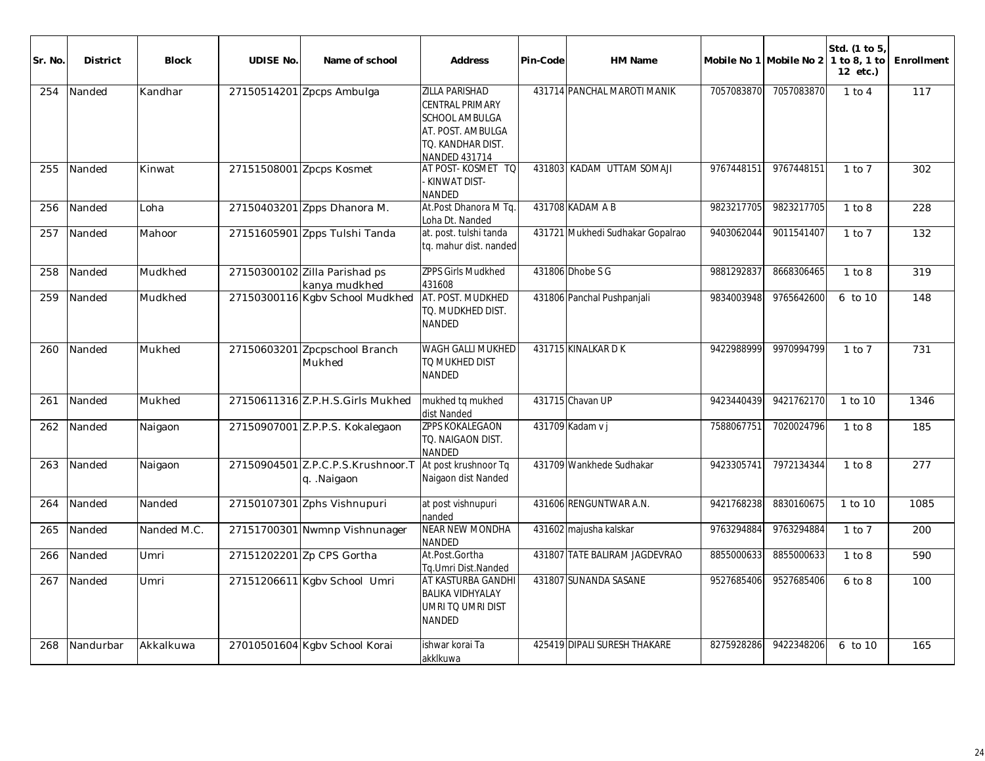| Sr. No. | <b>District</b> | <b>Block</b> | <b>UDISE No.</b> | Name of school                                  | Address                                                                                                                                    | Pin-Code | HM Name                          |            | Mobile No 1 Mobile No 2 | Std. (1 to 5)<br>1 to 8, 1 to<br>12 etc.) | Enrollment |
|---------|-----------------|--------------|------------------|-------------------------------------------------|--------------------------------------------------------------------------------------------------------------------------------------------|----------|----------------------------------|------------|-------------------------|-------------------------------------------|------------|
| 254     | Nanded          | Kandhar      |                  | 27150514201 Zpcps Ambulga                       | <b>ZILLA PARISHAD</b><br><b>CENTRAL PRIMARY</b><br><b>SCHOOL AMBULGA</b><br>AT. POST. AMBULGA<br>TO. KANDHAR DIST.<br><b>NANDED 431714</b> |          | 431714 PANCHAL MAROTI MANIK      | 7057083870 | 7057083870              | $1$ to $4$                                | 117        |
| 255     | Nanded          | Kinwat       |                  | 27151508001 Zpcps Kosmet                        | AT POST-KOSMET TO<br>KINWAT DIST-<br><b>NANDED</b>                                                                                         |          | 431803 KADAM UTTAM SOMAJI        | 9767448151 | 9767448151              | $1$ to $7$                                | 302        |
| 256     | Nanded          | Loha         |                  | 27150403201 Zpps Dhanora M.                     | At.Post Dhanora M Tq.<br>Loha Dt. Nanded                                                                                                   |          | 431708 KADAM A B                 | 9823217705 | 9823217705              | 1 to 8                                    | 228        |
| 257     | Nanded          | Mahoor       |                  | 27151605901 Zpps Tulshi Tanda                   | at. post. tulshi tanda<br>tq. mahur dist. nanded                                                                                           |          | 431721 Mukhedi Sudhakar Gopalrao | 9403062044 | 9011541407              | $1$ to $7$                                | 132        |
| 258     | Nanded          | Mudkhed      |                  | 27150300102 Zilla Parishad ps<br>kanya mudkhed  | <b>ZPPS Girls Mudkhed</b><br>431608                                                                                                        |          | 431806 Dhobe S G                 | 9881292837 | 8668306465              | 1 to 8                                    | 319        |
| 259     | Nanded          | Mudkhed      |                  | 27150300116 Kgbv School Mudkhed                 | AT. POST. MUDKHED<br>TO. MUDKHED DIST.<br><b>NANDED</b>                                                                                    |          | 431806 Panchal Pushpanjali       | 9834003948 | 9765642600              | 6 to 10                                   | 148        |
| 260     | Nanded          | Mukhed       |                  | 27150603201 Zpcpschool Branch<br>Mukhed         | <b>WAGH GALLI MUKHED</b><br>TO MUKHED DIST<br><b>NANDED</b>                                                                                |          | 431715 KINALKAR DK               | 9422988999 | 9970994799              | $1$ to $7$                                | 731        |
| 261     | Nanded          | Mukhed       |                  | 27150611316 Z.P.H.S.Girls Mukhed                | mukhed tq mukhed<br>dist Nanded                                                                                                            |          | 431715 Chavan UP                 | 9423440439 | 9421762170              | 1 to 10                                   | 1346       |
| 262     | Nanded          | Naigaon      |                  | 27150907001 Z.P.P.S. Kokalegaon                 | <b>ZPPS KOKALEGAON</b><br>TO. NAIGAON DIST.<br><b>NANDED</b>                                                                               |          | 431709 Kadam v j                 | 7588067751 | 7020024796              | 1 to 8                                    | 185        |
| 263     | Nanded          | Naigaon      |                  | 27150904501 Z.P.C.P.S.Krushnoor.T<br>q. Naigaon | At post krushnoor Tq<br>Naigaon dist Nanded                                                                                                |          | 431709 Wankhede Sudhakar         | 9423305741 | 7972134344              | 1 to 8                                    | 277        |
| 264     | Nanded          | Nanded       |                  | 27150107301 Zphs Vishnupuri                     | at post vishnupuri<br>nanded                                                                                                               |          | 431606 RENGUNTWAR A.N.           | 9421768238 | 8830160675              | 1 to 10                                   | 1085       |
| 265     | Nanded          | Nanded M.C.  |                  | 27151700301 Nwmnp Vishnunager                   | <b>NEAR NEW MONDHA</b><br><b>NANDED</b>                                                                                                    |          | 431602 majusha kalskar           | 9763294884 | 9763294884              | $1$ to $7$                                | 200        |
| 266     | Nanded          | Umri         |                  | 27151202201 Zp CPS Gortha                       | At.Post.Gortha<br>Tg.Umri Dist.Nanded                                                                                                      |          | 431807 TATE BALIRAM JAGDEVRAO    | 8855000633 | 8855000633              | 1 to 8                                    | 590        |
| 267     | Nanded          | Umri         |                  | 27151206611 Kgbv School Umri                    | AT KASTURBA GANDHI<br><b>BALIKA VIDHYALAY</b><br>UMRI TO UMRI DIST<br><b>NANDED</b>                                                        |          | 431807 SUNANDA SASANE            | 9527685406 | 9527685406              | 6 to 8                                    | 100        |
| 268     | Nandurbar       | Akkalkuwa    |                  | 27010501604 Kgbv School Korai                   | ishwar korai Ta<br>akklkuwa                                                                                                                |          | 425419 DIPALI SURESH THAKARE     | 8275928286 | 9422348206              | 6 to 10                                   | 165        |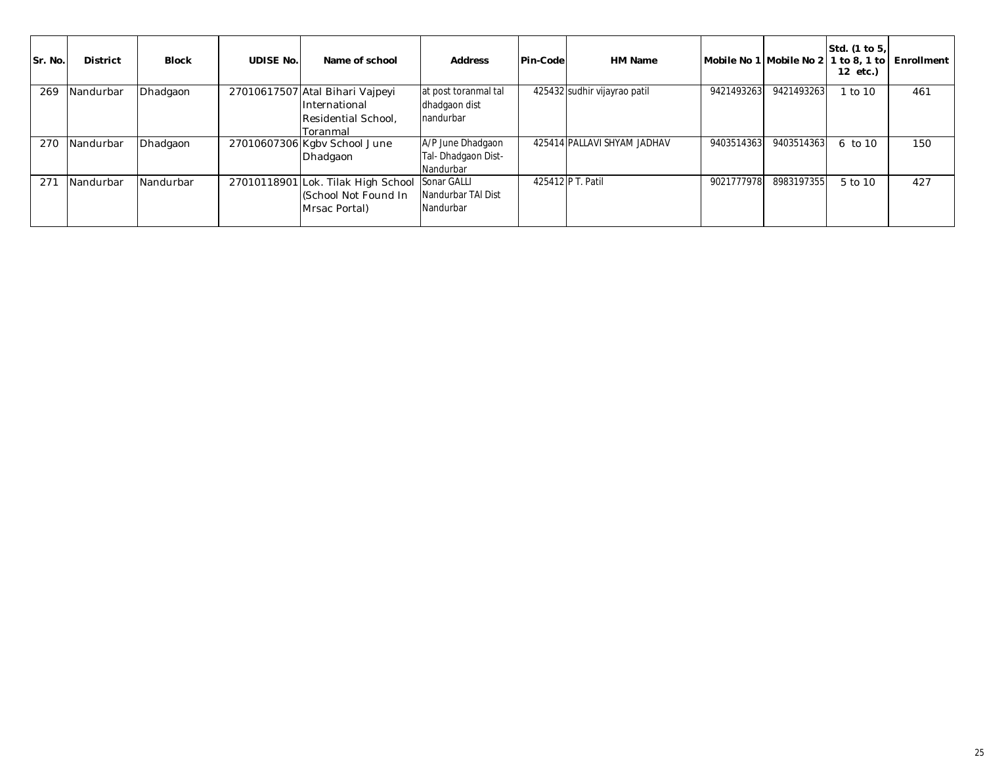| Sr. No. | <b>District</b> | <b>Block</b> | <b>UDISE No.</b> | Name of school                                                                       | <b>Address</b>                                        | Pin-Code | HM Name                      | Mobile No 1 Mobile No 2 l |            | Std. (1 to 5,<br>1 to 8, 1 to<br>12 etc.) | Enrollment |
|---------|-----------------|--------------|------------------|--------------------------------------------------------------------------------------|-------------------------------------------------------|----------|------------------------------|---------------------------|------------|-------------------------------------------|------------|
| 269     | Nandurbar       | Dhadgaon     |                  | 27010617507 Atal Bihari Vajpeyi<br>International<br>Residential School,<br>lToranmal | at post toranmal tal<br>dhadgaon dist<br>Inandurbar   |          | 425432 sudhir vijayrao patil | 9421493263                | 9421493263 | to 10                                     | 461        |
| 270     | Nandurbar       | Dhadgaon     |                  | 27010607306 Kgbv School June<br>Dhadgaon                                             | A/P June Dhadgaon<br>Tal- Dhadgaon Dist-<br>Nandurbar |          | 425414 PALLAVI SHYAM JADHAV  | 9403514363                | 9403514363 | 6 to 10                                   | 150        |
| 271     | Nandurbar       | Nandurbar    |                  | 27010118901 Lok. Tilak High School<br>(School Not Found In<br>Mrsac Portal)          | Sonar GALLI<br>Nandurbar TAI Dist<br>Nandurbar        |          | 425412 P T. Patil            | 9021777978                | 8983197355 | 5 to 10                                   | 427        |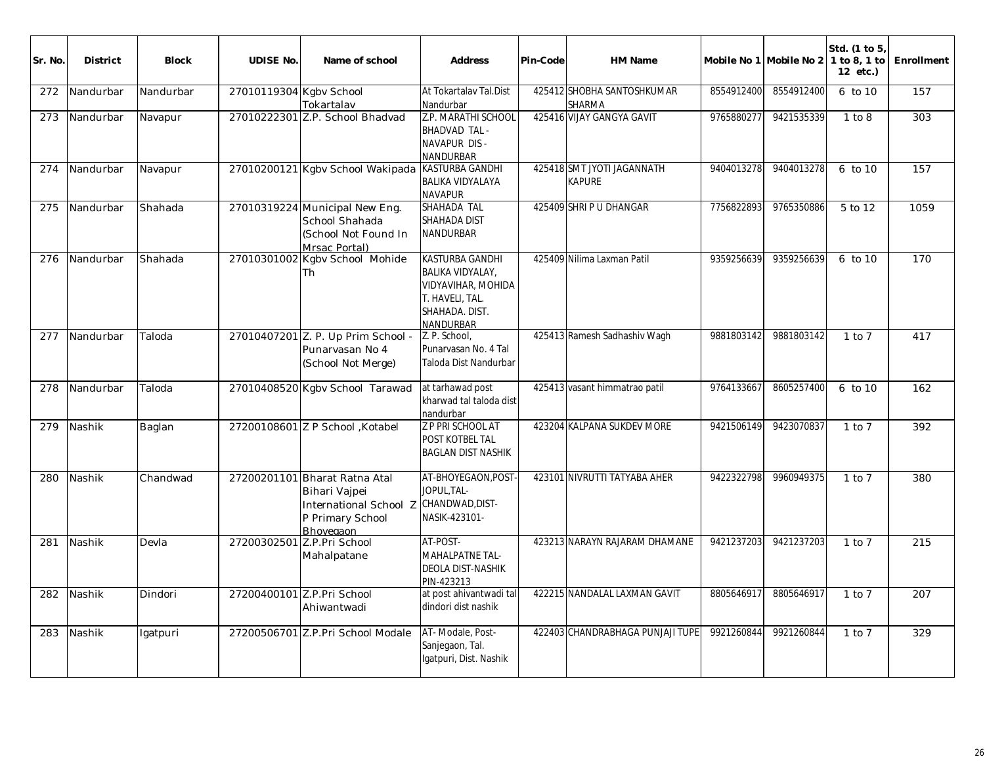| Sr. No. | <b>District</b> | <b>Block</b> | <b>UDISE No.</b>        | Name of school                                                                                | Address                                                                                                                   | Pin-Code | HM Name                                     |            | Mobile No 1 Mobile No 2 1 to 8, 1 to | Std. (1 to 5,<br>12 etc.) | Enrollment |
|---------|-----------------|--------------|-------------------------|-----------------------------------------------------------------------------------------------|---------------------------------------------------------------------------------------------------------------------------|----------|---------------------------------------------|------------|--------------------------------------|---------------------------|------------|
| 272     | Nandurbar       | Nandurbar    | 27010119304 Kgbv School | Tokartalav                                                                                    | At Tokartalav Tal.Dist<br>Nandurbar                                                                                       |          | 425412 SHOBHA SANTOSHKUMAR<br><b>SHARMA</b> | 8554912400 | 8554912400                           | 6 to 10                   | 157        |
| 273     | Nandurbar       | Navapur      |                         | 27010222301 Z.P. School Bhadvad                                                               | Z.P. MARATHI SCHOOL<br><b>BHADVAD TAL -</b><br>NAVAPUR DIS -<br><b>NANDURBAR</b>                                          |          | 425416 VIJAY GANGYA GAVIT                   | 9765880277 | 9421535339                           | 1 to 8                    | 303        |
| 274     | Nandurbar       | Navapur      |                         | 27010200121 Kgbv School Wakipada                                                              | <b>KASTURBA GANDHI</b><br><b>BALIKA VIDYALAYA</b><br><b>NAVAPUR</b>                                                       |          | 425418 SMT JYOTI JAGANNATH<br><b>KAPURE</b> | 9404013278 | 9404013278                           | 6 to 10                   | 157        |
| 275     | Nandurbar       | Shahada      |                         | 27010319224 Municipal New Eng.<br>School Shahada<br>(School Not Found In<br>Mrsac Portal)     | SHAHADA TAL<br>SHAHADA DIST<br><b>NANDURBAR</b>                                                                           |          | 425409 SHRI P U DHANGAR                     | 7756822893 | 9765350886                           | 5 to 12                   | 1059       |
| 276     | Nandurbar       | Shahada      |                         | 27010301002 Kgbv School Mohide<br>Th                                                          | <b>KASTURBA GANDHI</b><br><b>BALIKA VIDYALAY,</b><br>VIDYAVIHAR, MOHIDA<br>T. HAVELI, TAL.<br>SHAHADA. DIST.<br>NANDURBAR |          | 425409 Nilima Laxman Patil                  | 9359256639 | 9359256639                           | 6 to 10                   | 170        |
| 277     | Nandurbar       | Taloda       | 27010407201             | Z. P. Up Prim School -<br>Punarvasan No 4<br>(School Not Merge)                               | Z. P. School,<br>Punarvasan No. 4 Tal<br>Taloda Dist Nandurbar                                                            |          | 425413 Ramesh Sadhashiv Wagh                | 9881803142 | 9881803142                           | $1$ to $7$                | 417        |
| 278     | Nandurbar       | Taloda       |                         | 27010408520 Kgbv School Tarawad                                                               | at tarhawad post<br>kharwad tal taloda dist<br>nandurbar                                                                  |          | 425413 vasant himmatrao patil               | 9764133667 | 8605257400                           | 6 to 10                   | 162        |
| 279     | Nashik          | Baglan       |                         | 27200108601 Z P School , Kotabel                                                              | Z P PRI SCHOOL AT<br>POST KOTBEL TAL<br><b>BAGLAN DIST NASHIK</b>                                                         |          | 423204 KALPANA SUKDEV MORE                  | 9421506149 | 9423070837                           | $1$ to $7$                | 392        |
| 280     | Nashik          | Chandwad     | 27200201101             | Bharat Ratna Atal<br>Bihari Vajpei<br>International School Z<br>P Primary School<br>Bhoyegaon | AT-BHOYEGAON, POST<br>JOPUL, TAL-<br>CHANDWAD, DIST-<br>NASIK-423101-                                                     |          | 423101 NIVRUTTI TATYABA AHER                | 9422322798 | 9960949375                           | $1$ to $7$                | 380        |
| 281     | Nashik          | Devla        | 27200302501             | Z.P.Pri School<br>Mahalpatane                                                                 | AT-POST-<br>MAHALPATNE TAL-<br>DEOLA DIST-NASHIK<br>PIN-423213                                                            |          | 423213 NARAYN RAJARAM DHAMANE               | 9421237203 | 9421237203                           | $1$ to $7$                | 215        |
|         | 282 Nashik      | Dindori      |                         | 27200400101 Z.P.Pri School<br>Ahiwantwadi                                                     | at post ahivantwadi tal<br>dindori dist nashik                                                                            |          | 422215 NANDALAL LAXMAN GAVIT                |            | 8805646917 8805646917                | $1$ to $7$                | 207        |
| 283     | Nashik          | Igatpuri     |                         | 27200506701 Z.P.Pri School Modale                                                             | AT-Modale, Post-<br>Sanjegaon, Tal.<br>Igatpuri, Dist. Nashik                                                             |          | 422403 CHANDRABHAGA PUNJAJI TUPE            | 9921260844 | 9921260844                           | $1$ to $7$                | 329        |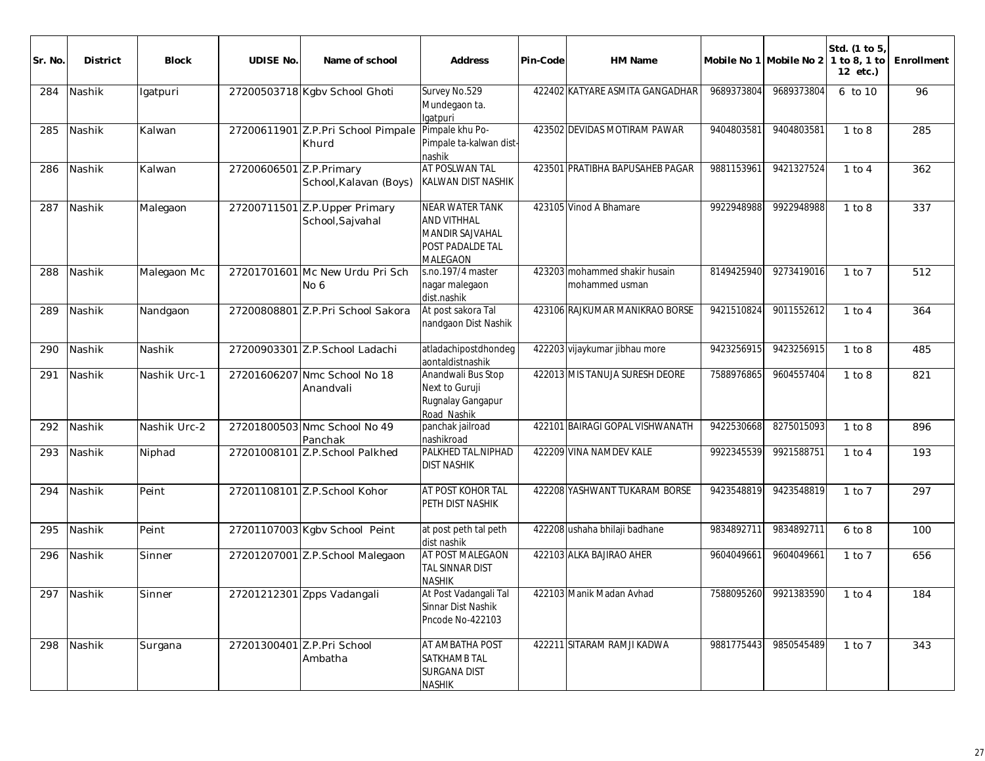| Sr. No | <b>District</b> | <b>Block</b> | <b>UDISE No.</b>        | Name of school                                     | <b>Address</b>                                                                           | Pin-Code | HM Name                                         |            | Mobile No 1 Mobile No 2 | Std. (1 to 5<br>1 to 8, 1 to<br>12 etc.) | Enrollment |
|--------|-----------------|--------------|-------------------------|----------------------------------------------------|------------------------------------------------------------------------------------------|----------|-------------------------------------------------|------------|-------------------------|------------------------------------------|------------|
| 284    | Nashik          | Igatpuri     |                         | 27200503718 Kgbv School Ghoti                      | Survey No.529<br>Mundegaon ta.<br>Igatpuri                                               |          | 422402 KATYARE ASMITA GANGADHAR                 | 9689373804 | 9689373804              | 6 to 10                                  | 96         |
| 285    | Nashik          | Kalwan       |                         | 27200611901 Z.P.Pri School Pimpale<br>Khurd        | Pimpale khu Po-<br>Pimpale ta-kalwan dist-<br>nashik                                     |          | 423502 DEVIDAS MOTIRAM PAWAR                    | 9404803581 | 9404803581              | 1 to 8                                   | 285        |
| 286    | Nashik          | Kalwan       | 27200606501 Z.P.Primary | School, Kalavan (Boys)                             | <b>AT POSLWAN TAL</b><br><b>KALWAN DIST NASHIK</b>                                       |          | 423501 PRATIBHA BAPUSAHEB PAGAR                 | 9881153961 | 9421327524              | $1$ to $4$                               | 362        |
| 287    | Nashik          | Malegaon     |                         | 27200711501 Z.P. Upper Primary<br>School, Sajvahal | <b>NEAR WATER TANK</b><br>AND VITHHAL<br>MANDIR SAJVAHAL<br>POST PADALDE TAL<br>MALEGAON |          | 423105 Vinod A Bhamare                          | 9922948988 | 9922948988              | 1 to 8                                   | 337        |
| 288    | Nashik          | Malegaon Mc  |                         | 27201701601 Mc New Urdu Pri Sch<br>No 6            | s.no.197/4 master<br>nagar malegaon<br>dist.nashik                                       |          | 423203 mohammed shakir husain<br>mohammed usman | 8149425940 | 9273419016              | $1$ to $7$                               | 512        |
| 289    | Nashik          | Nandgaon     |                         | 27200808801 Z.P.Pri School Sakora                  | At post sakora Tal<br>nandgaon Dist Nashik                                               |          | 423106 RAJKUMAR MANIKRAO BORSE                  | 9421510824 | 9011552612              | $1$ to $4$                               | 364        |
| 290    | Nashik          | Nashik       |                         | 27200903301 Z.P.School Ladachi                     | atladachipostdhondeg<br>aontaldistnashik                                                 |          | 422203 vijaykumar jibhau more                   | 9423256915 | 9423256915              | 1 to 8                                   | 485        |
| 291    | Nashik          | Nashik Urc-1 |                         | 27201606207 Nmc School No 18<br>Anandvali          | Anandwali Bus Stop<br>Next to Guruji<br>Rugnalay Gangapur<br>Road Nashik                 |          | 422013 MIS TANUJA SURESH DEORE                  | 7588976865 | 9604557404              | 1 to 8                                   | 821        |
| 292    | Nashik          | Nashik Urc-2 |                         | 27201800503 Nmc School No 49<br>Panchak            | panchak jailroad<br>nashikroad                                                           |          | 422101 BAIRAGI GOPAL VISHWANATH                 | 9422530668 | 8275015093              | 1 to 8                                   | 896        |
| 293    | Nashik          | Niphad       |                         | 27201008101 Z.P.School Palkhed                     | PALKHED TAL.NIPHAD<br><b>DIST NASHIK</b>                                                 |          | 422209 VINA NAMDEV KALE                         | 9922345539 | 9921588751              | $1$ to $4$                               | 193        |
| 294    | Nashik          | Peint        |                         | 27201108101 Z.P.School Kohor                       | AT POST KOHOR TAL<br>PETH DIST NASHIK                                                    |          | 422208 YASHWANT TUKARAM BORSE                   | 9423548819 | 9423548819              | $1$ to $7$                               | 297        |
| 295    | Nashik          | Peint        |                         | 27201107003 Kgbv School Peint                      | at post peth tal peth<br>dist nashik                                                     |          | 422208 ushaha bhilaji badhane                   | 9834892711 | 9834892711              | 6 to 8                                   | 100        |
| 296    | Nashik          | Sinner       |                         | 27201207001 Z.P.School Malegaon                    | AT POST MALEGAON<br>TAL SINNAR DIST<br><b>NASHIK</b>                                     |          | 422103 ALKA BAJIRAO AHER                        | 9604049661 | 9604049661              | $1$ to $7$                               | 656        |
|        | 297 Nashik      | Sinner       |                         | 27201212301 Zpps Vadangali                         | At Post Vadangali Tal<br>Sinnar Dist Nashik<br>Pncode No-422103                          |          | 422103 Manik Madan Avhad                        |            | 7588095260 9921383590   | $1$ to $4$                               | 184        |
| 298    | Nashik          | Surgana      |                         | 27201300401 Z.P.Pri School<br>Ambatha              | AT AMBATHA POST<br>SATKHAMB TAL<br><b>SURGANA DIST</b><br><b>NASHIK</b>                  |          | 422211 SITARAM RAMJI KADWA                      | 9881775443 | 9850545489              | 1 to 7                                   | 343        |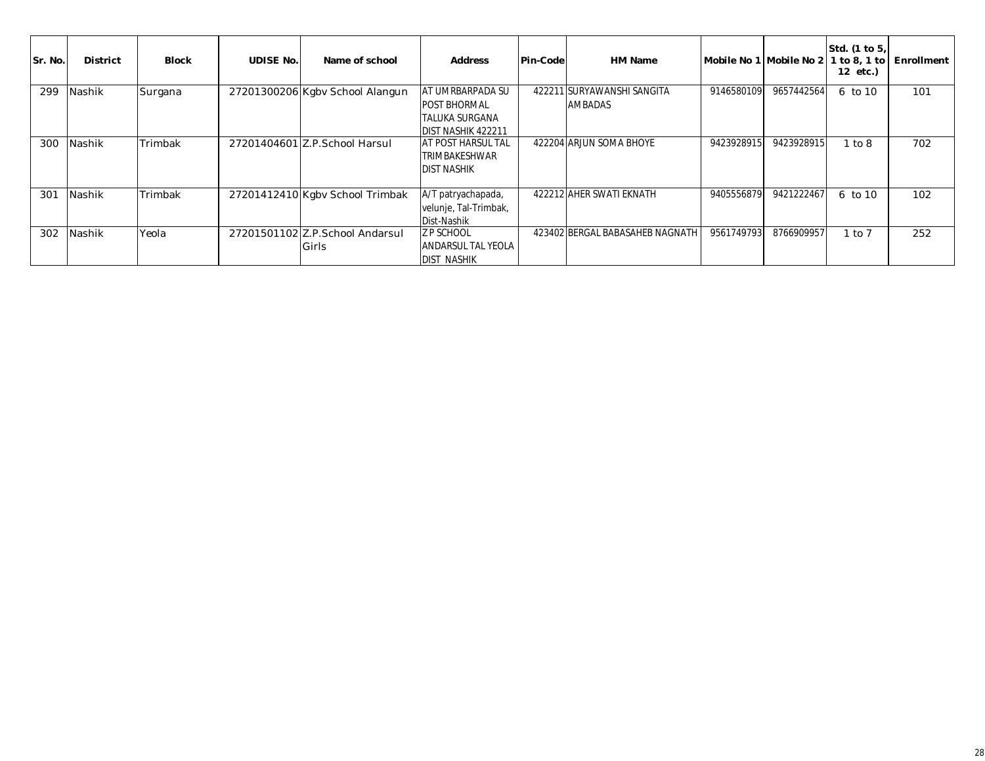| Sr. No. | <b>District</b> | <b>Block</b> | <b>UDISE No.</b> | Name of school                           | <b>Address</b>                                                                                        | Pin-Code | HM Name                               | Mobile No 1   Mobile No 2 |            | Std. (1 to 5,<br>1 to 8, 1 to<br>12 etc.) | Enrollment |
|---------|-----------------|--------------|------------------|------------------------------------------|-------------------------------------------------------------------------------------------------------|----------|---------------------------------------|---------------------------|------------|-------------------------------------------|------------|
| 299     | Nashik          | Surgana      |                  | 27201300206 Kgbv School Alangun          | <b>AT UMRBARPADA SU</b><br><b>POST BHORMAL</b><br><b>TALUKA SURGANA</b><br><b>IDIST NASHIK 422211</b> |          | 422211 SURYAWANSHI SANGITA<br>AMBADAS | 9146580109                | 9657442564 | 6 to 10                                   | 101        |
| 300     | Nashik          | Trimbak      |                  | 27201404601 Z.P.School Harsul            | <b>AT POST HARSUL TAL</b><br>TRIMBAKESHWAR<br><b>DIST NASHIK</b>                                      |          | 422204 ARJUN SOMA BHOYE               | 9423928915                | 9423928915 | to 8                                      | 702        |
| 301     | Nashik          | Trimbak      |                  | 27201412410 Kgbv School Trimbak          | A/T patryachapada,<br>velunje, Tal-Trimbak,<br>Dist-Nashik                                            |          | 422212 AHER SWATI EKNATH              | 9405556879                | 9421222467 | 6 to 10                                   | 102        |
| 302     | Nashik          | Yeola        |                  | 27201501102 Z.P.School Andarsul<br>Girls | <b>Z P SCHOOL</b><br><b>ANDARSUL TAL YEOLA</b><br><b>DIST NASHIK</b>                                  |          | 423402 BERGAL BABASAHEB NAGNATH       | 9561749793                | 8766909957 | to 7                                      | 252        |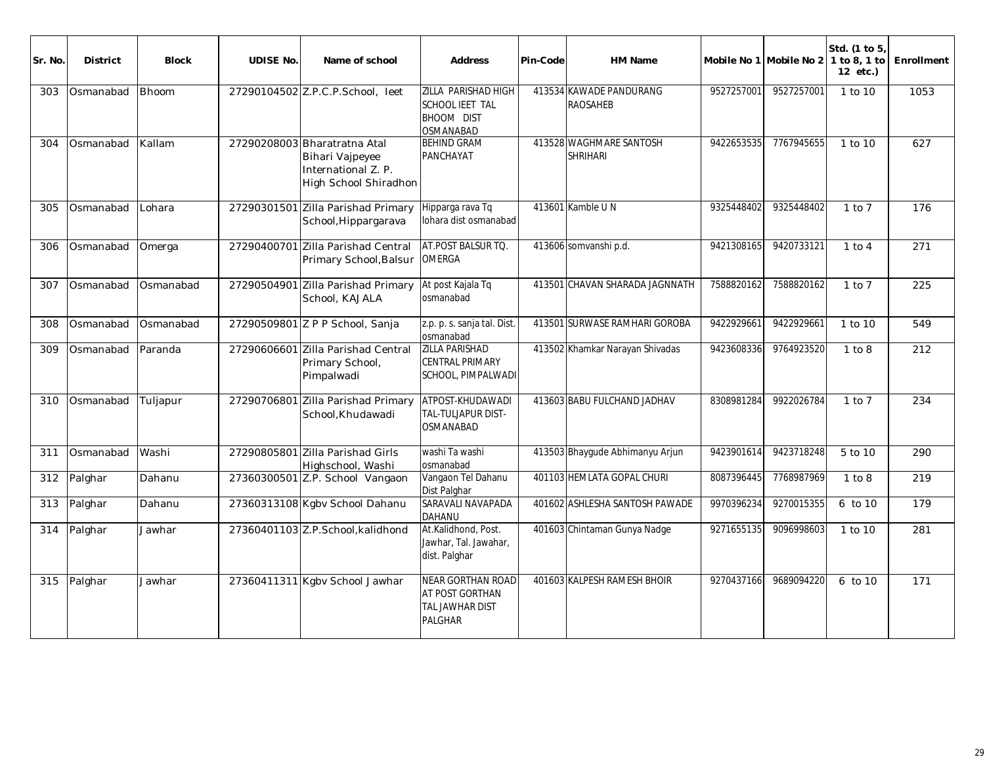| Sr. No. | <b>District</b> | <b>Block</b> | <b>UDISE No.</b> | Name of school                                                                                  | <b>Address</b>                                                                   | Pin-Code | <b>HM Name</b>                             |            | Mobile No 1 Mobile No 2 1 to 8, 1 to | Std. (1 to 5)<br>$12$ etc.) | Enrollment |
|---------|-----------------|--------------|------------------|-------------------------------------------------------------------------------------------------|----------------------------------------------------------------------------------|----------|--------------------------------------------|------------|--------------------------------------|-----------------------------|------------|
| 303     | Osmanabad       | <b>Bhoom</b> |                  | 27290104502 Z.P.C.P.School, leet                                                                | <b>ZILLA PARISHAD HIGH</b><br>SCHOOL IEET TAL<br>BHOOM DIST<br>OSMANABAD         |          | 413534 KAWADE PANDURANG<br><b>RAOSAHEB</b> | 9527257001 | 9527257001                           | 1 to 10                     | 1053       |
| 304     | Osmanabad       | Kallam       |                  | 27290208003 Bharatratna Atal<br>Bihari Vajpeyee<br>International Z. P.<br>High School Shiradhon | <b>BEHIND GRAM</b><br>PANCHAYAT                                                  |          | 413528 WAGHMARE SANTOSH<br><b>SHRIHARI</b> | 9422653535 | 7767945655                           | 1 to 10                     | 627        |
| 305     | Osmanabad       | Lohara       |                  | 27290301501 Zilla Parishad Primary<br>School, Hippargarava                                      | Hipparga rava Tq<br>lohara dist osmanabad                                        |          | 413601 Kamble UN                           | 9325448402 | 9325448402                           | $1$ to $7$                  | 176        |
| 306     | Osmanabad       | Omerga       |                  | 27290400701 Zilla Parishad Central<br>Primary School, Balsur                                    | AT.POST BALSUR TQ.<br><b>OMERGA</b>                                              |          | 413606 somvanshi p.d.                      | 9421308165 | 9420733121                           | $1$ to $4$                  | 271        |
| 307     | Osmanabad       | Osmanabad    |                  | 27290504901 Zilla Parishad Primary<br>School, KAJALA                                            | At post Kajala Tq<br>osmanabad                                                   |          | 413501 CHAVAN SHARADA JAGNNATH             | 7588820162 | 7588820162                           | $1$ to $7$                  | 225        |
| 308     | Osmanabad       | Osmanabad    |                  | 27290509801 Z P P School, Sanja                                                                 | z.p. p. s. sanja tal. Dist.<br>osmanabad                                         |          | 413501 SURWASE RAMHARI GOROBA              | 9422929661 | 9422929661                           | 1 to 10                     | 549        |
| 309     | Osmanabad       | Paranda      |                  | 27290606601 Zilla Parishad Central<br>Primary School,<br>Pimpalwadi                             | <b>ZILLA PARISHAD</b><br><b>CENTRAL PRIMARY</b><br>SCHOOL, PIMPALWADI            |          | 413502 Khamkar Narayan Shivadas            | 9423608336 | 9764923520                           | 1 to 8                      | 212        |
| 310     | Osmanabad       | Tuljapur     | 27290706801      | Zilla Parishad Primary<br>School, Khudawadi                                                     | ATPOST-KHUDAWADI<br>TAL-TULJAPUR DIST-<br>OSMANABAD                              |          | 413603 BABU FULCHAND JADHAV                | 8308981284 | 9922026784                           | $1$ to $7$                  | 234        |
| 311     | Osmanabad       | Washi        |                  | 27290805801 Zilla Parishad Girls<br>Highschool, Washi                                           | washi Ta washi<br>osmanabad                                                      |          | 413503 Bhaygude Abhimanyu Arjun            | 9423901614 | 9423718248                           | 5 to 10                     | 290        |
| 312     | Palghar         | Dahanu       |                  | 27360300501 Z.P. School Vangaon                                                                 | Vangaon Tel Dahanu<br>Dist Palghar                                               |          | 401103 HEMLATA GOPAL CHURI                 | 8087396445 | 7768987969                           | 1 to 8                      | 219        |
| 313     | Palghar         | Dahanu       |                  | 27360313108 Kgbv School Dahanu                                                                  | SARAVALI NAVAPADA<br>DAHANU                                                      |          | 401602 ASHLESHA SANTOSH PAWADE             | 9970396234 | 9270015355                           | 6 to 10                     | 179        |
| 314     | Palghar         | Jawhar       |                  | 27360401103 Z.P.School, kalidhond                                                               | At.Kalidhond, Post.<br>Jawhar, Tal. Jawahar,<br>dist. Palghar                    |          | 401603 Chintaman Gunya Nadge               | 9271655135 | 9096998603                           | 1 to 10                     | 281        |
| 315     | Palghar         | Jawhar       |                  | 27360411311 Kgbv School Jawhar                                                                  | <b>NEAR GORTHAN ROAD</b><br>AT POST GORTHAN<br>TAL JAWHAR DIST<br><b>PALGHAR</b> |          | 401603 KALPESH RAMESH BHOIR                | 9270437166 | 9689094220                           | 6 to 10                     | 171        |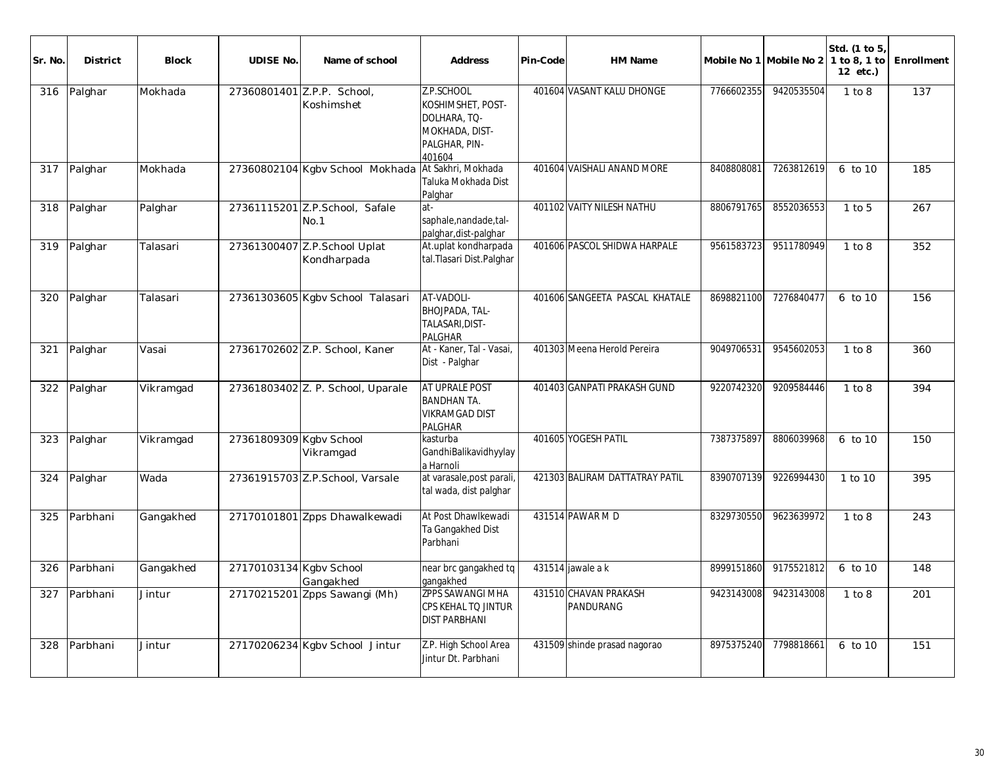| Sr. No. | <b>District</b> | <b>Block</b> | <b>UDISE No.</b>        | Name of school                              | <b>Address</b>                                                                               | Pin-Code | <b>HM Name</b>                     |            | Mobile No 1 Mobile No 2 | Std. (1 to 5<br>1 to 8, 1 to<br>12 etc.) | Enrollment |
|---------|-----------------|--------------|-------------------------|---------------------------------------------|----------------------------------------------------------------------------------------------|----------|------------------------------------|------------|-------------------------|------------------------------------------|------------|
| 316     | Palghar         | Mokhada      |                         | 27360801401 Z.P.P. School,<br>Koshimshet    | Z.P.SCHOOL<br>KOSHIMSHET, POST-<br>DOLHARA, TQ-<br>MOKHADA, DIST-<br>PALGHAR, PIN-<br>401604 |          | 401604 VASANT KALU DHONGE          | 7766602355 | 9420535504              | 1 to 8                                   | 137        |
|         | 317 Palghar     | Mokhada      |                         | 27360802104 Kgbv School Mokhada             | At Sakhri, Mokhada<br>Taluka Mokhada Dist<br>Palghar                                         |          | 401604 VAISHALI ANAND MORE         | 8408808081 | 7263812619              | 6 to 10                                  | 185        |
| 318     | Palghar         | Palghar      |                         | 27361115201 Z.P.School, Safale<br>No.1      | at-<br>saphale, nandade, tal-<br>palghar, dist-palghar                                       |          | 401102 VAITY NILESH NATHU          | 8806791765 | 8552036553              | $1$ to $5$                               | 267        |
| 319     | Palghar         | Talasari     |                         | 27361300407 Z.P.School Uplat<br>Kondharpada | At.uplat kondharpada<br>tal.Tlasari Dist.Palghar                                             |          | 401606 PASCOL SHIDWA HARPALE       | 9561583723 | 9511780949              | 1 to 8                                   | 352        |
| 320     | Palghar         | Talasari     |                         | 27361303605 Kgbv School Talasari            | AT-VADOLI-<br>BHOJPADA, TAL-<br>TALASARI.DIST-<br><b>PALGHAR</b>                             |          | 401606 SANGEETA PASCAL KHATALE     | 8698821100 | 7276840477              | 6 to 10                                  | 156        |
| 321     | Palghar         | Vasai        |                         | 27361702602 Z.P. School, Kaner              | At - Kaner, Tal - Vasai,<br>Dist - Palghar                                                   |          | 401303 Meena Herold Pereira        | 9049706531 | 9545602053              | 1 to 8                                   | 360        |
| 322     | Palghar         | Vikramgad    |                         | 27361803402 Z. P. School, Uparale           | AT UPRALE POST<br><b>BANDHAN TA.</b><br><b>VIKRAMGAD DIST</b><br><b>PALGHAR</b>              |          | 401403 GANPATI PRAKASH GUND        | 9220742320 | 9209584446              | 1 to 8                                   | 394        |
| 323     | Palghar         | Vikramgad    | 27361809309 Kgbv School | Vikramgad                                   | kasturba<br>GandhiBalikavidhyylay<br>a Harnoli                                               |          | 401605 YOGESH PATIL                | 7387375897 | 8806039968              | 6 to 10                                  | 150        |
| 324     | Palghar         | Wada         |                         | 27361915703 Z.P.School, Varsale             | at varasale, post parali<br>tal wada, dist palghar                                           |          | 421303 BALIRAM DATTATRAY PATIL     | 8390707139 | 9226994430              | 1 to 10                                  | 395        |
| 325     | Parbhani        | Gangakhed    |                         | 27170101801 Zpps Dhawalkewadi               | At Post Dhawlkewadi<br>Ta Gangakhed Dist<br>Parbhani                                         |          | 431514 PAWAR M D                   | 8329730550 | 9623639972              | 1 to 8                                   | 243        |
| 326     | Parbhani        | Gangakhed    | 27170103134 Kgby School | Gangakhed                                   | near brc gangakhed tq<br>gangakhed                                                           |          | 431514 jawale a k                  | 8999151860 | 9175521812              | 6 to 10                                  | 148        |
| 327     | Parbhani        | Jintur       |                         | 27170215201 Zpps Sawangi (Mh)               | <b>ZPPS SAWANGI MHA</b><br>CPS KEHAL TO JINTUR<br><b>DIST PARBHANI</b>                       |          | 431510 CHAVAN PRAKASH<br>PANDURANG | 9423143008 | 9423143008              | 1 to 8                                   | 201        |
| 328     | Parbhani        | Jintur       |                         | 27170206234 Kgby School Jintur              | Z.P. High School Area<br>Jintur Dt. Parbhani                                                 |          | 431509 shinde prasad nagorao       | 8975375240 | 7798818661              | 6 to 10                                  | 151        |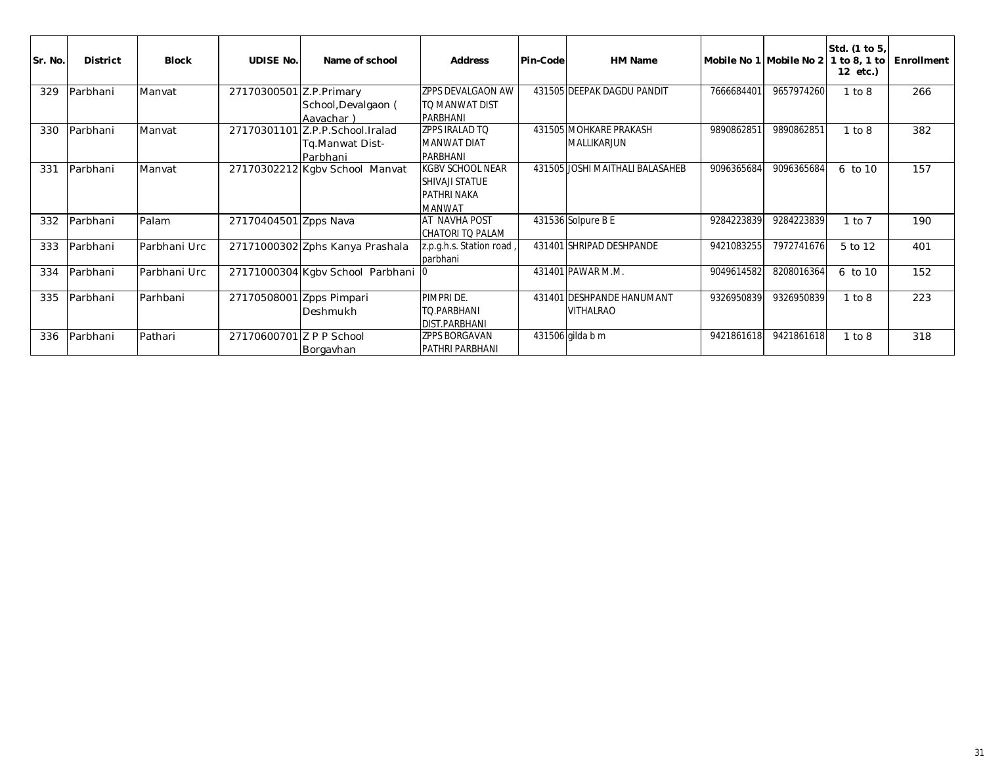| Sr. No. | <b>District</b> | <b>Block</b> | <b>UDISE No.</b>         | Name of school                             | <b>Address</b>                      | Pin-Code | <b>HM Name</b>                  |            | Mobile No 1 Mobile No 2 | Std. (1 to 5,<br>1 to 8, 1 to<br>12 etc.) | Enrollment |
|---------|-----------------|--------------|--------------------------|--------------------------------------------|-------------------------------------|----------|---------------------------------|------------|-------------------------|-------------------------------------------|------------|
| 329     | Parbhani        | Manvat       | 27170300501 Z.P. Primary |                                            | ZPPS DEVALGAON AW                   |          | 431505 DEEPAK DAGDU PANDIT      | 7666684401 | 9657974260              | 1 to 8                                    | 266        |
|         |                 |              |                          | School, Devalgaon (                        | TO MANWAT DIST                      |          |                                 |            |                         |                                           |            |
|         |                 |              | 27170301101              | Aavachar)                                  | PARBHANI<br>IZPPS IRALAD TO         |          | 431505 MOHKARE PRAKASH          |            | 9890862851              |                                           |            |
| 330     | Parbhani        | Manvat       |                          | Z.P.P.School.Iralad                        |                                     |          |                                 | 9890862851 |                         | 1 to 8                                    | 382        |
|         |                 |              |                          | Tq.Manwat Dist-                            | MANWAT DIAT                         |          | MALLIKARJUN                     |            |                         |                                           |            |
| 331     | Parbhani        | Manvat       |                          | Parbhani<br>27170302212 Kgbv School Manvat | PARBHANI<br><b>KGBV SCHOOL NEAR</b> |          | 431505 JOSHI MAITHALI BALASAHEB | 9096365684 | 9096365684              | 6 to 10                                   | 157        |
|         |                 |              |                          |                                            | <b>SHIVAJI STATUE</b>               |          |                                 |            |                         |                                           |            |
|         |                 |              |                          |                                            | <b>PATHRI NAKA</b>                  |          |                                 |            |                         |                                           |            |
|         |                 |              |                          |                                            | <b>MANWAT</b>                       |          |                                 |            |                         |                                           |            |
| 332     | Parbhani        | Palam        | 27170404501 Zpps Nava    |                                            | AT NAVHA POST                       |          | 431536 Solpure B E              | 9284223839 | 9284223839              | $1$ to $7$                                | 190        |
|         |                 |              |                          |                                            | CHATORI TO PALAM                    |          |                                 |            |                         |                                           |            |
| 333     | Parbhani        | Parbhani Urc |                          | 27171000302 Zphs Kanya Prashala            | z.p.g.h.s. Station road             |          | 431401 SHRIPAD DESHPANDE        | 9421083255 | 7972741676              | 5 to 12                                   | 401        |
|         |                 |              |                          |                                            | parbhani                            |          |                                 |            |                         |                                           |            |
| 334     | Parbhani        | Parbhani Urc |                          | 27171000304 Kgbv School Parbhani 0         |                                     |          | 431401 PAWAR M.M.               | 9049614582 | 8208016364              | 6 to 10                                   | 152        |
|         |                 |              |                          |                                            |                                     |          |                                 |            |                         |                                           |            |
| 335     | Parbhani        | Parhbani     | 27170508001              | Zpps Pimpari                               | PIMPRI DE.                          |          | 431401 DESHPANDE HANUMANT       | 9326950839 | 9326950839              | 1 to 8                                    | 223        |
|         |                 |              |                          | Deshmukh                                   | <b>TO.PARBHANI</b>                  |          | <b>VITHALRAO</b>                |            |                         |                                           |            |
|         |                 |              |                          |                                            | <b>DIST.PARBHANI</b>                |          |                                 |            |                         |                                           |            |
| 336     | Parbhani        | Pathari      | 27170600701 Z P P School |                                            | <b>ZPPS BORGAVAN</b>                |          | 431506 gilda b m                | 9421861618 | 9421861618              | 1 to 8                                    | 318        |
|         |                 |              |                          | Borgavhan                                  | PATHRI PARBHANI                     |          |                                 |            |                         |                                           |            |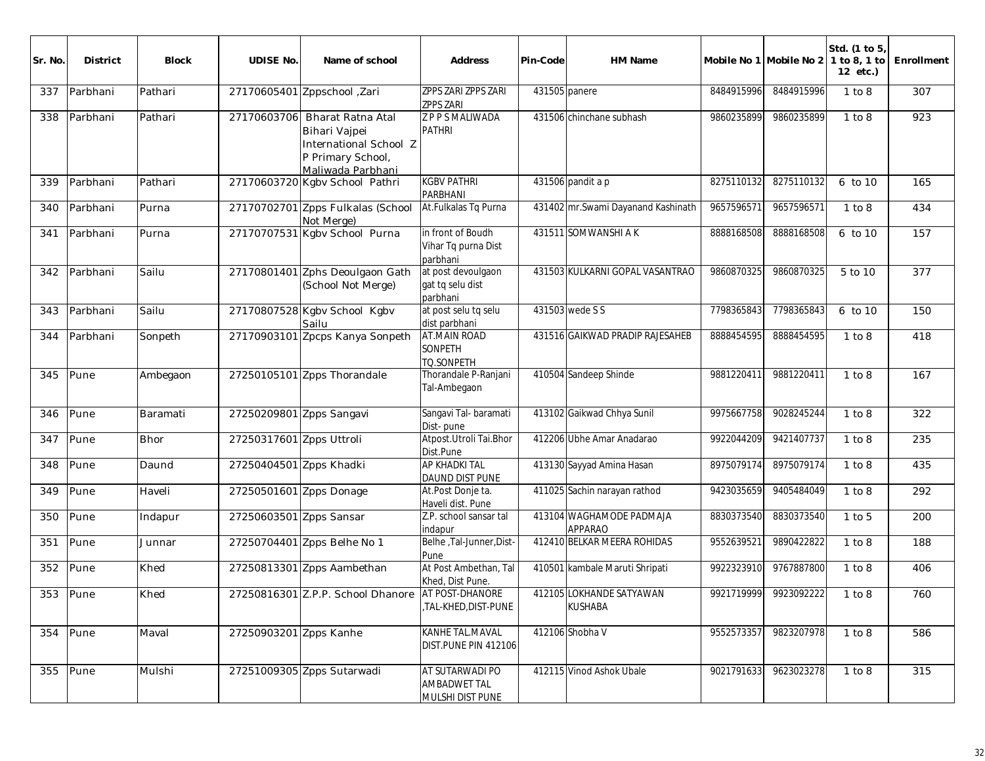| Sr. No. | <b>District</b> | Block    | <b>UDISE No.</b>         | Name of school                                                                                                     | Address                                                    | Pin-Code      | HM Name                                    | Mobile No 1 Mobile No 2 |                       | Std. (1 to 5)<br>1 to 8, 1 to<br>12 etc.) | Enrollment |
|---------|-----------------|----------|--------------------------|--------------------------------------------------------------------------------------------------------------------|------------------------------------------------------------|---------------|--------------------------------------------|-------------------------|-----------------------|-------------------------------------------|------------|
| 337     | Parbhani        | Pathari  |                          | 27170605401 Zppschool , Zari                                                                                       | <b>ZPPS ZARI ZPPS ZARI</b><br><b>ZPPS ZARI</b>             | 431505 panere |                                            | 8484915996              | 8484915996            | 1 to 8                                    | 307        |
| 338     | Parbhani        | Pathari  |                          | 27170603706 Bharat Ratna Atal<br>Bihari Vajpei<br>International School Z<br>P Primary School,<br>Maliwada Parbhani | Z P P S MALIWADA<br><b>PATHRI</b>                          |               | 431506 chinchane subhash                   | 9860235899              | 9860235899            | 1 to 8                                    | 923        |
| 339     | Parbhani        | Pathari  |                          | 27170603720 Kgbv School Pathri                                                                                     | <b>KGBV PATHRI</b><br>PARBHANI                             |               | 431506 pandit a p                          | 8275110132              | 8275110132            | 6 to 10                                   | 165        |
| 340     | Parbhani        | Purna    |                          | 27170702701 Zpps Fulkalas (School<br>Not Merge)                                                                    | At.Fulkalas Tq Purna                                       |               | 431402 mr. Swami Dayanand Kashinath        | 9657596571              | 9657596571            | 1 to 8                                    | 434        |
| 341     | Parbhani        | Purna    |                          | 27170707531 Kgbv School Purna                                                                                      | in front of Boudh<br>Vihar Tq purna Dist<br>parbhani       |               | 431511 SOMWANSHI A K                       | 8888168508              | 8888168508            | $6$ to 10                                 | 157        |
| 342     | Parbhani        | Sailu    |                          | 27170801401 Zphs Deoulgaon Gath<br>(School Not Merge)                                                              | at post devoulgaon<br>gat tq selu dist<br>parbhani         |               | 431503 KULKARNI GOPAL VASANTRAO            | 9860870325              | 9860870325            | 5 to 10                                   | 377        |
| 343     | Parbhani        | Sailu    |                          | 27170807528 Kgbv School Kgbv<br>Sailu                                                                              | at post selu tq selu<br>dist parbhani                      |               | 431503 wede S S                            | 7798365843              | 7798365843            | 6 to 10                                   | 150        |
| 344     | Parbhani        | Sonpeth  |                          | 27170903101 Zpcps Kanya Sonpeth                                                                                    | <b>AT.MAIN ROAD</b><br>SONPETH<br>TQ.SONPETH               |               | 431516 GAIKWAD PRADIP RAJESAHEB            | 8888454595              | 8888454595            | 1 to 8                                    | 418        |
| 345     | Pune            | Ambegaon |                          | 27250105101 Zpps Thorandale                                                                                        | Thorandale P-Ranjani<br>Tal-Ambegaon                       |               | 410504 Sandeep Shinde                      | 9881220411              | 9881220411            | 1 to 8                                    | 167        |
| 346     | Pune            | Baramati | 27250209801 Zpps Sangavi |                                                                                                                    | Sangavi Tal-baramati<br>Dist-pune                          |               | 413102 Gaikwad Chhya Sunil                 | 9975667758              | 9028245244            | 1 to 8                                    | 322        |
| 347     | Pune            | Bhor     | 27250317601 Zpps Uttroli |                                                                                                                    | Atpost.Utroli Tai.Bhor<br>Dist.Pune                        |               | 412206 Ubhe Amar Anadarao                  | 9922044209              | 9421407737            | 1 to 8                                    | 235        |
| 348     | Pune            | Daund    | 27250404501 Zpps Khadki  |                                                                                                                    | <b>AP KHADKI TAL</b><br>DAUND DIST PUNE                    |               | 413130 Sayyad Amina Hasan                  | 8975079174              | 8975079174            | 1 to 8                                    | 435        |
| 349     | Pune            | Haveli   | 27250501601 Zpps Donage  |                                                                                                                    | At.Post Donje ta.<br>Haveli dist. Pune                     |               | 411025 Sachin narayan rathod               | 9423035659              | 9405484049            | 1 to 8                                    | 292        |
| 350     | Pune            | Indapur  | 27250603501 Zpps Sansar  |                                                                                                                    | Z.P. school sansar tal<br>indapur                          |               | 413104 WAGHAMODE PADMAJA<br><b>APPARAO</b> | 8830373540              | 8830373540            | $1$ to $5$                                | 200        |
| 351     | Pune            | Junnar   |                          | 27250704401 Zpps Belhe No 1                                                                                        | Belhe, Tal-Junner, Dist-<br>Pune                           |               | 412410 BELKAR MEERA ROHIDAS                | 9552639521              | 9890422822            | 1 to 8                                    | 188        |
| 352     | Pune            | Khed     |                          | 27250813301 Zpps Aambethan                                                                                         | At Post Ambethan, Tal<br>Khed, Dist Pune.                  |               | 410501 kambale Maruti Shripati             | 9922323910              | 9767887800            | 1 to 8                                    | 406        |
|         | 353 Pune        | Khed     |                          | 27250816301 Z.P.P. School Dhanore AT POST-DHANORE                                                                  | ,TAL-KHED,DIST-PUNE                                        |               | 412105 LOKHANDE SATYAWAN<br><b>KUSHABA</b> |                         | 9921719999 9923092222 | 1 to 8                                    | 760        |
| 354     | Pune            | Maval    | 27250903201 Zpps Kanhe   |                                                                                                                    | KANHE TAL.MAVAL<br>DIST.PUNE PIN 412106                    |               | 412106 Shobha V                            | 9552573357              | 9823207978            | 1 to 8                                    | 586        |
| 355     | Pune            | Mulshi   |                          | 27251009305 Zpps Sutarwadi                                                                                         | AT SUTARWADI PO<br><b>AMBADWET TAL</b><br>MULSHI DIST PUNE |               | 412115 Vinod Ashok Ubale                   | 9021791633              | 9623023278            | 1 to 8                                    | 315        |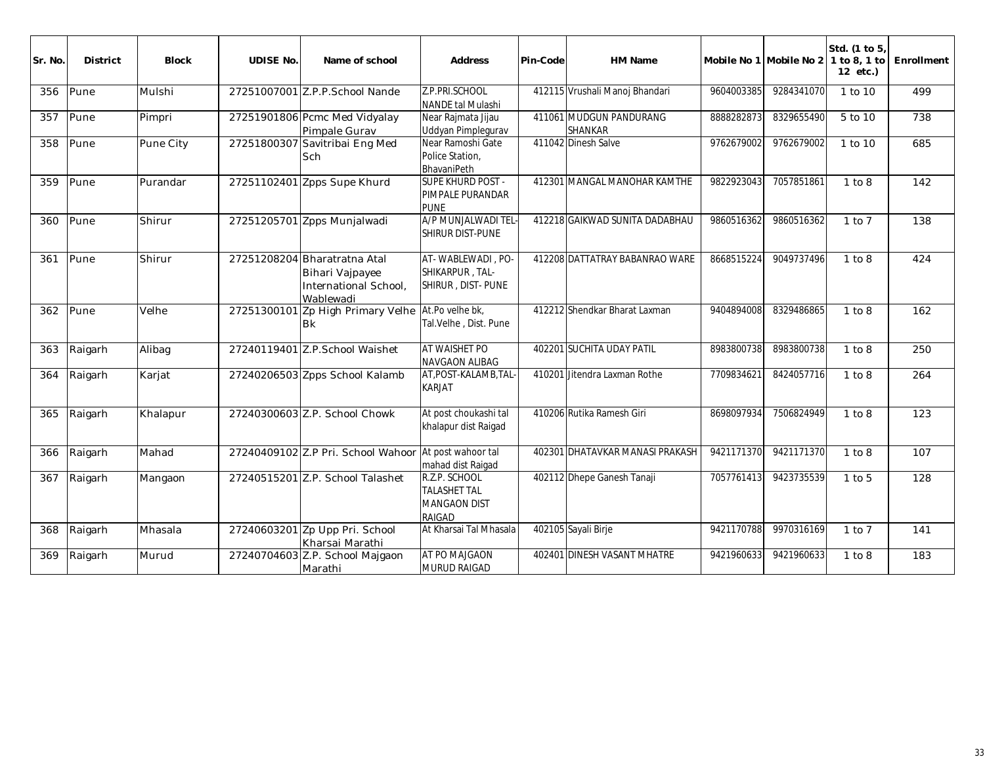| Sr. No. | <b>District</b> | <b>Block</b> | <b>UDISE No.</b> | Name of school                                                                        | <b>Address</b>                                                               | Pin-Code | HM Name                                   | Mobile No 1 Mobile No 2 |            | Std. (1 to 5)<br>1 to 8, 1 to<br>12 etc.) | Enrollment |
|---------|-----------------|--------------|------------------|---------------------------------------------------------------------------------------|------------------------------------------------------------------------------|----------|-------------------------------------------|-------------------------|------------|-------------------------------------------|------------|
| 356     | Pune            | Mulshi       |                  | 27251007001 Z.P.P.School Nande                                                        | Z.P.PRI.SCHOOL<br>NANDE tal Mulashi                                          |          | 412115 Vrushali Manoj Bhandari            | 9604003385              | 9284341070 | 1 to 10                                   | 499        |
| 357     | Pune            | Pimpri       |                  | 27251901806 Pcmc Med Vidyalay<br>Pimpale Gurav                                        | Near Rajmata Jijau<br>Uddyan Pimplegurav                                     |          | 411061 MUDGUN PANDURANG<br><b>SHANKAR</b> | 8888282873              | 8329655490 | 5 to 10                                   | 738        |
| 358     | Pune            | Pune City    |                  | 27251800307 Savitribai Eng Med<br>Sch                                                 | Near Ramoshi Gate<br>Police Station,<br>BhavaniPeth                          |          | 411042 Dinesh Salve                       | 9762679002              | 9762679002 | 1 to 10                                   | 685        |
| 359     | Pune            | Purandar     |                  | 27251102401 Zpps Supe Khurd                                                           | <b>SUPE KHURD POST -</b><br>PIMPALE PURANDAR<br><b>PUNE</b>                  |          | 412301 MANGAL MANOHAR KAMTHE              | 9822923043              | 7057851861 | 1 to 8                                    | 142        |
| 360     | Pune            | Shirur       |                  | 27251205701 Zpps Munjalwadi                                                           | A/P MUNJALWADI TEL<br>SHIRUR DIST-PUNE                                       |          | 412218 GAIKWAD SUNITA DADABHAU            | 9860516362              | 9860516362 | $1$ to $7$                                | 138        |
| 361     | Pune            | Shirur       |                  | 27251208204 Bharatratna Atal<br>Bihari Vajpayee<br>International School,<br>Wablewadi | AT-WABLEWADI, PO-<br>SHIKARPUR, TAL-<br>SHIRUR, DIST-PUNE                    |          | 412208 DATTATRAY BABANRAO WARE            | 8668515224              | 9049737496 | 1 to 8                                    | 424        |
| 362     | Pune            | Velhe        | 27251300101      | Zp High Primary Velhe<br><b>Bk</b>                                                    | At.Po velhe bk,<br>Tal.Velhe, Dist. Pune                                     |          | 412212 Shendkar Bharat Laxman             | 9404894008              | 8329486865 | 1 to 8                                    | 162        |
| 363     | Raigarh         | Alibag       |                  | 27240119401 Z.P.School Waishet                                                        | AT WAISHET PO<br><b>NAVGAON ALIBAG</b>                                       |          | 402201 SUCHITA UDAY PATIL                 | 8983800738              | 8983800738 | 1 to 8                                    | 250        |
| 364     | Raigarh         | Karjat       |                  | 27240206503 Zpps School Kalamb                                                        | AT, POST-KALAMB, TAL-<br><b>KARJAT</b>                                       |          | 410201 Jitendra Laxman Rothe              | 7709834621              | 8424057716 | 1 to 8                                    | 264        |
| 365     | Raigarh         | Khalapur     |                  | 27240300603 Z.P. School Chowk                                                         | At post choukashi tal<br>khalapur dist Raigad                                |          | 410206 Rutika Ramesh Giri                 | 8698097934              | 7506824949 | 1 to 8                                    | 123        |
| 366     | Raigarh         | Mahad        |                  | 27240409102 Z.P Pri. School Wahoor At post wahoor tal                                 | mahad dist Raigad                                                            |          | 402301 DHATAVKAR MANASI PRAKASH           | 9421171370              | 9421171370 | 1 to 8                                    | 107        |
| 367     | Raigarh         | Mangaon      |                  | 27240515201 Z.P. School Talashet                                                      | R.Z.P. SCHOOL<br><b>TALASHET TAL</b><br><b>MANGAON DIST</b><br><b>RAIGAD</b> |          | 402112 Dhepe Ganesh Tanaji                | 7057761413              | 9423735539 | $1$ to $5$                                | 128        |
| 368     | Raigarh         | Mhasala      |                  | 27240603201 Zp Upp Pri. School<br>Kharsai Marathi                                     | At Kharsai Tal Mhasala                                                       |          | 402105 Sayali Birje                       | 9421170788              | 9970316169 | $1$ to $7$                                | 141        |
| 369     | Raigarh         | Murud        |                  | 27240704603 Z.P. School Majgaon<br>Marathi                                            | AT PO MAJGAON<br>MURUD RAIGAD                                                |          | 402401 DINESH VASANT MHATRE               | 9421960633              | 9421960633 | 1 to 8                                    | 183        |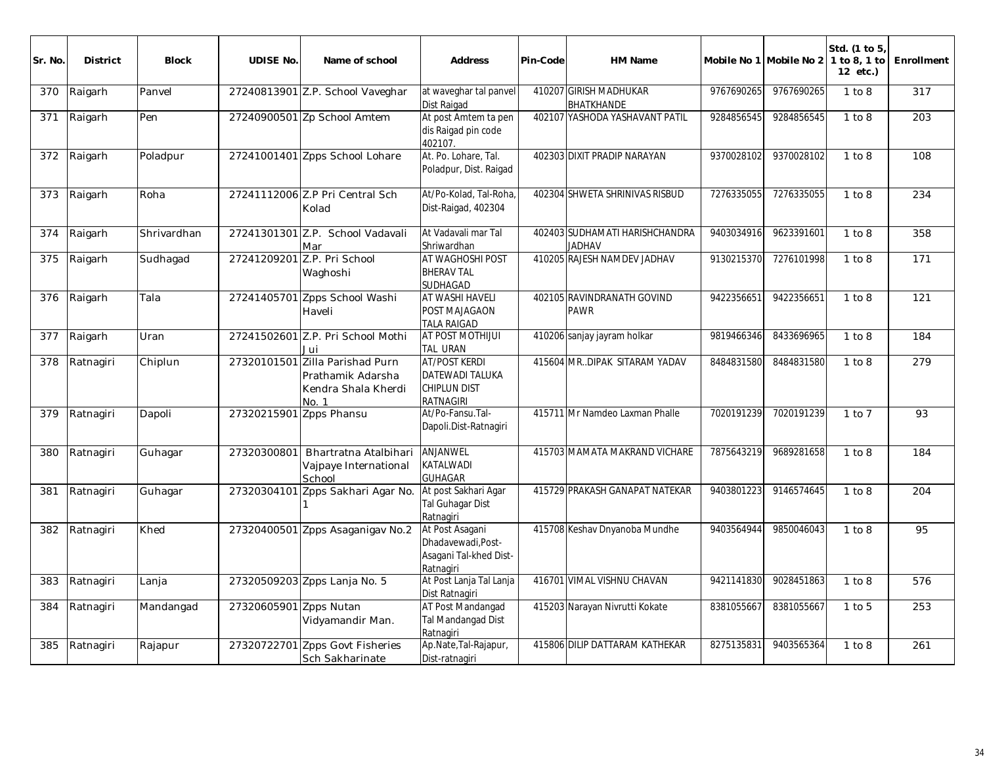| Sr. No | <b>District</b> | <b>Block</b> | <b>UDISE No.</b>        | Name of school                                                           | <b>Address</b>                                                                            | Pin-Code | HM Name                                         |            | Mobile No 1 Mobile No 2 | Std. (1 to 5)<br>1 to 8, 1 to<br>12 etc.) | Enrollment |
|--------|-----------------|--------------|-------------------------|--------------------------------------------------------------------------|-------------------------------------------------------------------------------------------|----------|-------------------------------------------------|------------|-------------------------|-------------------------------------------|------------|
| 370    | Raigarh         | Panvel       |                         | 27240813901 Z.P. School Vaveghar                                         | at waveghar tal panvel<br><b>Dist Raigad</b>                                              |          | 410207 GIRISH MADHUKAR<br>BHATKHANDE            | 9767690265 | 9767690265              | 1 to 8                                    | 317        |
| 371    | Raigarh         | Pen          |                         | 27240900501 Zp School Amtem                                              | At post Amtem ta pen<br>dis Raigad pin code<br>402107.                                    |          | 402107 YASHODA YASHAVANT PATIL                  | 9284856545 | 9284856545              | 1 to 8                                    | 203        |
| 372    | Raigarh         | Poladpur     |                         | 27241001401 Zpps School Lohare                                           | At. Po. Lohare, Tal.<br>Poladpur, Dist. Raigad                                            |          | 402303 DIXIT PRADIP NARAYAN                     | 9370028102 | 9370028102              | 1 to 8                                    | 108        |
| 373    | Raigarh         | Roha         |                         | 27241112006 Z.P Pri Central Sch<br>Kolad                                 | At/Po-Kolad, Tal-Roha<br>Dist-Raigad, 402304                                              |          | 402304 SHWETA SHRINIVAS RISBUD                  | 7276335055 | 7276335055              | 1 to 8                                    | 234        |
| 374    | Raigarh         | Shrivardhan  |                         | 27241301301 Z.P. School Vadavali<br>Mar                                  | At Vadavali mar Tal<br>Shriwardhan                                                        |          | 402403 SUDHAMATI HARISHCHANDRA<br><b>JADHAV</b> | 9403034916 | 9623391601              | 1 to 8                                    | 358        |
| 375    | Raigarh         | Sudhagad     | 27241209201             | Z.P. Pri School<br>Waghoshi                                              | AT WAGHOSHI POST<br><b>BHERAV TAL</b><br><b>SUDHAGAD</b>                                  |          | 410205 RAJESH NAMDEV JADHAV                     | 9130215370 | 7276101998              | 1 to 8                                    | 171        |
| 376    | Raigarh         | Tala         | 27241405701             | Zpps School Washi<br>Haveli                                              | AT WASHI HAVELI<br><b>POST MAJAGAON</b><br><b>TALA RAIGAD</b>                             |          | 402105 RAVINDRANATH GOVIND<br><b>PAWR</b>       | 9422356651 | 9422356651              | 1 to 8                                    | 121        |
| 377    | Raigarh         | Uran         |                         | 27241502601 Z.P. Pri School Mothi<br>Jui                                 | <b>AT POST MOTHIJUI</b><br>TAL URAN                                                       |          | 410206 sanjay jayram holkar                     | 9819466346 | 8433696965              | 1 to 8                                    | 184        |
| 378    | Ratnagiri       | Chiplun      | 27320101501             | Zilla Parishad Purn<br>Prathamik Adarsha<br>Kendra Shala Kherdi<br>No. 1 | <b>AT/POST KERDI</b><br><b>DATEWADI TALUKA</b><br><b>CHIPLUN DIST</b><br><b>RATNAGIRI</b> |          | 415604 MR. DIPAK SITARAM YADAV                  | 8484831580 | 8484831580              | 1 to 8                                    | 279        |
| 379    | Ratnagiri       | Dapoli       | 27320215901 Zpps Phansu |                                                                          | At/Po-Fansu.Tal-<br>Dapoli.Dist-Ratnagiri                                                 |          | 415711 Mr Namdeo Laxman Phalle                  | 7020191239 | 7020191239              | $1$ to $7$                                | 93         |
| 380    | Ratnagiri       | Guhagar      | 27320300801             | Bhartratna Atalbihari<br>Vajpaye International<br>School                 | ANJANWEL<br>KATALWADI<br><b>GUHAGAR</b>                                                   |          | 415703 MAMATA MAKRAND VICHARE                   | 7875643219 | 9689281658              | 1 to 8                                    | 184        |
| 381    | Ratnagiri       | Guhagar      | 27320304101             | Zpps Sakhari Agar No.                                                    | At post Sakhari Agar<br><b>Tal Guhagar Dist</b><br>Ratnagiri                              |          | 415729 PRAKASH GANAPAT NATEKAR                  | 9403801223 | 9146574645              | 1 to 8                                    | 204        |
| 382    | Ratnagiri       | Khed         |                         | 27320400501 Zpps Asaganigav No.2                                         | At Post Asagani<br>Dhadavewadi, Post-<br>Asagani Tal-khed Dist-<br>Ratnagiri              |          | 415708 Keshav Dnyanoba Mundhe                   | 9403564944 | 9850046043              | 1 to 8                                    | 95         |
| 383    | Ratnagiri       | Lanja        |                         | 27320509203 Zpps Lanja No. 5                                             | At Post Lanja Tal Lanja<br>Dist Ratnagiri                                                 |          | 416701 VIMAL VISHNU CHAVAN                      | 9421141830 | 9028451863              | 1 to 8                                    | 576        |
| 384    | Ratnagiri       | Mandangad    | 27320605901             | Zpps Nutan<br>Vidyamandir Man.                                           | AT Post Mandangad<br>Tal Mandangad Dist<br>Ratnagiri                                      |          | 415203 Narayan Nivrutti Kokate                  | 8381055667 | 8381055667              | $1$ to $5$                                | 253        |
| 385    | Ratnagiri       | Rajapur      | 27320722701             | Zpps Govt Fisheries<br>Sch Sakharinate                                   | Ap.Nate, Tal-Rajapur,<br>Dist-ratnagiri                                                   |          | 415806 DILIP DATTARAM KATHEKAR                  | 8275135831 | 9403565364              | 1 to 8                                    | 261        |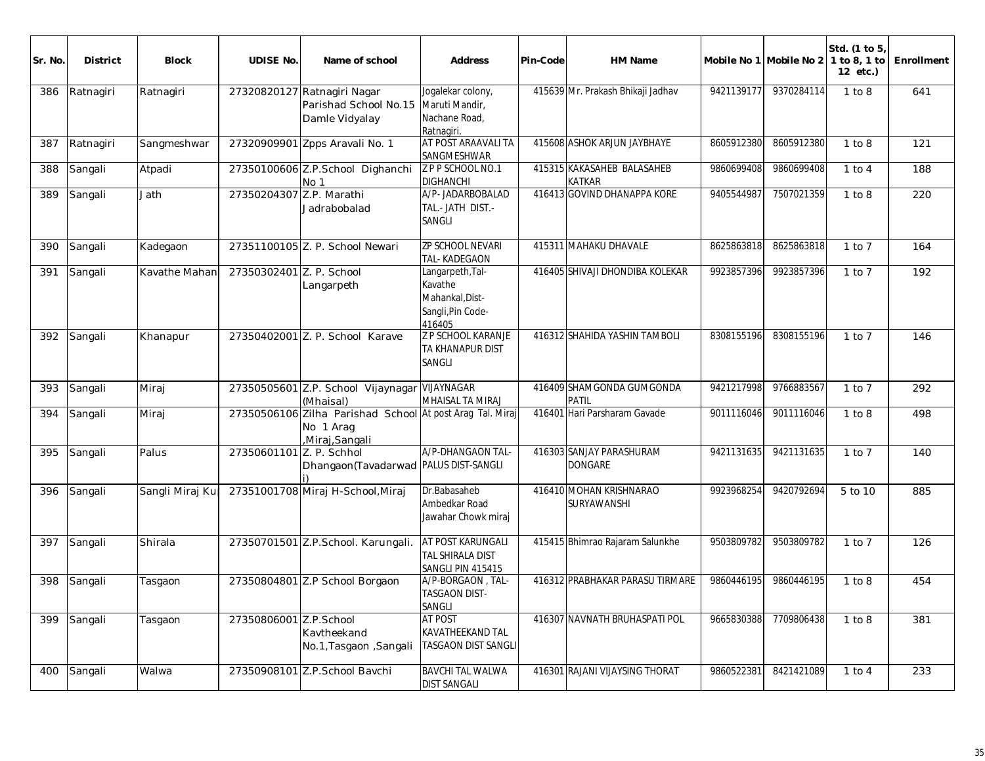| Sr. No. | <b>District</b> | <b>Block</b>    | <b>UDISE No.</b>         | Name of school                                                                           | <b>Address</b>                                                                | Pin-Code | HM Name                                     |            | Mobile No 1 Mobile No 2 | Std. (1 to 5)<br>1 to 8, 1 to<br>12 etc.) | Enrollment |
|---------|-----------------|-----------------|--------------------------|------------------------------------------------------------------------------------------|-------------------------------------------------------------------------------|----------|---------------------------------------------|------------|-------------------------|-------------------------------------------|------------|
| 386     | Ratnagiri       | Ratnagiri       |                          | 27320820127 Ratnagiri Nagar<br>Parishad School No.15<br>Damle Vidyalay                   | Jogalekar colony,<br>Maruti Mandir,<br>Nachane Road,<br>Ratnagiri.            |          | 415639 Mr. Prakash Bhikaji Jadhav           | 9421139177 | 9370284114              | 1 to 8                                    | 641        |
| 387     | Ratnagiri       | Sangmeshwar     |                          | 27320909901 Zpps Aravali No. 1                                                           | AT POST ARAAVALI TA<br><b>SANGMESHWAR</b>                                     |          | 415608 ASHOK ARJUN JAYBHAYE                 | 8605912380 | 8605912380              | 1 to 8                                    | 121        |
| 388     | Sangali         | Atpadi          |                          | 27350100606 Z.P.School Dighanchi<br>No 1                                                 | Z P P SCHOOL NO.1<br><b>DIGHANCHI</b>                                         |          | 415315 KAKASAHEB BALASAHEB<br><b>KATKAR</b> | 9860699408 | 9860699408              | $1$ to $4$                                | 188        |
| 389     | Sangali         | Jath            | 27350204307              | Z.P. Marathi<br>Jadrabobalad                                                             | A/P- JADARBOBALAD<br>TAL.- JATH DIST.-<br>SANGLI                              |          | 416413 GOVIND DHANAPPA KORE                 | 9405544987 | 7507021359              | 1 to 8                                    | 220        |
| 390     | Sangali         | Kadegaon        |                          | 27351100105 Z. P. School Newari                                                          | <b>ZP SCHOOL NEVARI</b><br>TAL-KADEGAON                                       |          | 415311 MAHAKU DHAVALE                       | 8625863818 | 8625863818              | $1$ to $7$                                | 164        |
| 391     | Sangali         | Kavathe Mahar   | 27350302401 Z. P. School | Langarpeth                                                                               | Langarpeth, Tal-<br>Kavathe<br>Mahankal, Dist-<br>Sangli, Pin Code-<br>416405 |          | 416405 SHIVAJI DHONDIBA KOLEKAR             | 9923857396 | 9923857396              | $1$ to $7$                                | 192        |
| 392     | Sangali         | Khanapur        |                          | 27350402001 Z. P. School Karave                                                          | <b>Z P SCHOOL KARANJE</b><br>TA KHANAPUR DIST<br>SANGLI                       |          | 416312 SHAHIDA YASHIN TAMBOLI               | 8308155196 | 8308155196              | $1$ to $7$                                | 146        |
| 393     | Sangali         | Miraj           |                          | 27350505601 Z.P. School Vijaynagar VIJAYNAGAR<br>(Mhaisal)                               | MHAISAL TA MIRAJ                                                              |          | 416409 SHAMGONDA GUMGONDA<br>PATIL          | 9421217998 | 9766883567              | $1$ to $7$                                | 292        |
| 394     | Sangali         | Miraj           |                          | 27350506106 Zilha Parishad School At post Arag Tal. Miraj<br>No 1 Arag<br>Miraj, Sangali |                                                                               |          | 416401 Hari Parsharam Gavade                | 9011116046 | 9011116046              | 1 to 8                                    | 498        |
| 395     | Sangali         | Palus           | 27350601101 Z. P. Schhol | Dhangaon(Tavadarwad   PALUS DIST-SANGLI                                                  | A/P-DHANGAON TAL-                                                             |          | 416303 SANJAY PARASHURAM<br><b>DONGARE</b>  | 9421131635 | 9421131635              | $1$ to $7$                                | 140        |
| 396     | Sangali         | Sangli Miraj Ku |                          | 27351001708 Miraj H-School, Miraj                                                        | Dr.Babasaheb<br>Ambedkar Road<br>Jawahar Chowk miraj                          |          | 416410 MOHAN KRISHNARAO<br>SURYAWANSHI      | 9923968254 | 9420792694              | 5 to 10                                   | 885        |
| 397     | Sangali         | Shirala         |                          | 27350701501 Z.P.School. Karungali.                                                       | AT POST KARUNGALI<br>TAL SHIRALA DIST<br>SANGLI PIN 415415                    |          | 415415 Bhimrao Rajaram Salunkhe             | 9503809782 | 9503809782              | $1$ to $7$                                | 126        |
| 398     | Sangali         | Tasgaon         |                          | 27350804801 Z.P School Borgaon                                                           | A/P-BORGAON, TAL-<br><b>TASGAON DIST-</b><br>SANGLI                           |          | 416312 PRABHAKAR PARASU TIRMARE             | 9860446195 | 9860446195              | 1 to 8                                    | 454        |
| 399     | Sangali         | Tasgaon         | 27350806001 Z.P.School   | Kavtheekand<br>No.1, Tasgaon, Sangali                                                    | <b>AT POST</b><br>KAVATHEEKAND TAL<br>TASGAON DIST SANGLI                     |          | 416307 NAVNATH BRUHASPATI POL               | 9665830388 | 7709806438              | 1 to 8                                    | 381        |
| 400     | Sangali         | Walwa           |                          | 27350908101 Z.P.School Bavchi                                                            | <b>BAVCHI TAL WALWA</b><br><b>DIST SANGALI</b>                                |          | 416301 RAJANI VIJAYSING THORAT              | 9860522381 | 8421421089              | $1$ to $4$                                | 233        |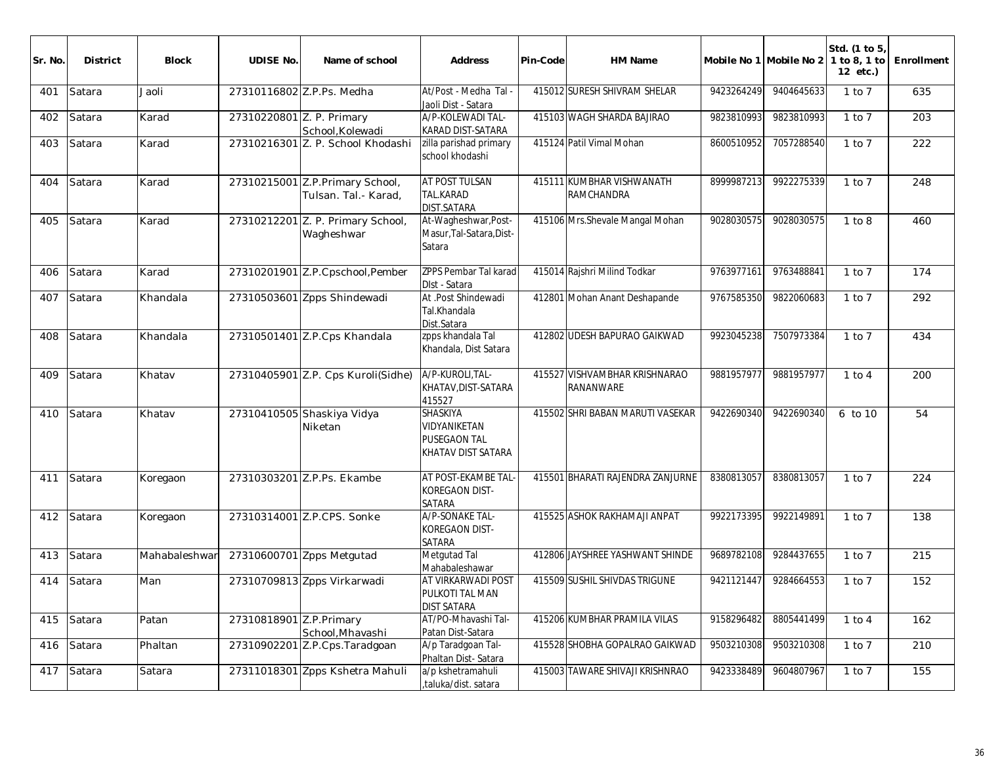| Sr. No. | <b>District</b> | <b>Block</b>  | <b>UDISE No.</b>          | Name of school                                          | Address                                                        | Pin-Code | HM Name                                           |            | Mobile No 1 Mobile No 2 1 to 8, 1 to | Std. (1 to 5,<br>12 etc.) | Enrollment |
|---------|-----------------|---------------|---------------------------|---------------------------------------------------------|----------------------------------------------------------------|----------|---------------------------------------------------|------------|--------------------------------------|---------------------------|------------|
| 401     | Satara          | Jaoli         |                           | 27310116802 Z.P.Ps. Medha                               | At/Post - Medha Tal -<br>Jaoli Dist - Satara                   |          | 415012 SURESH SHIVRAM SHELAR                      | 9423264249 | 9404645633                           | $1$ to $7$                | 635        |
| 402     | Satara          | Karad         | 27310220801 Z. P. Primary | School, Kolewadi                                        | A/P-KOLEWADI TAL-<br>KARAD DIST-SATARA                         |          | 415103 WAGH SHARDA BAJIRAO                        | 9823810993 | 9823810993                           | $1$ to $7$                | 203        |
| 403     | Satara          | Karad         |                           | 27310216301 Z. P. School Khodashi                       | zilla parishad primary<br>school khodashi                      |          | 415124 Patil Vimal Mohan                          | 8600510952 | 7057288540                           | $1$ to $7$                | 222        |
| 404     | Satara          | Karad         |                           | 27310215001 Z.P.Primary School,<br>Tulsan, Tal.- Karad, | AT POST TULSAN<br>TAL.KARAD<br><b>DIST.SATARA</b>              |          | 415111 KUMBHAR VISHWANATH<br><b>RAMCHANDRA</b>    | 8999987213 | 9922275339                           | $1$ to $7$                | 248        |
| 405     | Satara          | Karad         |                           | 27310212201 Z. P. Primary School,<br>Wagheshwar         | At-Wagheshwar, Post-<br>Masur, Tal-Satara, Dist-<br>Satara     |          | 415106 Mrs.Shevale Mangal Mohan                   | 9028030575 | 9028030575                           | 1 to 8                    | 460        |
| 406     | Satara          | Karad         |                           | 27310201901 Z.P.Cpschool, Pember                        | ZPPS Pembar Tal karad<br>DIst - Satara                         |          | 415014 Rajshri Milind Todkar                      | 9763977161 | 9763488841                           | $1$ to $7$                | 174        |
| 407     | Satara          | Khandala      |                           | 27310503601 Zpps Shindewadi                             | At .Post Shindewadi<br>Tal.Khandala<br>Dist.Satara             |          | 412801 Mohan Anant Deshapande                     | 9767585350 | 9822060683                           | $1$ to $7$                | 292        |
| 408     | Satara          | Khandala      |                           | 27310501401 Z.P.Cps Khandala                            | zpps khandala Tal<br>Khandala, Dist Satara                     |          | 412802 UDESH BAPURAO GAIKWAD                      | 9923045238 | 7507973384                           | $1$ to $7$                | 434        |
| 409     | Satara          | Khatav        |                           | 27310405901 Z.P. Cps Kuroli(Sidhe)                      | A/P-KUROLI, TAL-<br>KHATAV, DIST-SATARA<br>415527              |          | 415527 VISHVAMBHAR KRISHNARAO<br><b>RANANWARE</b> | 9881957977 | 9881957977                           | $1$ to $4$                | 200        |
| 410     | Satara          | Khatav        |                           | 27310410505 Shaskiya Vidya<br>Niketan                   | SHASKIYA<br>VIDYANIKETAN<br>PUSEGAON TAL<br>KHATAV DIST SATARA |          | 415502 SHRI BABAN MARUTI VASEKAR                  | 9422690340 | 9422690340                           | 6 to 10                   | 54         |
| 411     | Satara          | Koregaon      |                           | 27310303201 Z.P.Ps. Ekambe                              | AT POST-EKAMBE TAL<br>KOREGAON DIST-<br>SATARA                 |          | 415501 BHARATI RAJENDRA ZANJURNE                  | 8380813057 | 8380813057                           | $1$ to $7$                | 224        |
| 412     | Satara          | Koregaon      |                           | 27310314001 Z.P.CPS. Sonke                              | A/P-SONAKE TAL-<br>KOREGAON DIST-<br>SATARA                    |          | 415525 ASHOK RAKHAMAJI ANPAT                      | 9922173395 | 9922149891                           | $1$ to $7$                | 138        |
| 413     | Satara          | Mahabaleshwar |                           | 27310600701 Zpps Metgutad                               | Metgutad Tal<br>Mahabaleshawar                                 |          | 412806 JAYSHREE YASHWANT SHINDE                   | 9689782108 | 9284437655                           | $1$ to $7$                | 215        |
| 414     | Satara          | Man           |                           | 27310709813 Zpps Virkarwadi                             | AT VIRKARWADI POST<br>PULKOTI TAL MAN<br><b>DIST SATARA</b>    |          | 415509 SUSHIL SHIVDAS TRIGUNE                     | 9421121447 | 9284664553                           | $1$ to $7$                | 152        |
| 415     | Satara          | Patan         | 27310818901 Z.P.Primary   | School, Mhavashi                                        | AT/PO-Mhavashi Tal-<br>Patan Dist-Satara                       |          | 415206 KUMBHAR PRAMILA VILAS                      | 9158296482 | 8805441499                           | $\overline{1}$ to 4       | 162        |
| 416     | Satara          | Phaltan       |                           | 27310902201 Z.P.Cps.Taradgoan                           | A/p Taradgoan Tal-<br>Phaltan Dist-Satara                      |          | 415528 SHOBHA GOPALRAO GAIKWAD                    | 9503210308 | 9503210308                           | $1$ to $7$                | 210        |
| 417     | Satara          | Satara        |                           | 27311018301 Zpps Kshetra Mahuli                         | a/p kshetramahuli<br>,taluka/dist. satara                      |          | 415003 TAWARE SHIVAJI KRISHNRAO                   | 9423338489 | 9604807967                           | $1$ to $7$                | 155        |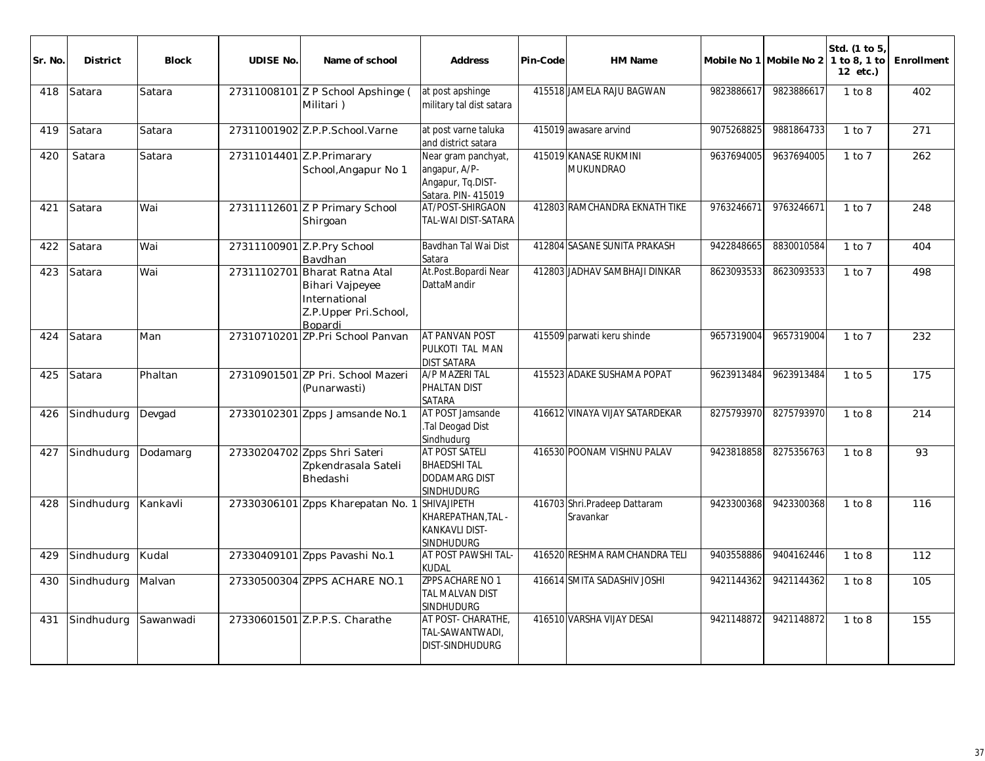| Sr. No | <b>District</b> | <b>Block</b> | <b>UDISE No.</b> | Name of school                                                                                   | <b>Address</b>                                                                           | Pin-Code | <b>HM Name</b>                            |            | Mobile No 1 Mobile No 2 | Std. (1 to 5<br>1 to 8, 1 to<br>12 etc.) | Enrollment |
|--------|-----------------|--------------|------------------|--------------------------------------------------------------------------------------------------|------------------------------------------------------------------------------------------|----------|-------------------------------------------|------------|-------------------------|------------------------------------------|------------|
| 418    | Satara          | Satara       |                  | 27311008101 Z P School Apshinge (<br>Militari)                                                   | at post apshinge<br>military tal dist satara                                             |          | 415518 JAMELA RAJU BAGWAN                 | 9823886617 | 9823886617              | 1 to 8                                   | 402        |
| 419    | Satara          | Satara       |                  | 27311001902 Z.P.P.School.Varne                                                                   | at post varne taluka<br>and district satara                                              |          | 415019 awasare arvind                     | 9075268825 | 9881864733              | $1$ to $7$                               | 271        |
| 420    | Satara          | Satara       |                  | 27311014401 Z.P. Primarary<br>School, Angapur No 1                                               | Near gram panchyat,<br>angapur, A/P-<br>Angapur, Tq.DIST-<br>Satara. PIN- 415019         |          | 415019 KANASE RUKMINI<br>MUKUNDRAO        | 9637694005 | 9637694005              | $1$ to $7$                               | 262        |
| 421    | Satara          | Wai          |                  | 27311112601 Z P Primary School<br>Shirgoan                                                       | AT/POST-SHIRGAON<br>TAL-WAI DIST-SATARA                                                  |          | 412803 RAMCHANDRA EKNATH TIKE             | 9763246671 | 9763246671              | $1$ to $7$                               | 248        |
| 422    | Satara          | Wai          |                  | 27311100901 Z.P.Pry School<br>Bavdhan                                                            | Bavdhan Tal Wai Dist<br>Satara                                                           |          | 412804 SASANE SUNITA PRAKASH              | 9422848665 | 8830010584              | $1$ to $7$                               | 404        |
| 423    | Satara          | Wai          | 27311102701      | Bharat Ratna Atal<br><b>Bihari Vajpeyee</b><br>International<br>Z.P.Upper Pri.School,<br>Bopardi | At.Post.Bopardi Near<br>DattaMandir                                                      |          | 412803 JADHAV SAMBHAJI DINKAR             | 8623093533 | 8623093533              | $1$ to $7$                               | 498        |
| 424    | Satara          | Man          |                  | 27310710201 ZP.Pri School Panyan                                                                 | <b>AT PANVAN POST</b><br>PULKOTI TAL MAN<br><b>DIST SATARA</b>                           |          | 415509 parwati keru shinde                | 9657319004 | 9657319004              | $1$ to $7$                               | 232        |
| 425    | Satara          | Phaltan      |                  | 27310901501 ZP Pri. School Mazeri<br>(Punarwasti)                                                | A/P MAZERI TAL<br>PHALTAN DIST<br><b>SATARA</b>                                          |          | 415523 ADAKE SUSHAMA POPAT                | 9623913484 | 9623913484              | $1$ to $5$                               | 175        |
| 426    | Sindhudurg      | Devgad       |                  | 27330102301 Zpps Jamsande No.1                                                                   | AT POST Jamsande<br>.Tal Deogad Dist<br>Sindhudura                                       |          | 416612 VINAYA VIJAY SATARDEKAR            | 8275793970 | 8275793970              | 1 to 8                                   | 214        |
| 427    | Sindhudurg      | Dodamarg     |                  | 27330204702 Zpps Shri Sateri<br>Zpkendrasala Sateli<br>Bhedashi                                  | <b>AT POST SATELI</b><br><b>BHAEDSHITAL</b><br><b>DODAMARG DIST</b><br><b>SINDHUDURG</b> |          | 416530 POONAM VISHNU PALAV                | 9423818858 | 8275356763              | 1 to 8                                   | 93         |
| 428    | Sindhudurg      | Kankavli     |                  | 27330306101 Zpps Kharepatan No. 1                                                                | SHIVAJIPETH<br>KHAREPATHAN.TAL -<br><b>KANKAVLI DIST-</b><br><b>SINDHUDURG</b>           |          | 416703 Shri.Pradeep Dattaram<br>Sravankar | 9423300368 | 9423300368              | 1 to 8                                   | 116        |
| 429    | Sindhudurg      | Kudal        |                  | 27330409101 Zpps Pavashi No.1                                                                    | <b>AT POST PAWSHI TAL-</b><br><b>KUDAL</b>                                               |          | 416520 RESHMA RAMCHANDRA TELI             | 9403558886 | 9404162446              | 1 to 8                                   | 112        |
| 430    | Sindhudurg      | Malvan       |                  | 27330500304 ZPPS ACHARE NO.1                                                                     | <b>ZPPS ACHARE NO 1</b><br><b>TAL MALVAN DIST</b><br><b>SINDHUDURG</b>                   |          | 416614 SMITA SADASHIV JOSHI               | 9421144362 | 9421144362              | 1 to 8                                   | 105        |
| 431    | Sindhudurg      | Sawanwadi    |                  | 27330601501 Z.P.P.S. Charathe                                                                    | AT POST- CHARATHE.<br>TAL-SAWANTWADI,<br><b>DIST-SINDHUDURG</b>                          |          | 416510 VARSHA VIJAY DESAI                 | 9421148872 | 9421148872              | 1 to 8                                   | 155        |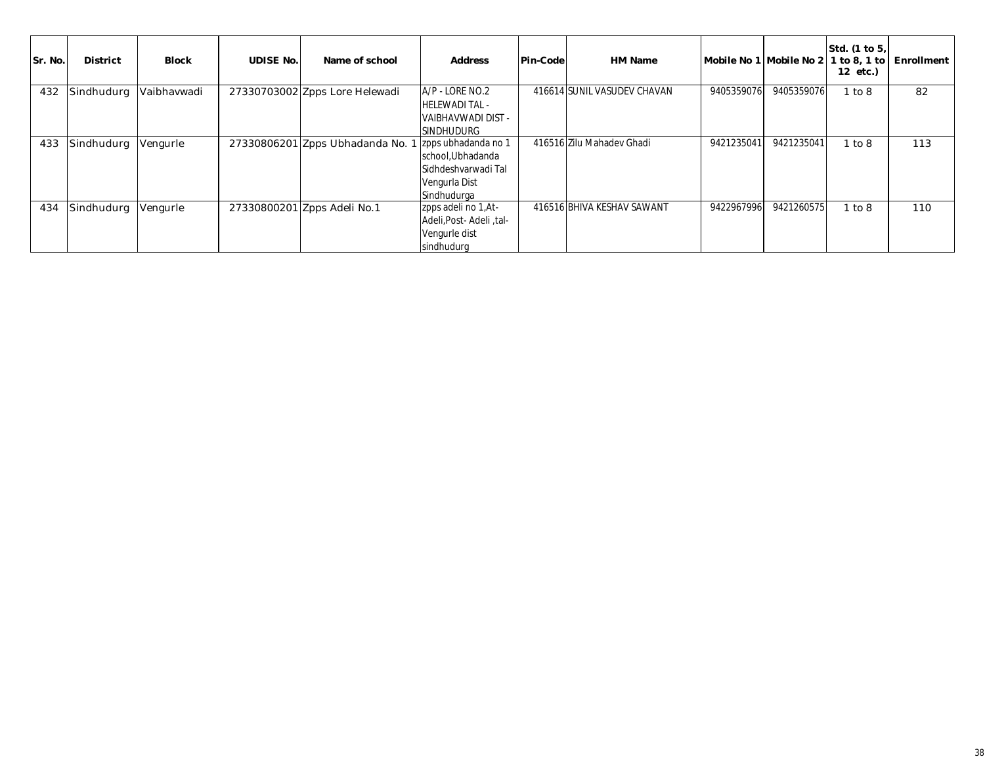| Sr. No. | <b>District</b> | <b>Block</b> | <b>UDISE No.</b> | Name of school                   | <b>Address</b>                           | Pin-Code | HM Name                     |            | Mobile No 1 Mobile No 2 | Std. (1 to 5,<br>$1$ to 8, 1 to<br>12 etc.) | Enrollment |
|---------|-----------------|--------------|------------------|----------------------------------|------------------------------------------|----------|-----------------------------|------------|-------------------------|---------------------------------------------|------------|
| 432     | Sindhudurg      | Vaibhavwadi  |                  | 27330703002 Zpps Lore Helewadi   | A/P - LORE NO.2<br><b>HELEWADI TAL -</b> |          | 416614 SUNIL VASUDEV CHAVAN | 9405359076 | 9405359076              | 1 to 8                                      | 82         |
|         |                 |              |                  |                                  | VAIBHAVWADI DIST -                       |          |                             |            |                         |                                             |            |
|         |                 |              |                  |                                  | <b>SINDHUDURG</b>                        |          |                             |            |                         |                                             |            |
| 433     | Sindhudurg      | Vengurle     |                  | 27330806201 Zpps Ubhadanda No. 1 | I zpps ubhadanda no 1                    |          | 416516 Zilu Mahadev Ghadi   | 9421235041 | 9421235041              | 1 to 8                                      | 113        |
|         |                 |              |                  |                                  | school, Ubhadanda                        |          |                             |            |                         |                                             |            |
|         |                 |              |                  |                                  | Sidhdeshvarwadi Tal                      |          |                             |            |                         |                                             |            |
|         |                 |              |                  |                                  | Vengurla Dist                            |          |                             |            |                         |                                             |            |
|         |                 |              |                  |                                  | Sindhudurga                              |          |                             |            |                         |                                             |            |
| 434     | Sindhudurg      | Vengurle     |                  | 27330800201 Zpps Adeli No.1      | zpps adeli no 1, At-                     |          | 416516 BHIVA KESHAV SAWANT  | 9422967996 | 9421260575              | 1 to 8                                      | 110        |
|         |                 |              |                  |                                  | Adeli, Post - Adeli, tal-                |          |                             |            |                         |                                             |            |
|         |                 |              |                  |                                  | Vengurle dist                            |          |                             |            |                         |                                             |            |
|         |                 |              |                  |                                  | sindhudurg                               |          |                             |            |                         |                                             |            |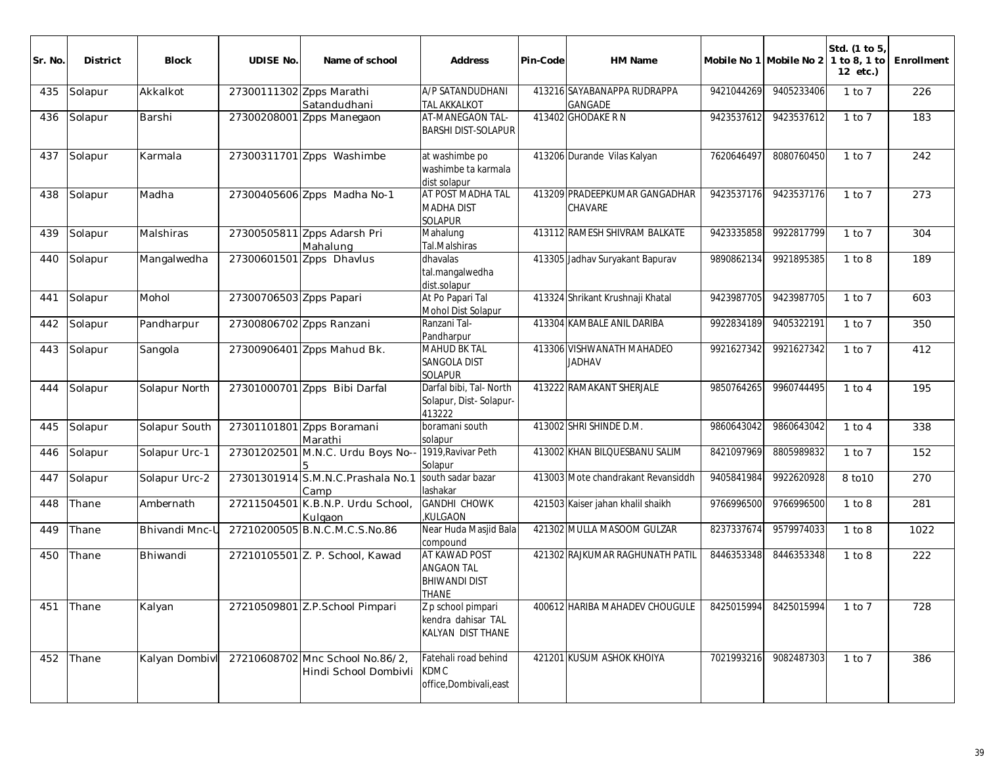| Sr. No. | <b>District</b> | <b>Block</b>          | <b>UDISE No.</b>         | Name of school                                          | <b>Address</b>                                                             | Pin-Code | HM Name                                       |            | Mobile No 1 Mobile No 2 | Std. (1 to 5)<br>1 to 8, 1 to<br>12 etc.) | Enrollment |
|---------|-----------------|-----------------------|--------------------------|---------------------------------------------------------|----------------------------------------------------------------------------|----------|-----------------------------------------------|------------|-------------------------|-------------------------------------------|------------|
| 435     | Solapur         | Akkalkot              | 27300111302 Zpps Marathi | Satandudhani                                            | A/P SATANDUDHANI<br><b>TAL AKKALKOT</b>                                    |          | 413216 SAYABANAPPA RUDRAPPA<br><b>GANGADE</b> | 9421044269 | 9405233406              | $\overline{1}$ to 7                       | 226        |
| 436     | Solapur         | Barshi                |                          | 27300208001 Zpps Manegaon                               | AT-MANEGAON TAL-<br><b>BARSHI DIST-SOLAPUR</b>                             |          | 413402 GHODAKE R N                            | 9423537612 | 9423537612              | $1$ to $7$                                | 183        |
| 437     | Solapur         | Karmala               |                          | 27300311701 Zpps Washimbe                               | at washimbe po<br>washimbe ta karmala<br>dist solapur                      |          | 413206 Durande Vilas Kalyan                   | 7620646497 | 8080760450              | $1$ to $7$                                | 242        |
| 438     | Solapur         | Madha                 |                          | 27300405606 Zpps Madha No-1                             | AT POST MADHA TAL<br><b>MADHA DIST</b><br><b>SOLAPUR</b>                   |          | 413209 PRADEEPKUMAR GANGADHAR<br>CHAVARE      | 9423537176 | 9423537176              | $1$ to $7$                                | 273        |
| 439     | Solapur         | Malshiras             |                          | 27300505811 Zpps Adarsh Pri<br>Mahalung                 | Mahalung<br>Tal.Malshiras                                                  |          | 413112 RAMESH SHIVRAM BALKATE                 | 9423335858 | 9922817799              | $1$ to $7$                                | 304        |
| 440     | Solapur         | Mangalwedha           |                          | 27300601501 Zpps Dhavlus                                | dhavalas<br>tal.mangalwedha<br>dist.solapur                                |          | 413305 Jadhav Suryakant Bapurav               | 9890862134 | 9921895385              | 1 to 8                                    | 189        |
| 441     | Solapur         | Mohol                 | 27300706503 Zpps Papari  |                                                         | At Po Papari Tal<br>Mohol Dist Solapur                                     |          | 413324 Shrikant Krushnaji Khatal              | 9423987705 | 9423987705              | $1$ to $7$                                | 603        |
| 442     | Solapur         | Pandharpur            | 27300806702 Zpps Ranzani |                                                         | Ranzani Tal-<br>Pandharpur                                                 |          | 413304 KAMBALE ANIL DARIBA                    | 9922834189 | 9405322191              | $1$ to $7$                                | 350        |
| 443     | Solapur         | Sangola               |                          | 27300906401 Zpps Mahud Bk.                              | <b>MAHUD BK TAL</b><br>SANGOLA DIST<br><b>SOLAPUR</b>                      |          | 413306 VISHWANATH MAHADEO<br><b>JADHAV</b>    | 9921627342 | 9921627342              | $1$ to $7$                                | 412        |
| 444     | Solapur         | Solapur North         |                          | 27301000701 Zpps Bibi Darfal                            | Darfal bibi, Tal- North<br>Solapur, Dist-Solapur-<br>413222                |          | 413222 RAMAKANT SHERJALE                      | 9850764265 | 9960744495              | $1$ to $4$                                | 195        |
| 445     | Solapur         | Solapur South         |                          | 27301101801 Zpps Boramani<br>Marathi                    | boramani south<br>solapur                                                  |          | 413002 SHRI SHINDE D.M.                       | 9860643042 | 9860643042              | $1$ to $4$                                | 338        |
| 446     | Solapur         | Solapur Urc-1         |                          | 27301202501 M.N.C. Urdu Boys No--                       | 1919, Ravivar Peth<br>Solapur                                              |          | 413002 KHAN BILQUESBANU SALIM                 | 8421097969 | 8805989832              | $1$ to $7$                                | 152        |
| 447     | Solapur         | Solapur Urc-2         |                          | 27301301914 S.M.N.C.Prashala No.1<br>Camp               | south sadar bazar<br>lashakar                                              |          | 413003 Mote chandrakant Revansiddh            | 9405841984 | 9922620928              | 8 to 10                                   | 270        |
| 448     | Thane           | Ambernath             |                          | 27211504501 K.B.N.P. Urdu School,<br>Kulgaon            | <b>GANDHI CHOWK</b><br>KULGAON,                                            |          | 421503 Kaiser jahan khalil shaikh             | 9766996500 | 9766996500              | 1 to 8                                    | 281        |
| 449     | Thane           | <b>Bhivandi Mnc-I</b> |                          | 27210200505 B.N.C.M.C.S.No.86                           | Near Huda Masjid Bala<br>compound                                          |          | 421302 MULLA MASOOM GULZAR                    | 8237337674 | 9579974033              | 1 to 8                                    | 1022       |
| 450     | Thane           | Bhiwandi              |                          | 27210105501 Z. P. School, Kawad                         | AT KAWAD POST<br><b>ANGAON TAL</b><br><b>BHIWANDI DIST</b><br><b>IHANE</b> |          | 421302 RAJKUMAR RAGHUNATH PATIL               | 8446353348 | 8446353348              | 1 to 8                                    | 222        |
| 451     | Thane           | Kalyan                |                          | 27210509801 Z.P.School Pimpari                          | Z p school pimpari<br>kendra dahisar TAL<br>KALYAN DIST THANE              |          | 400612 HARIBA MAHADEV CHOUGULE                | 8425015994 | 8425015994              | $1$ to $7$                                | 728        |
| 452     | Thane           | Kalyan Dombivl        |                          | 27210608702 Mnc School No.86/2<br>Hindi School Dombivli | Fatehali road behind<br><b>KDMC</b><br>office, Dombivali, east             |          | 421201 KUSUM ASHOK KHOIYA                     | 7021993216 | 9082487303              | $1$ to $7$                                | 386        |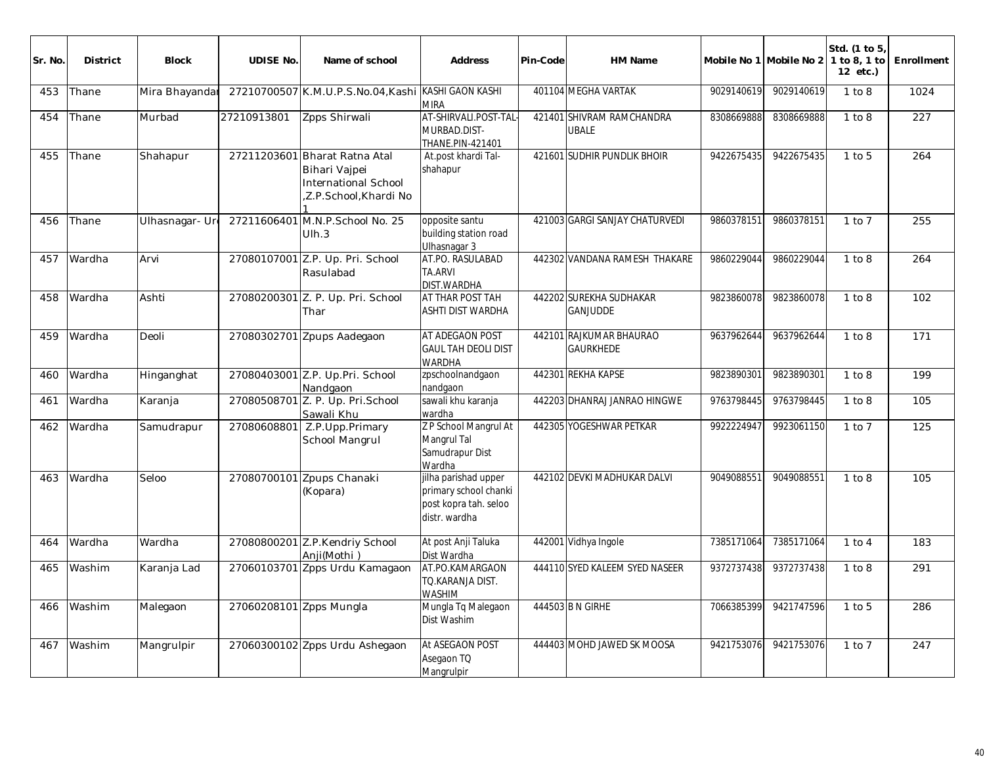| Sr. No. | <b>District</b> | <b>Block</b>   | <b>UDISE No.</b>        | Name of school                                                                                  | <b>Address</b>                                                                          | Pin-Code | <b>HM Name</b>                              |            | Mobile No 1 Mobile No 2 | Std. (1 to 5)<br>1 to 8, 1 to<br>12 etc.) | Enrollment      |
|---------|-----------------|----------------|-------------------------|-------------------------------------------------------------------------------------------------|-----------------------------------------------------------------------------------------|----------|---------------------------------------------|------------|-------------------------|-------------------------------------------|-----------------|
| 453     | Thane           | Mira Bhayandar |                         | 27210700507 K.M.U.P.S.No.04, Kashi KASHI GAON KASHI                                             | <b>MIRA</b>                                                                             |          | 401104 MEGHA VARTAK                         | 9029140619 | 9029140619              | 1 to 8                                    | 1024            |
| 454     | Thane           | Murbad         | 27210913801             | Zpps Shirwali                                                                                   | AT-SHIRVALI.POST-TAL-<br>MURBAD.DIST-<br>THANE.PIN-421401                               |          | 421401 SHIVRAM RAMCHANDRA<br><b>JBALE</b>   | 8308669888 | 8308669888              | 1 to 8                                    | 227             |
| 455     | Thane           | Shahapur       |                         | 27211203601 Bharat Ratna Atal<br>Bihari Vajpei<br>International School<br>Z.P.School, Khardi No | At.post khardi Tal-<br>shahapur                                                         |          | 421601 SUDHIR PUNDLIK BHOIR                 | 9422675435 | 9422675435              | $1$ to $5$                                | 264             |
| 456     | Thane           | Ulhasnagar- Ur |                         | 27211606401 M.N.P.School No. 25<br>Ulh.3                                                        | opposite santu<br>building station road<br>Ulhasnagar 3                                 |          | 421003 GARGI SANJAY CHATURVEDI              | 9860378151 | 9860378151              | $1$ to $7$                                | 255             |
| 457     | Wardha          | Arvi           |                         | 27080107001 Z.P. Up. Pri. School<br>Rasulabad                                                   | AT.PO. RASULABAD<br>TA.ARVI<br>DIST.WARDHA                                              |          | 442302 VANDANA RAMESH THAKARE               | 9860229044 | 9860229044              | 1 to 8                                    | 264             |
| 458     | Wardha          | Ashti          |                         | 27080200301 Z. P. Up. Pri. School<br>Thar                                                       | AT THAR POST TAH<br>ASHTI DIST WARDHA                                                   |          | 442202 SUREKHA SUDHAKAR<br><b>GANJUDDE</b>  | 9823860078 | 9823860078              | $1$ to $8$                                | 102             |
| 459     | Wardha          | Deoli          |                         | 27080302701 Zpups Aadegaon                                                                      | AT ADEGAON POST<br><b>GAUL TAH DEOLI DIST</b><br><b>WARDHA</b>                          |          | 442101 RAJKUMAR BHAURAO<br><b>GAURKHEDE</b> | 9637962644 | 9637962644              | 1 to 8                                    | 171             |
| 460     | Wardha          | Hinganghat     |                         | 27080403001 Z.P. Up.Pri. School<br>Nandgaon                                                     | zpschoolnandgaon<br>nandgaon                                                            |          | 442301 REKHA KAPSE                          | 9823890301 | 9823890301              | 1 to 8                                    | 199             |
| 461     | Wardha          | Karanja        |                         | 27080508701 Z. P. Up. Pri. School<br>Sawali Khu                                                 | sawali khu karanja<br>wardha                                                            |          | 442203 DHANRAJ JANRAO HINGWE                | 9763798445 | 9763798445              | 1 to 8                                    | 105             |
| 462     | Wardha          | Samudrapur     | 27080608801             | Z.P.Upp.Primary<br>School Mangrul                                                               | Z P School Mangrul At<br>Mangrul Tal<br>Samudrapur Dist<br>Wardha                       |          | 442305 YOGESHWAR PETKAR                     | 9922224947 | 9923061150              | $1$ to $7$                                | $\frac{125}{ }$ |
| 463     | Wardha          | Seloo          |                         | 27080700101 Zpups Chanaki<br>(Kopara)                                                           | jilha parishad upper<br>primary school chanki<br>post kopra tah. seloo<br>distr. wardha |          | 442102 DEVKI MADHUKAR DALVI                 | 9049088551 | 9049088551              | 1 to 8                                    | 105             |
| 464     | Wardha          | Wardha         |                         | 27080800201 Z.P.Kendriy School<br>Anii(Mothi)                                                   | At post Anji Taluka<br>Dist Wardha                                                      |          | 442001 Vidhya Ingole                        | 7385171064 | 7385171064              | $1$ to $4$                                | 183             |
| 465     | Washim          | Karanja Lad    |                         | 27060103701 Zpps Urdu Kamagaon                                                                  | AT.PO.KAMARGAON<br>TO.KARANJA DIST.<br><b>WASHIM</b>                                    |          | 444110 SYED KALEEM SYED NASEER              | 9372737438 | 9372737438              | 1 to 8                                    | 291             |
| 466     | Washim          | Malegaon       | 27060208101 Zpps Mungla |                                                                                                 | Mungla Tq Malegaon<br>Dist Washim                                                       |          | 444503 B N GIRHE                            | 7066385399 | 9421747596              | $1$ to $5$                                | 286             |
| 467     | Washim          | Mangrulpir     |                         | 27060300102 Zpps Urdu Ashegaon                                                                  | At ASEGAON POST<br>Asegaon TQ<br>Mangrulpir                                             |          | 444403 MOHD JAWED SK MOOSA                  | 9421753076 | 9421753076              | $1$ to $7$                                | 247             |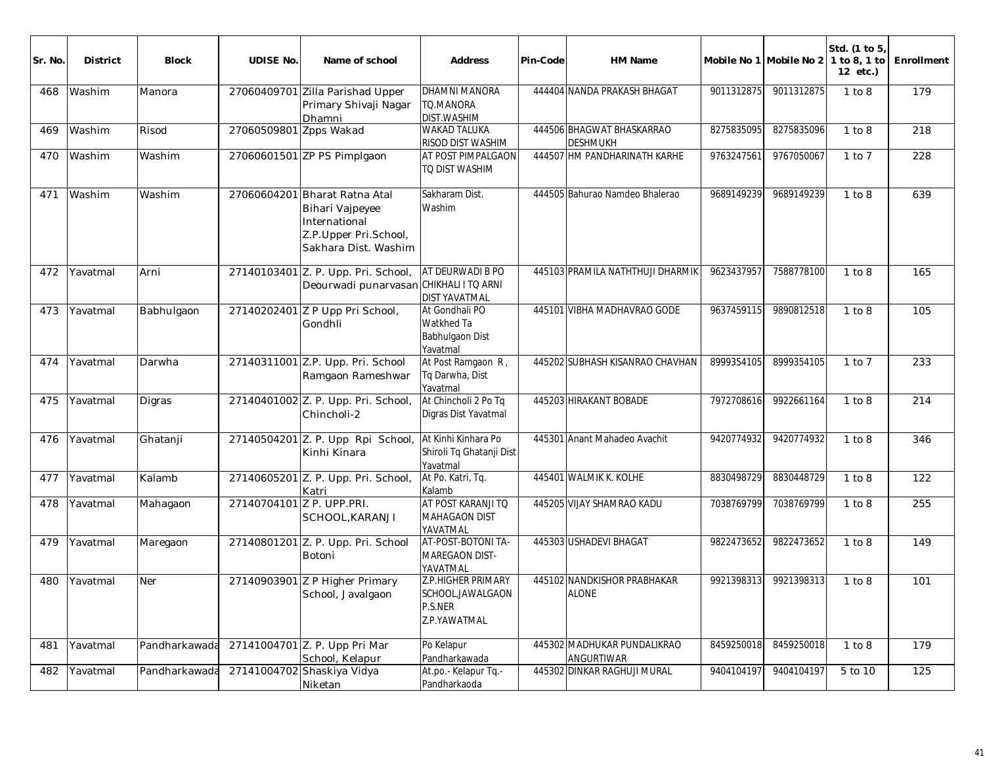| Sr. No. | <b>District</b> | Block         | <b>UDISE No.</b>          | Name of school                                                                                         | <b>Address</b>                                                     | Pin-Code | HM Name                                      |            | Mobile No 1 Mobile No 2 | Std. (1 to 5)<br>1 to 8, 1 to<br>12 etc.) | Enrollment |
|---------|-----------------|---------------|---------------------------|--------------------------------------------------------------------------------------------------------|--------------------------------------------------------------------|----------|----------------------------------------------|------------|-------------------------|-------------------------------------------|------------|
| 468     | Washim          | Manora        |                           | 27060409701 Zilla Parishad Upper<br>Primary Shivaji Nagar<br>Dhamni                                    | <b>DHAMNI MANORA</b><br>TQ.MANORA<br><b>DIST.WASHIM</b>            |          | 444404 NANDA PRAKASH BHAGAT                  | 9011312875 | 9011312875              | 1 to 8                                    | 179        |
| 469     | Washim          | Risod         | 27060509801 Zpps Wakad    |                                                                                                        | <b>WAKAD TALUKA</b><br>RISOD DIST WASHIM                           |          | 444506 BHAGWAT BHASKARRAO<br><b>DESHMUKH</b> | 8275835095 | 8275835096              | 1 to 8                                    | 218        |
| 470     | Washim          | Washim        |                           | 27060601501 ZP PS Pimplgaon                                                                            | AT POST PIMPALGAON<br>TO DIST WASHIM                               |          | 444507 HM PANDHARINATH KARHE                 | 9763247561 | 9767050067              | $1$ to $7$                                | 228        |
| 471     | Washim          | Washim        | 27060604201               | Bharat Ratna Atal<br>Bihari Vajpeyee<br>International<br>Z.P.Upper Pri.School,<br>Sakhara Dist. Washim | Sakharam Dist.<br>Washim                                           |          | 444505 Bahurao Namdeo Bhalerao               | 9689149239 | 9689149239              | 1 to 8                                    | 639        |
| 472     | Yavatmal        | Arni          |                           | 27140103401 Z. P. Upp. Pri. School,<br>Deourwadi punarvasan CHIKHALI I TO ARNI                         | AT DEURWADI B PO<br><b>DIST YAVATMAL</b>                           |          | 445103 PRAMILA NATHTHUJI DHARMIK             | 9623437957 | 7588778100              | 1 to 8                                    | 165        |
| 473     | Yavatmal        | Babhulgaon    |                           | 27140202401 Z P Upp Pri School,<br>Gondhli                                                             | At Gondhali PO<br>Watkhed Ta<br><b>Babhulgaon Dist</b><br>Yavatmal |          | 445101 VIBHA MADHAVRAO GODE                  | 9637459115 | 9890812518              | 1 to 8                                    | 105        |
| 474     | Yavatmal        | Darwha        |                           | 27140311001 Z.P. Upp. Pri. School<br>Ramgaon Rameshwar                                                 | At Post Ramgaon R,<br>Tq Darwha, Dist<br>Yavatmal                  |          | 445202 SUBHASH KISANRAO CHAVHAN              | 8999354105 | 8999354105              | $1$ to $7$                                | 233        |
| 475     | Yavatmal        | Digras        |                           | 27140401002 Z. P. Upp. Pri. School,<br>Chincholi-2                                                     | At Chincholi 2 Po Tq<br>Digras Dist Yavatmal                       |          | 445203 HIRAKANT BOBADE                       | 7972708616 | 9922661164              | 1 to 8                                    | 214        |
| 476     | Yavatmal        | Ghatanji      |                           | 27140504201 Z. P. Upp Rpi School,<br>Kinhi Kinara                                                      | At Kinhi Kinhara Po<br>Shiroli Tq Ghatanji Dist<br>Yavatmal        |          | 445301 Anant Mahadeo Avachit                 | 9420774932 | 9420774932              | 1 to 8                                    | 346        |
| 477     | Yavatmal        | Kalamb        |                           | 27140605201 Z. P. Upp. Pri. School,<br>Katri                                                           | At Po. Katri, Tq.<br>Kalamb                                        |          | 445401 WALMIK K. KOLHE                       | 8830498729 | 8830448729              | 1 to 8                                    | 122        |
| 478     | Yavatmal        | Mahagaon      | 27140704101 Z P. UPP.PRI. | SCHOOL, KARANJI                                                                                        | AT POST KARANJI TO<br><b>MAHAGAON DIST</b><br>YAVATMAL             |          | 445205 VIJAY SHAMRAO KADU                    | 7038769799 | 7038769799              | 1 to 8                                    | 255        |
| 479     | Yavatmal        | Maregaon      |                           | 27140801201 Z. P. Upp. Pri. School<br>Botoni                                                           | AT-POST-BOTONI TA-<br>MAREGAON DIST-<br>YAVATMAL                   |          | 445303 USHADEVI BHAGAT                       | 9822473652 | 9822473652              | 1 to 8                                    | 149        |
| 480     | Yavatmal        | Ner           |                           | 27140903901 Z P Higher Primary<br>School, Javalgaon                                                    | Z.P.HIGHER PRIMARY<br>SCHOOL, JAWALGAON<br>P.S.NER<br>Z.P.YAWATMAL |          | 445102 NANDKISHOR PRABHAKAR<br><b>ALONE</b>  | 9921398313 | 9921398313              | 1 to 8                                    | 101        |
| 481     | Yavatmal        | Pandharkawada |                           | 27141004701 Z. P. Upp Pri Mar<br>School, Kelapur                                                       | Po Kelapur<br>Pandharkawada                                        |          | 445302 MADHUKAR PUNDALIKRAO<br>ANGURTIWAR    | 8459250018 | 8459250018              | 1 to 8                                    | 179        |
| 482     | Yavatmal        | Pandharkawada |                           | 27141004702 Shaskiya Vidya<br>Niketan                                                                  | At.po.- Kelapur Tq.-<br>Pandharkaoda                               |          | 445302 DINKAR RAGHUJI MURAL                  | 9404104197 | 9404104197              | 5 to 10                                   | 125        |